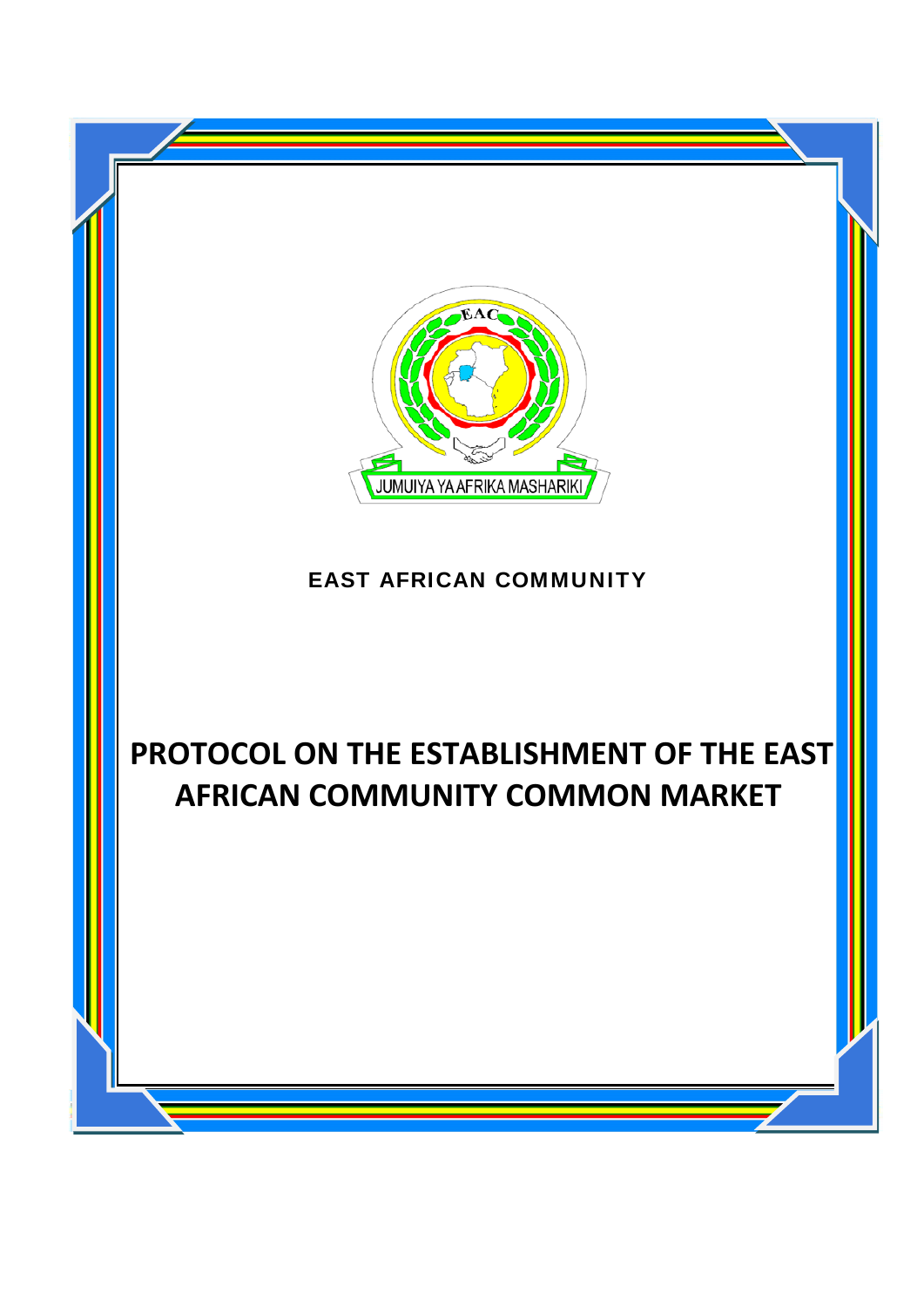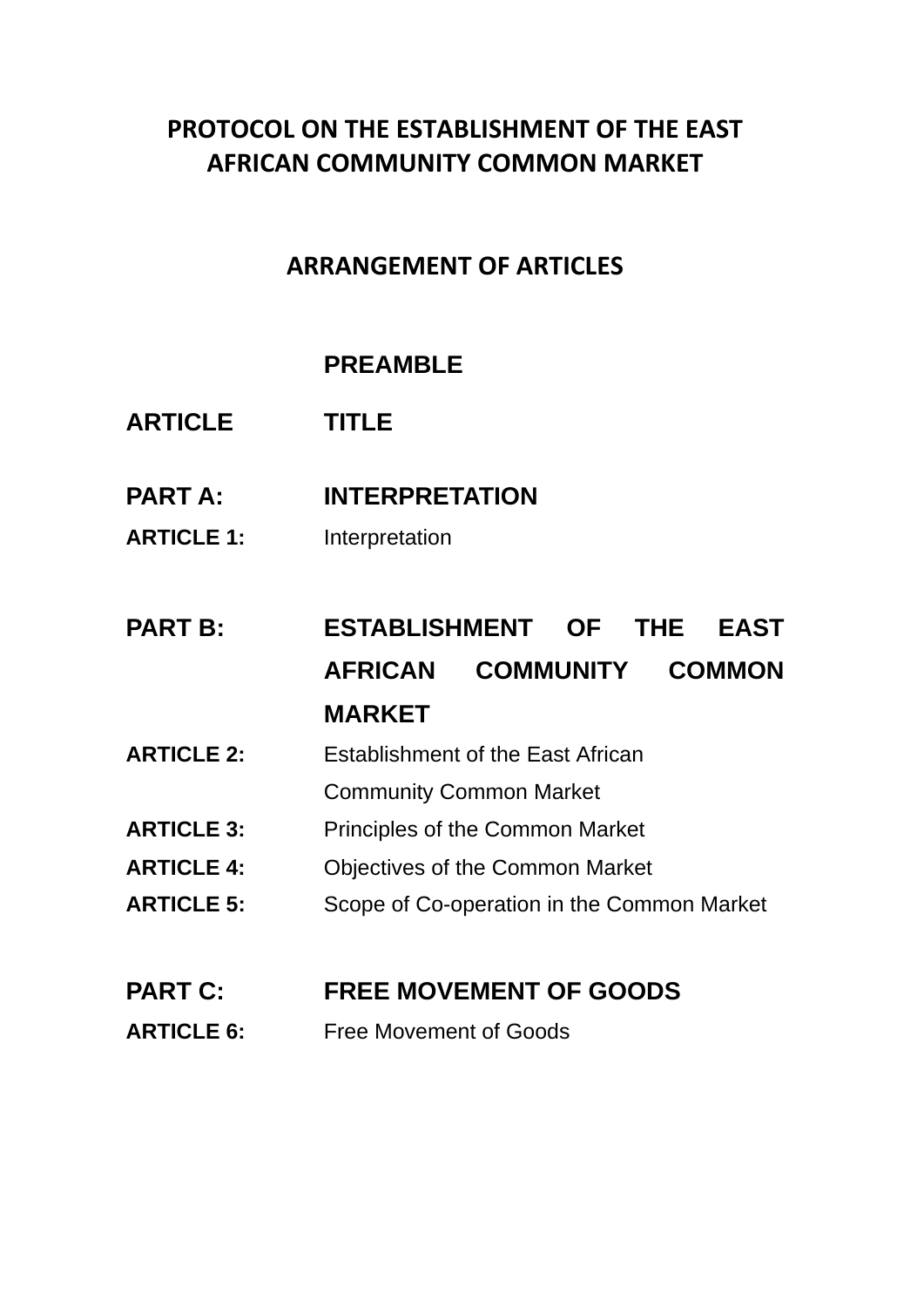## **PROTOCOL ON THE ESTABLISHMENT OF THE EAST AFRICAN COMMUNITY COMMON MARKET**

## **ARRANGEMENT OF ARTICLES**

## **PREAMBLE**

- **ARTICLE TITLE**
- **PART A: INTERPRETATION**
- **ARTICLE 1:** Interpretation

# **PART B: ESTABLISHMENT OF THE EAST AFRICAN COMMUNITY COMMON MARKET**

- **ARTICLE 2:** Establishment of the East African
	- Community Common Market
- **ARTICLE 3:** Principles of the Common Market
- **ARTICLE 4:** Objectives of the Common Market
- **ARTICLE 5:** Scope of Co-operation in the Common Market

## **PART C: FREE MOVEMENT OF GOODS**

**ARTICLE 6:** Free Movement of Goods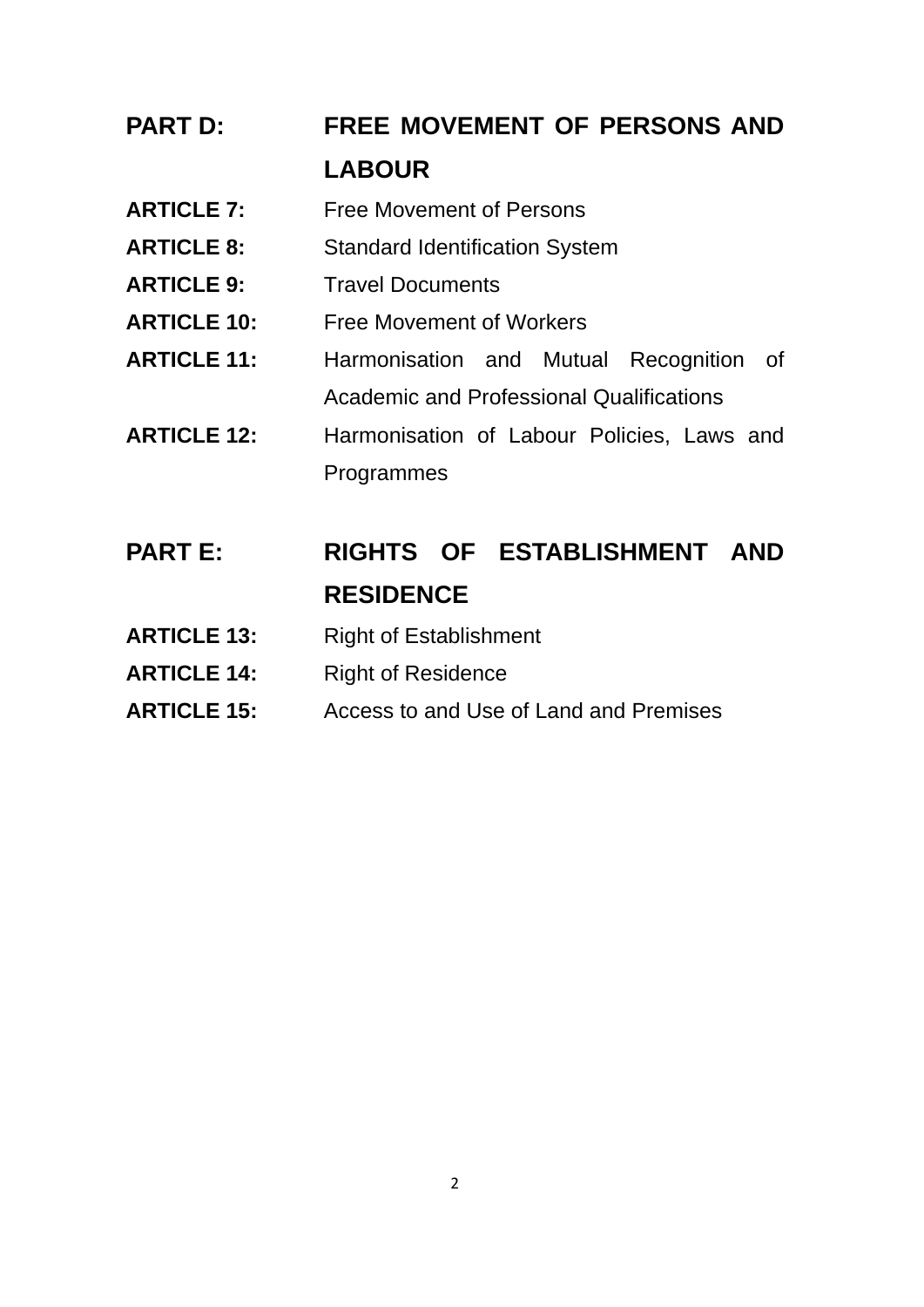# **PART D: FREE MOVEMENT OF PERSONS AND LABOUR**

- **ARTICLE 7:** Free Movement of Persons
- **ARTICLE 8:** Standard Identification System
- **ARTICLE 9:** Travel Documents
- **ARTICLE 10:** Free Movement of Workers
- **ARTICLE 11:** Harmonisation and Mutual Recognition of Academic and Professional Qualifications
- **ARTICLE 12:** Harmonisation of Labour Policies, Laws and Programmes
- **PART E: RIGHTS OF ESTABLISHMENT AND RESIDENCE**
- ARTICLE 13: Right of Establishment
- **ARTICLE 14:** Right of Residence
- **ARTICLE 15:** Access to and Use of Land and Premises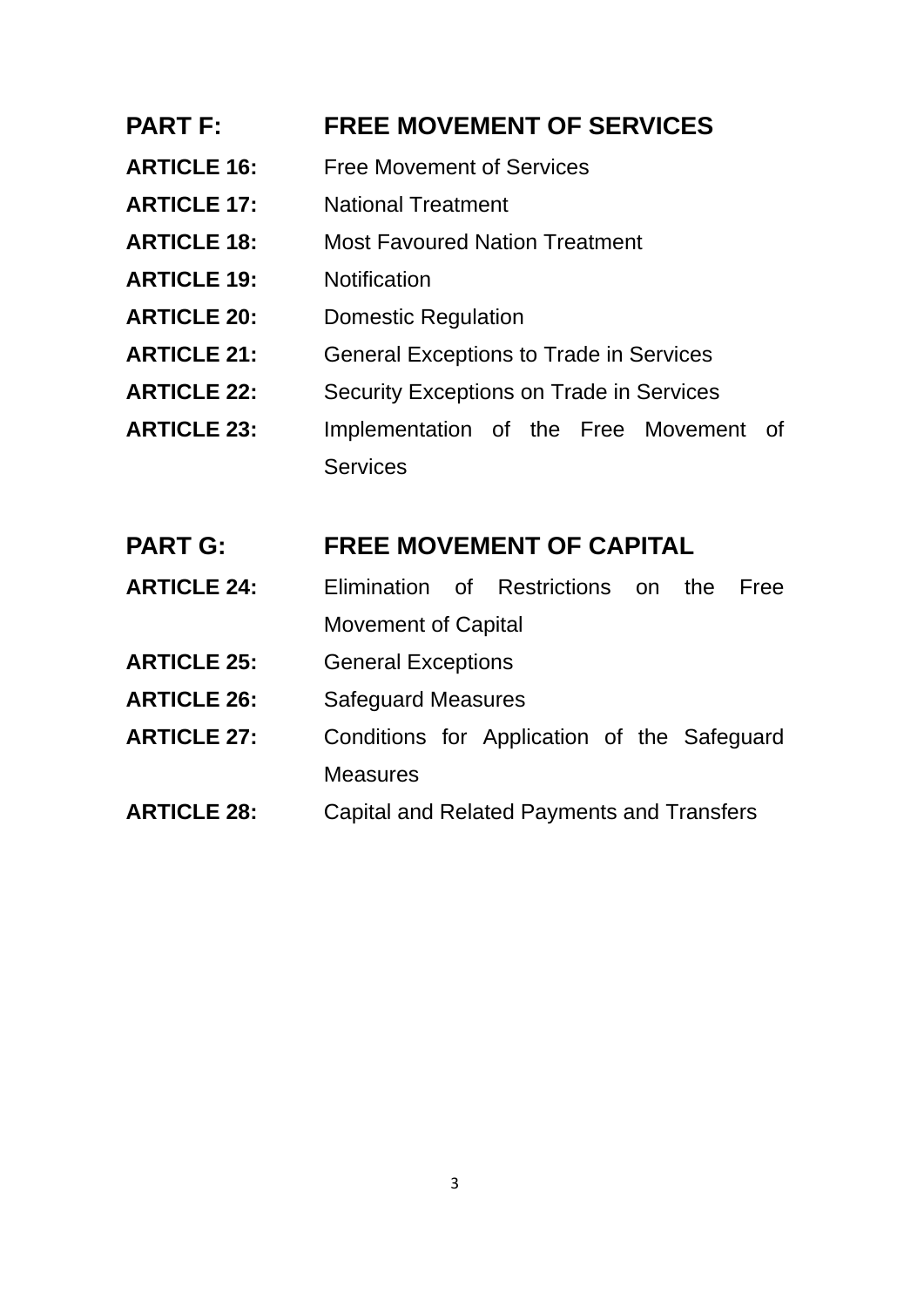#### **PART F: FREE MOVEMENT OF SERVICES**

- **ARTICLE 16:** Free Movement of Services
- **ARTICLE 17:** National Treatment
- **ARTICLE 18:** Most Favoured Nation Treatment
- **ARTICLE 19:** Notification
- **ARTICLE 20:** Domestic Regulation
- **ARTICLE 21:** General Exceptions to Trade in Services
- **ARTICLE 22:** Security Exceptions on Trade in Services
- **ARTICLE 23:** Implementation of the Free Movement of **Services**

#### **PART G: FREE MOVEMENT OF CAPITAL**

- **ARTICLE 24:** Elimination of Restrictions on the Free Movement of Capital
- **ARTICLE 25:** General Exceptions
- **ARTICLE 26:** Safeguard Measures
- **ARTICLE 27:** Conditions for Application of the Safeguard **Measures**
- **ARTICLE 28:** Capital and Related Payments and Transfers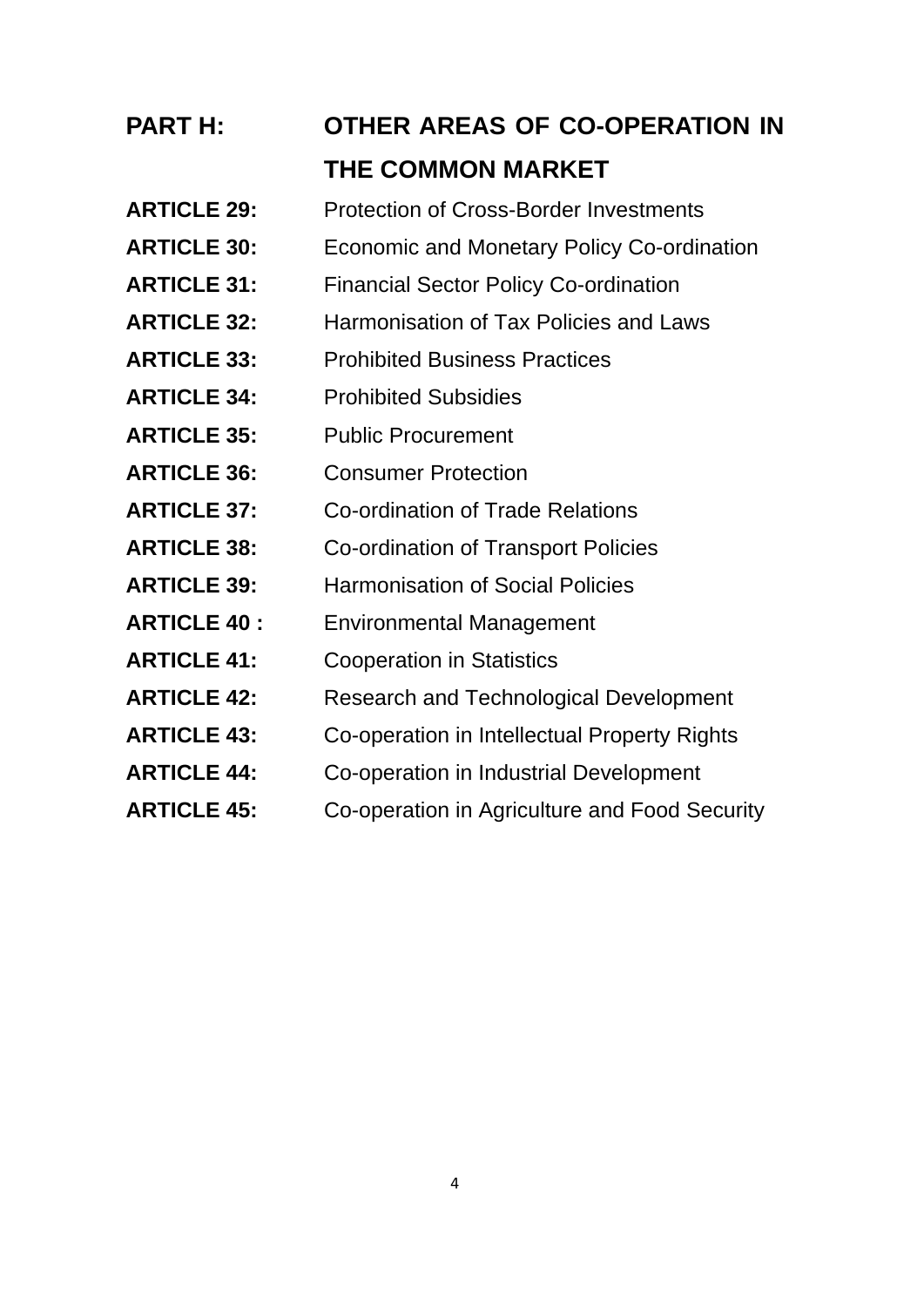# **PART H: OTHER AREAS OF CO-OPERATION IN THE COMMON MARKET**

- **ARTICLE 29:** Protection of Cross-Border Investments
- **ARTICLE 30:** Economic and Monetary Policy Co-ordination
- **ARTICLE 31:** Financial Sector Policy Co-ordination
- **ARTICLE 32:** Harmonisation of Tax Policies and Laws
- **ARTICLE 33:** Prohibited Business Practices
- **ARTICLE 34:** Prohibited Subsidies
- **ARTICLE 35:** Public Procurement
- **ARTICLE 36:** Consumer Protection
- **ARTICLE 37:** Co-ordination of Trade Relations
- **ARTICLE 38:** Co-ordination of Transport Policies
- **ARTICLE 39:** Harmonisation of Social Policies
- **ARTICLE 40 :** Environmental Management
- **ARTICLE 41:** Cooperation in Statistics
- **ARTICLE 42:** Research and Technological Development
- **ARTICLE 43:** Co-operation in Intellectual Property Rights
- **ARTICLE 44:** Co-operation in Industrial Development
- **ARTICLE 45:** Co-operation in Agriculture and Food Security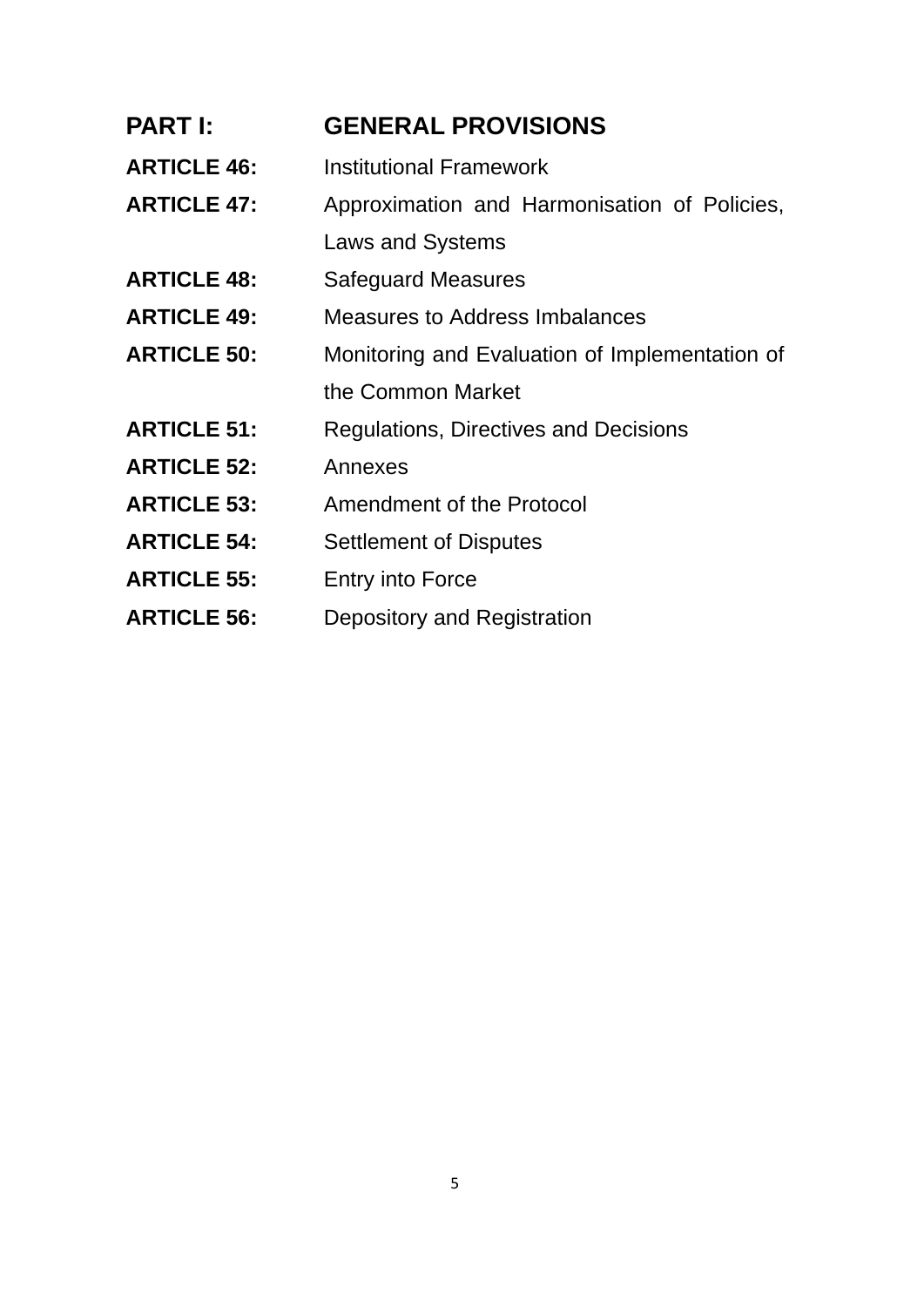#### **PART I: GENERAL PROVISIONS**

- **ARTICLE 46:** Institutional Framework
- **ARTICLE 47:** Approximation and Harmonisation of Policies,
- Laws and Systems
- **ARTICLE 48:** Safeguard Measures
- **ARTICLE 49:** Measures to Address Imbalances
- **ARTICLE 50:** Monitoring and Evaluation of Implementation of the Common Market
- **ARTICLE 51:** Regulations, Directives and Decisions
- **ARTICLE 52:** Annexes
- **ARTICLE 53:** Amendment of the Protocol
- **ARTICLE 54:** Settlement of Disputes
- **ARTICLE 55:** Entry into Force
- **ARTICLE 56:** Depository and Registration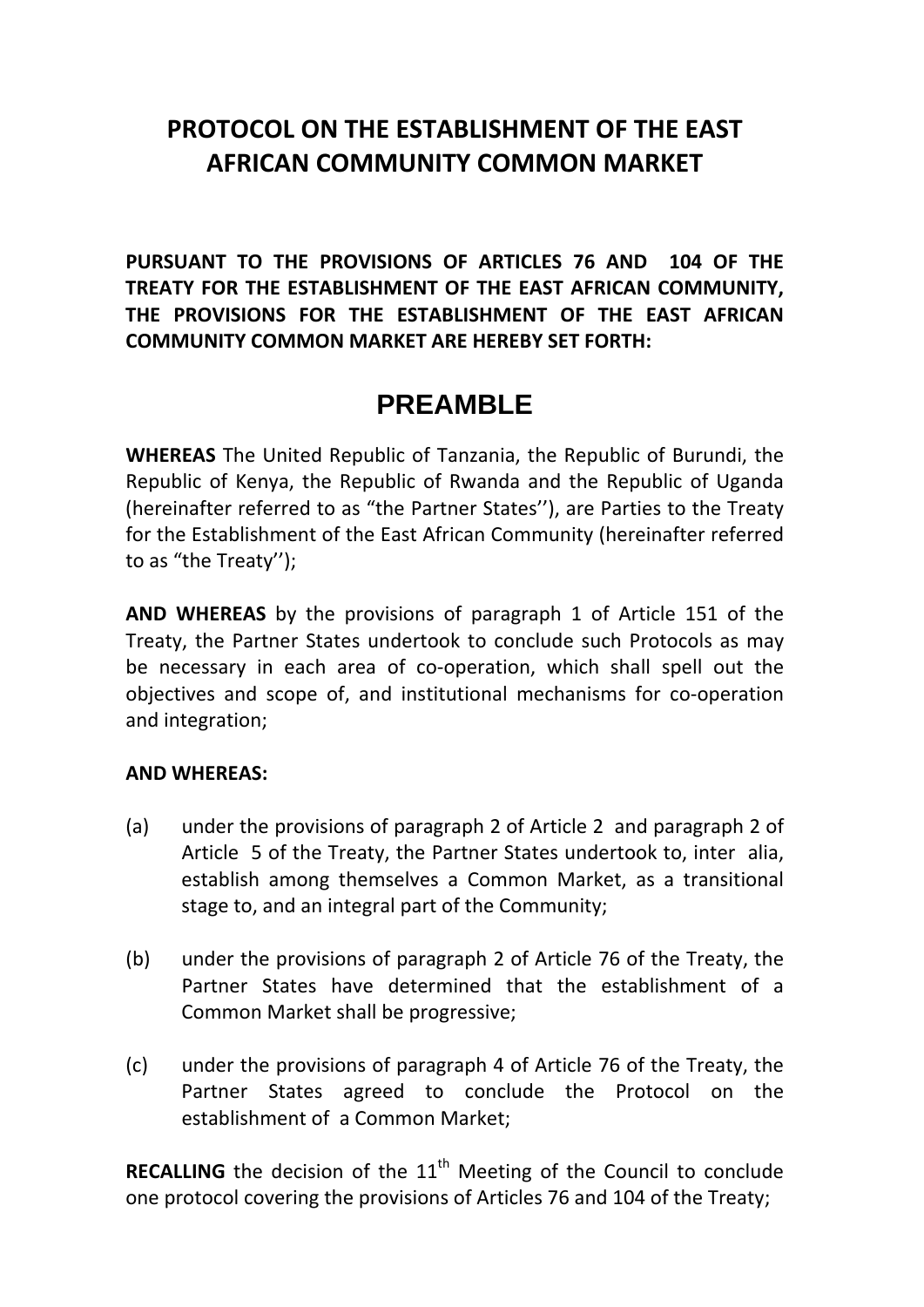## **PROTOCOL ON THE ESTABLISHMENT OF THE EAST AFRICAN COMMUNITY COMMON MARKET**

**PURSUANT TO THE PROVISIONS OF ARTICLES 76 AND 104 OF THE TREATY FOR THE ESTABLISHMENT OF THE EAST AFRICAN COMMUNITY, THE PROVISIONS FOR THE ESTABLISHMENT OF THE EAST AFRICAN COMMUNITY COMMON MARKET ARE HEREBY SET FORTH:**

## **PREAMBLE**

**WHEREAS** The United Republic of Tanzania, the Republic of Burundi, the Republic of Kenya, the Republic of Rwanda and the Republic of Uganda (hereinafter referred to as "the Partner States''), are Parties to the Treaty for the Establishment of the East African Community (hereinafter referred to as "the Treaty'');

**AND WHEREAS** by the provisions of paragraph 1 of Article 151 of the Treaty, the Partner States undertook to conclude such Protocols as may be necessary in each area of co-operation, which shall spell out the objectives and scope of, and institutional mechanisms for co‐operation and integration;

#### **AND WHEREAS:**

- (a) under the provisions of paragraph 2 of Article 2 and paragraph 2 of Article 5 of the Treaty, the Partner States undertook to, inter alia, establish among themselves a Common Market, as a transitional stage to, and an integral part of the Community;
- (b) under the provisions of paragraph 2 of Article 76 of the Treaty, the Partner States have determined that the establishment of a Common Market shall be progressive;
- (c) under the provisions of paragraph 4 of Article 76 of the Treaty, the Partner States agreed to conclude the Protocol on the establishment of a Common Market;

**RECALLING** the decision of the 11<sup>th</sup> Meeting of the Council to conclude one protocol covering the provisions of Articles 76 and 104 of the Treaty;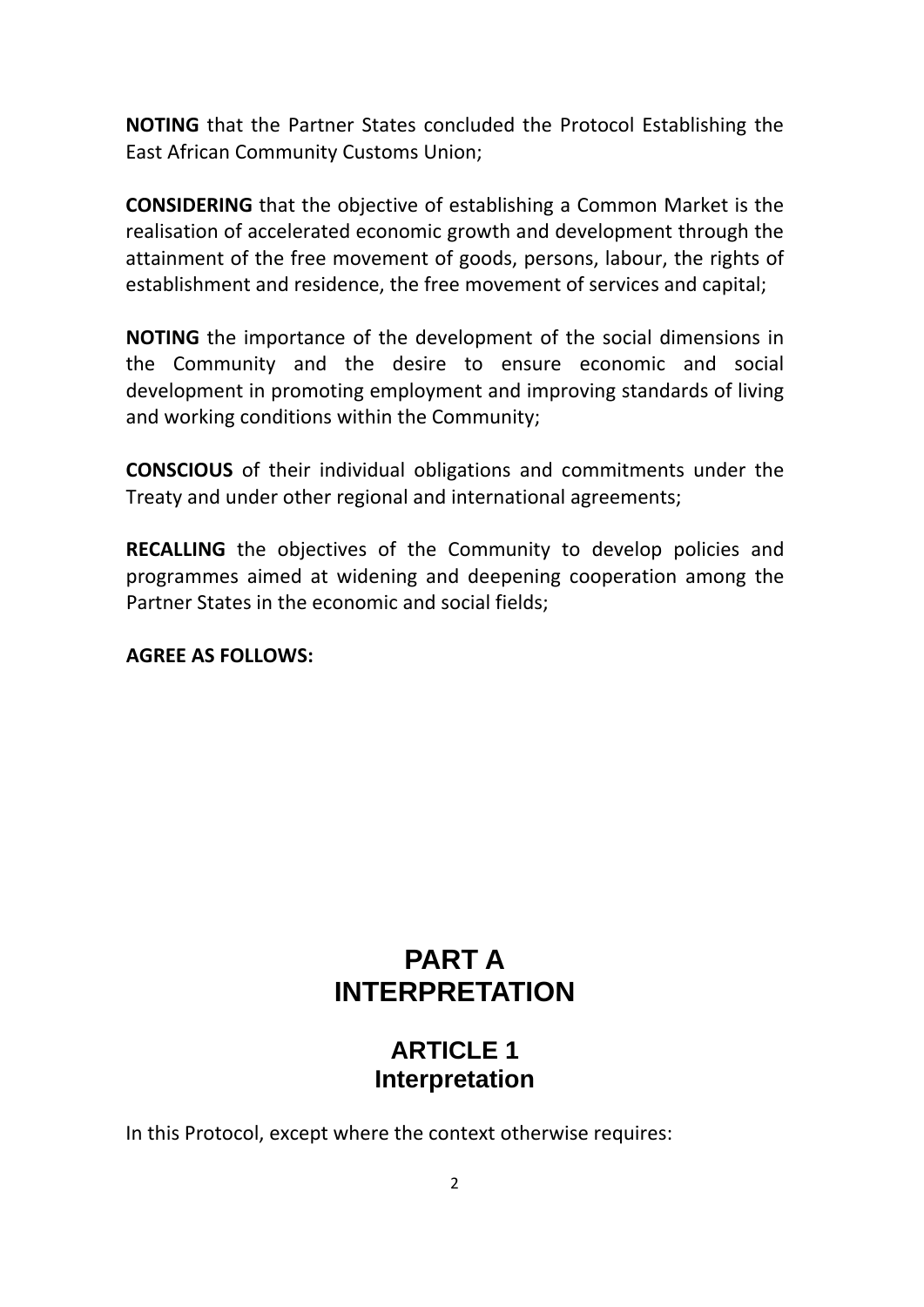**NOTING** that the Partner States concluded the Protocol Establishing the East African Community Customs Union;

**CONSIDERING** that the objective of establishing a Common Market is the realisation of accelerated economic growth and development through the attainment of the free movement of goods, persons, labour, the rights of establishment and residence, the free movement of services and capital;

**NOTING** the importance of the development of the social dimensions in the Community and the desire to ensure economic and social development in promoting employment and improving standards of living and working conditions within the Community;

**CONSCIOUS** of their individual obligations and commitments under the Treaty and under other regional and international agreements;

**RECALLING** the objectives of the Community to develop policies and programmes aimed at widening and deepening cooperation among the Partner States in the economic and social fields;

#### **AGREE AS FOLLOWS:**

## **PART A INTERPRETATION**

## **ARTICLE 1 Interpretation**

In this Protocol, except where the context otherwise requires: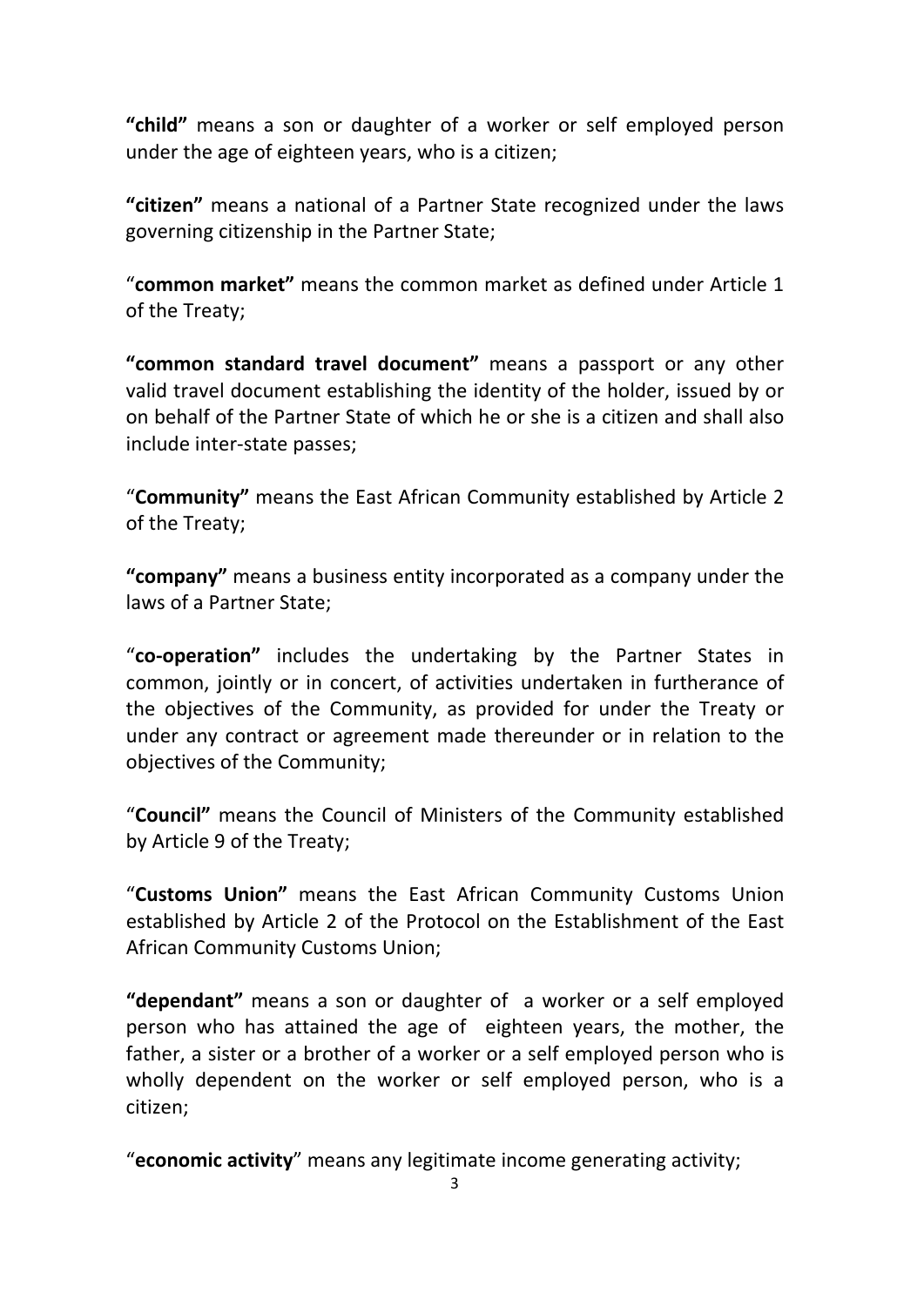**"child"** means a son or daughter of a worker or self employed person under the age of eighteen years, who is a citizen;

**"citizen"** means a national of a Partner State recognized under the laws governing citizenship in the Partner State;

"**common market"** means the common market as defined under Article 1 of the Treaty;

**"common standard travel document"** means a passport or any other valid travel document establishing the identity of the holder, issued by or on behalf of the Partner State of which he or she is a citizen and shall also include inter‐state passes;

"**Community"** means the East African Community established by Article 2 of the Treaty;

**"company"** means a business entity incorporated as a company under the laws of a Partner State;

"**co‐operation"** includes the undertaking by the Partner States in common, jointly or in concert, of activities undertaken in furtherance of the objectives of the Community, as provided for under the Treaty or under any contract or agreement made thereunder or in relation to the objectives of the Community;

"**Council"** means the Council of Ministers of the Community established by Article 9 of the Treaty;

"**Customs Union"** means the East African Community Customs Union established by Article 2 of the Protocol on the Establishment of the East African Community Customs Union;

**"dependant"** means a son or daughter of a worker or a self employed person who has attained the age of eighteen years, the mother, the father, a sister or a brother of a worker or a self employed person who is wholly dependent on the worker or self employed person, who is a citizen;

"**economic activity**" means any legitimate income generating activity;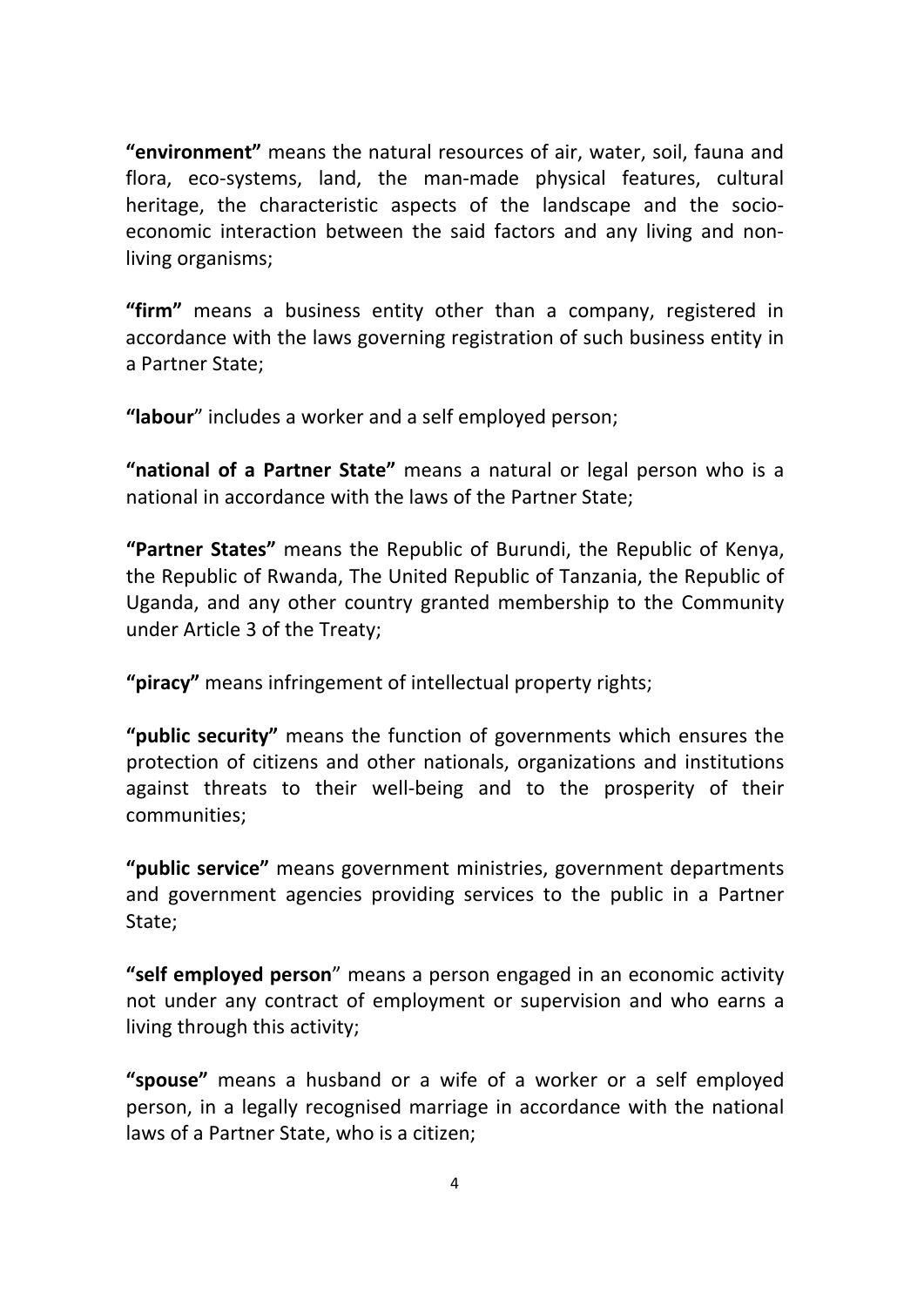**"environment"** means the natural resources of air, water, soil, fauna and flora, eco‐systems, land, the man‐made physical features, cultural heritage, the characteristic aspects of the landscape and the socioeconomic interaction between the said factors and any living and non‐ living organisms;

**"firm"** means a business entity other than a company, registered in accordance with the laws governing registration of such business entity in a Partner State;

**"labour**" includes a worker and a self employed person;

**"national of a Partner State"** means a natural or legal person who is a national in accordance with the laws of the Partner State;

**"Partner States"** means the Republic of Burundi, the Republic of Kenya, the Republic of Rwanda, The United Republic of Tanzania, the Republic of Uganda, and any other country granted membership to the Community under Article 3 of the Treaty;

**"piracy"** means infringement of intellectual property rights;

**"public security"** means the function of governments which ensures the protection of citizens and other nationals, organizations and institutions against threats to their well‐being and to the prosperity of their communities;

**"public service"** means government ministries, government departments and government agencies providing services to the public in a Partner State;

**"self employed person**" means a person engaged in an economic activity not under any contract of employment or supervision and who earns a living through this activity;

**"spouse"** means a husband or a wife of a worker or a self employed person, in a legally recognised marriage in accordance with the national laws of a Partner State, who is a citizen;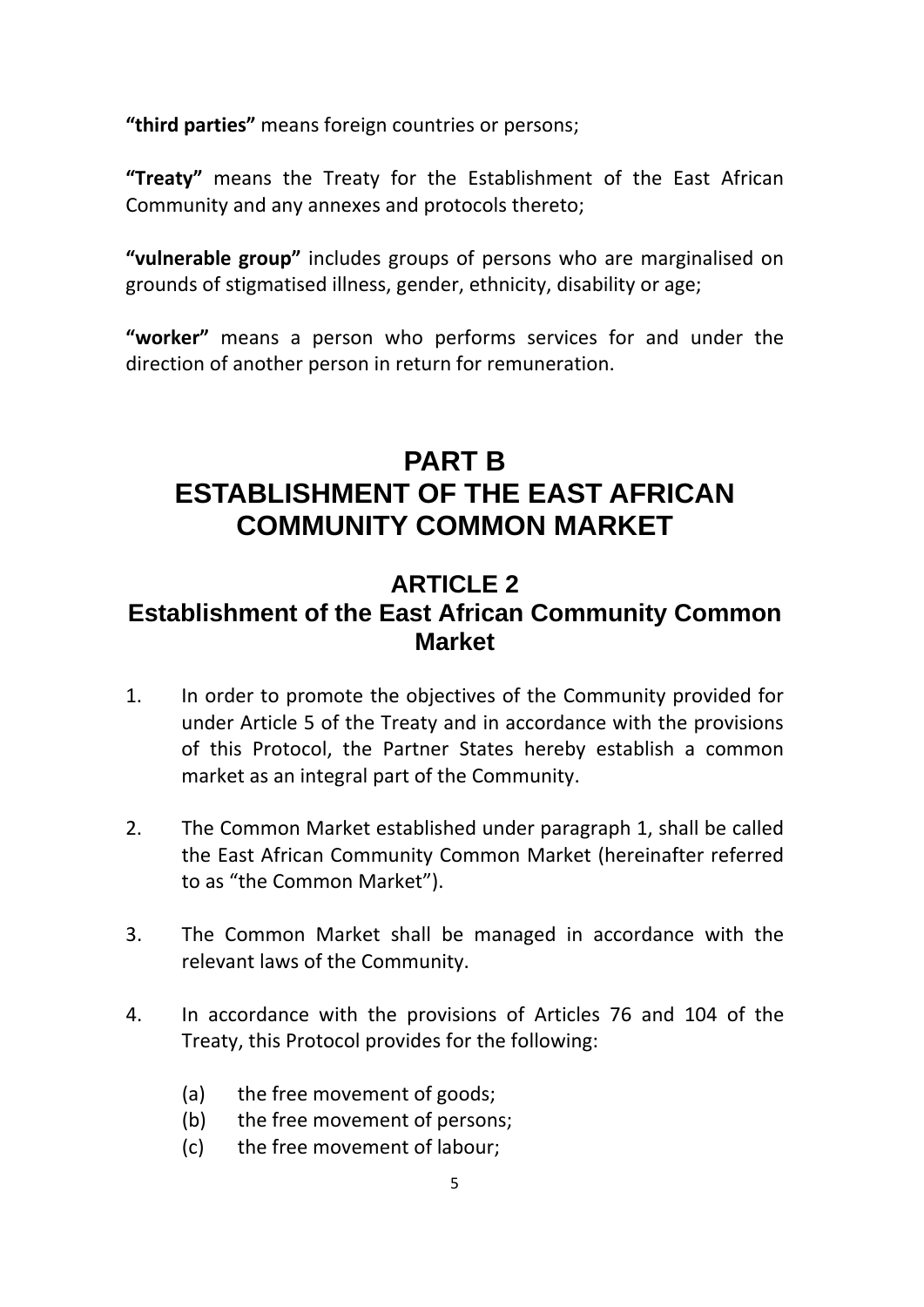**"third parties"** means foreign countries or persons;

**"Treaty"** means the Treaty for the Establishment of the East African Community and any annexes and protocols thereto;

**"vulnerable group"** includes groups of persons who are marginalised on grounds of stigmatised illness, gender, ethnicity, disability or age;

**"worker"** means a person who performs services for and under the direction of another person in return for remuneration.

## **PART B ESTABLISHMENT OF THE EAST AFRICAN COMMUNITY COMMON MARKET**

### **ARTICLE 2 Establishment of the East African Community Common Market**

- 1. In order to promote the objectives of the Community provided for under Article 5 of the Treaty and in accordance with the provisions of this Protocol, the Partner States hereby establish a common market as an integral part of the Community.
- 2. The Common Market established under paragraph 1, shall be called the East African Community Common Market (hereinafter referred to as "the Common Market").
- 3. The Common Market shall be managed in accordance with the relevant laws of the Community.
- 4. In accordance with the provisions of Articles 76 and 104 of the Treaty, this Protocol provides for the following:
	- (a) the free movement of goods;
	- (b) the free movement of persons;
	- (c) the free movement of labour;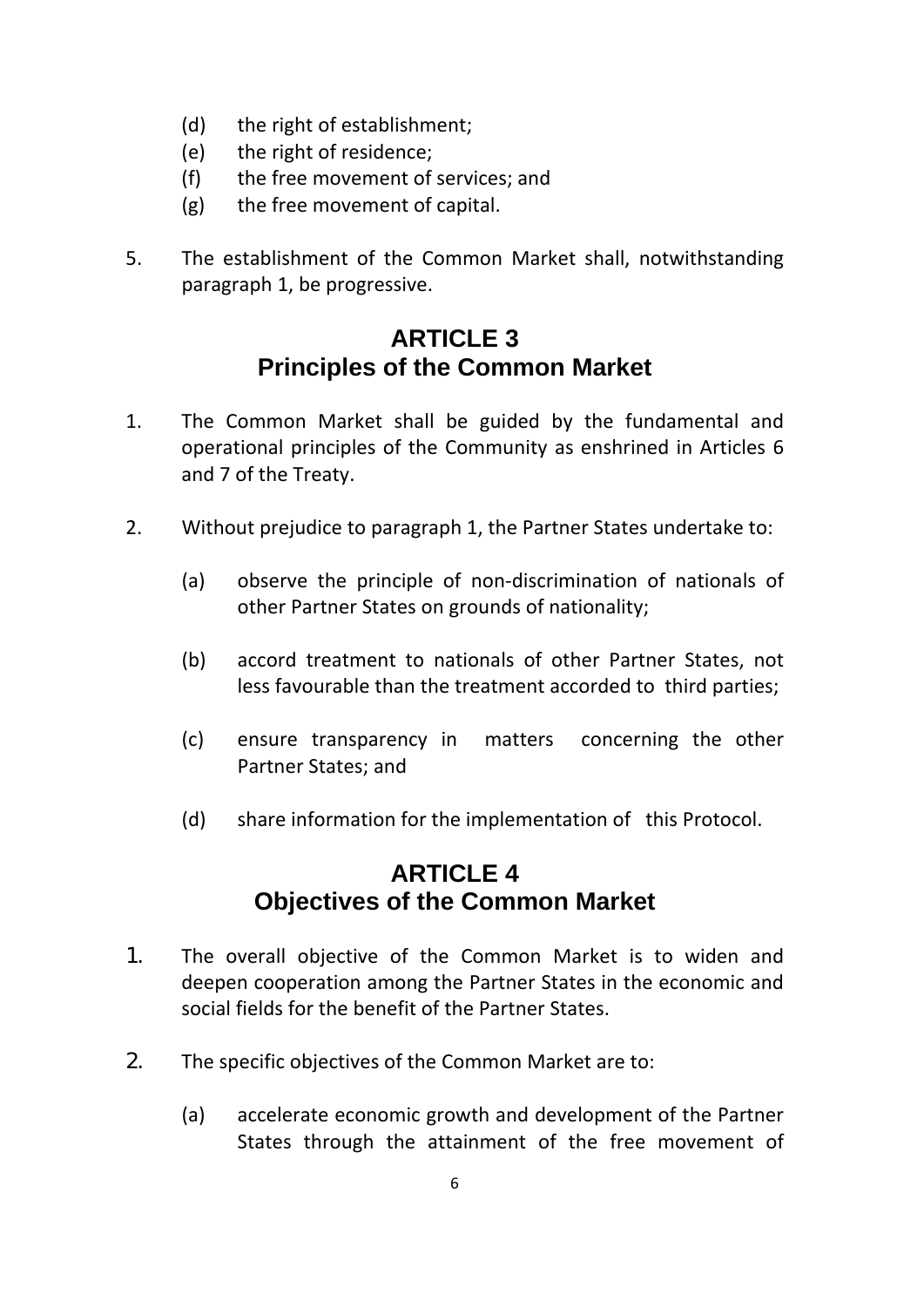- (d) the right of establishment;
- (e) the right of residence;
- (f) the free movement of services; and
- (g) the free movement of capital.
- 5. The establishment of the Common Market shall, notwithstanding paragraph 1, be progressive.

## **ARTICLE 3 Principles of the Common Market**

- 1. The Common Market shall be guided by the fundamental and operational principles of the Community as enshrined in Articles 6 and 7 of the Treaty.
- 2. Without prejudice to paragraph 1, the Partner States undertake to:
	- (a) observe the principle of non‐discrimination of nationals of other Partner States on grounds of nationality;
	- (b) accord treatment to nationals of other Partner States, not less favourable than the treatment accorded to third parties;
	- (c) ensure transparency in matters concerning the other Partner States; and
	- (d) share information for the implementation of this Protocol.

## **ARTICLE 4 Objectives of the Common Market**

- 1. The overall objective of the Common Market is to widen and deepen cooperation among the Partner States in the economic and social fields for the benefit of the Partner States.
- 2. The specific objectives of the Common Market are to:
	- (a) accelerate economic growth and development of the Partner States through the attainment of the free movement of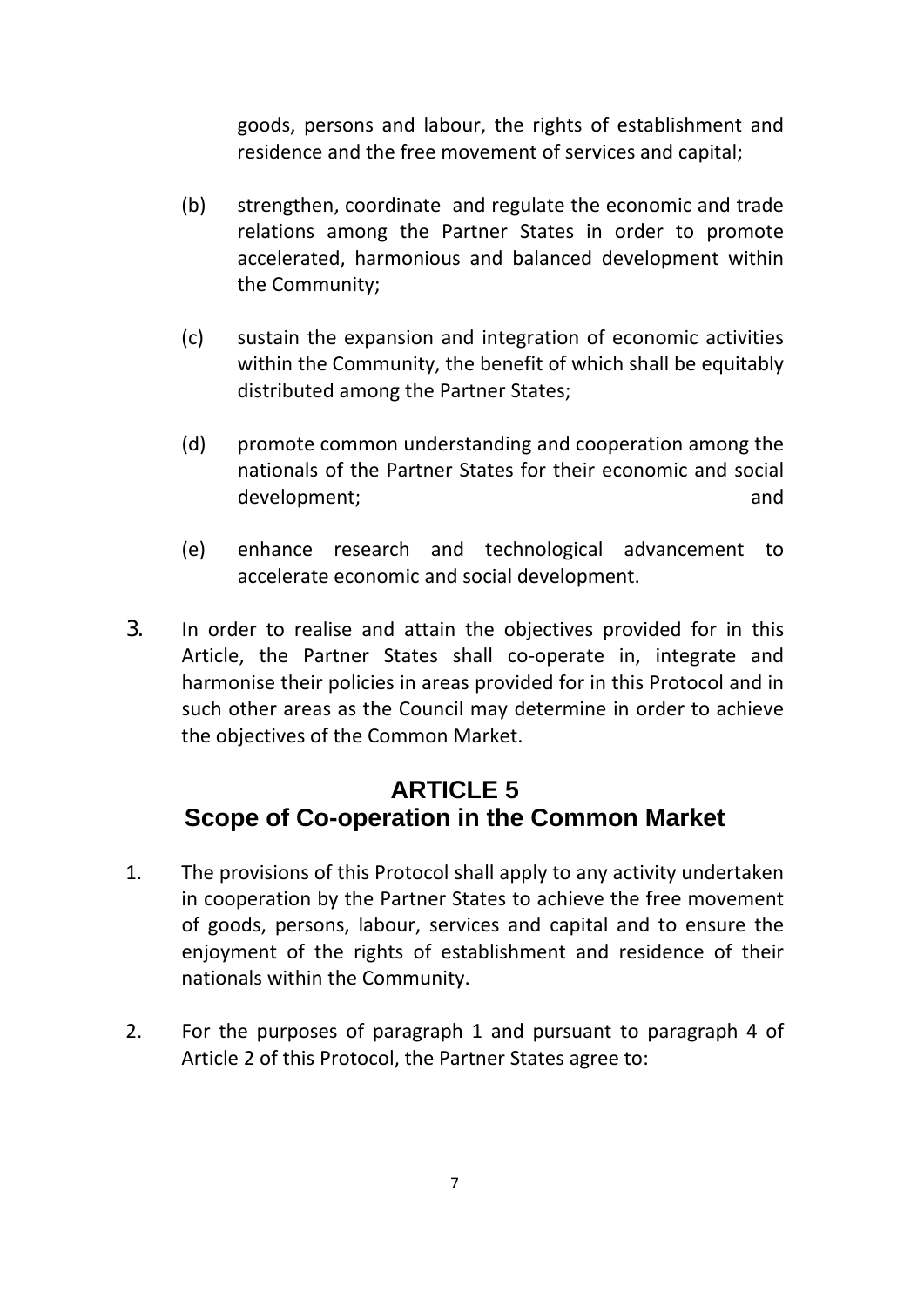goods, persons and labour, the rights of establishment and residence and the free movement of services and capital;

- (b) strengthen, coordinate and regulate the economic and trade relations among the Partner States in order to promote accelerated, harmonious and balanced development within the Community;
- (c) sustain the expansion and integration of economic activities within the Community, the benefit of which shall be equitably distributed among the Partner States;
- (d) promote common understanding and cooperation among the nationals of the Partner States for their economic and social development; and
- (e) enhance research and technological advancement to accelerate economic and social development.
- 3. In order to realise and attain the objectives provided for in this Article, the Partner States shall co-operate in, integrate and harmonise their policies in areas provided for in this Protocol and in such other areas as the Council may determine in order to achieve the objectives of the Common Market.

### **ARTICLE 5 Scope of Co-operation in the Common Market**

- 1. The provisions of this Protocol shall apply to any activity undertaken in cooperation by the Partner States to achieve the free movement of goods, persons, labour, services and capital and to ensure the enjoyment of the rights of establishment and residence of their nationals within the Community.
- 2. For the purposes of paragraph 1 and pursuant to paragraph 4 of Article 2 of this Protocol, the Partner States agree to: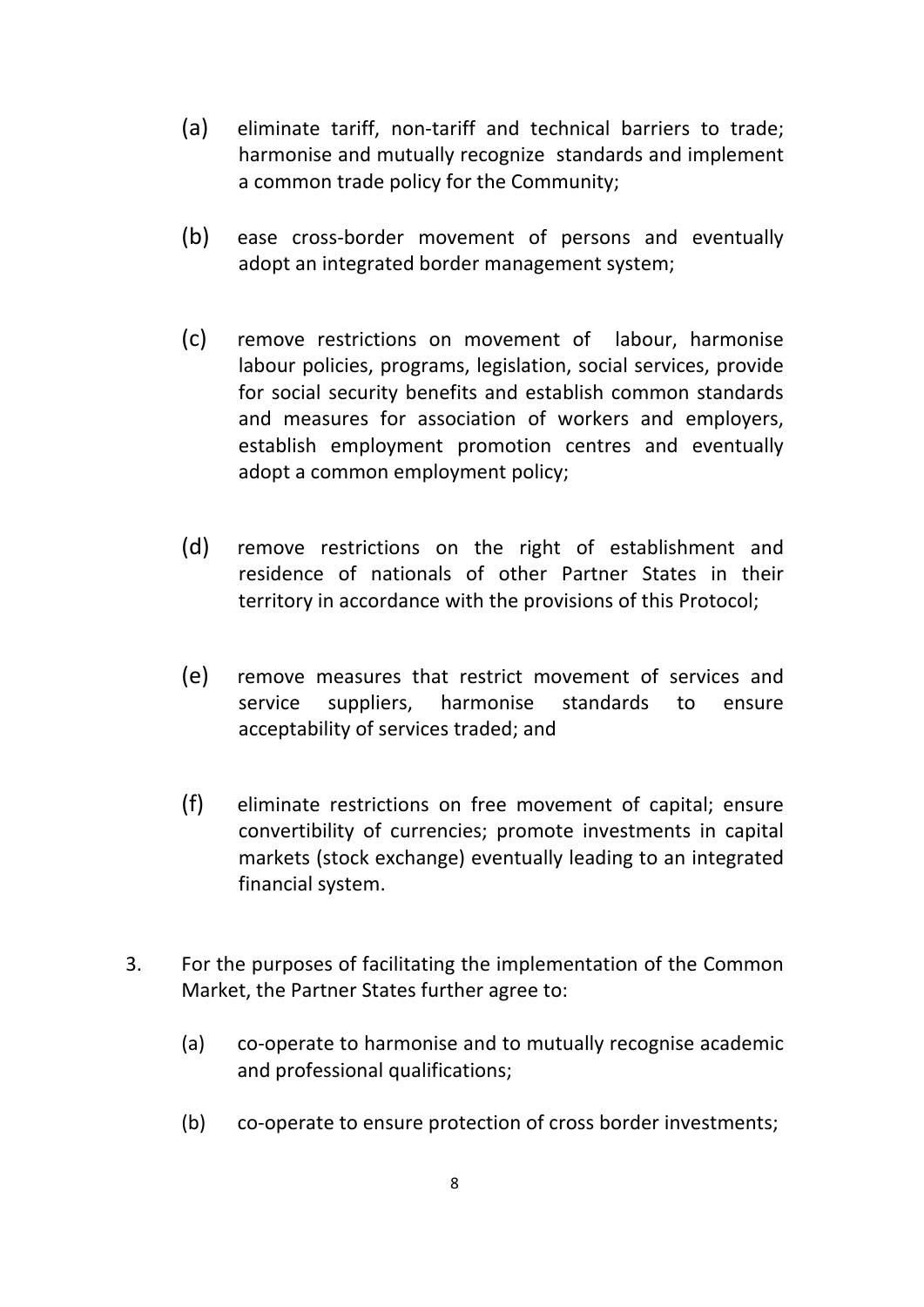- (a) eliminate tariff, non-tariff and technical barriers to trade; harmonise and mutually recognize standards and implement a common trade policy for the Community;
- (b) ease cross‐border movement of persons and eventually adopt an integrated border management system;
- (c) remove restrictions on movement of labour, harmonise labour policies, programs, legislation, social services, provide for social security benefits and establish common standards and measures for association of workers and employers, establish employment promotion centres and eventually adopt a common employment policy;
- (d) remove restrictions on the right of establishment and residence of nationals of other Partner States in their territory in accordance with the provisions of this Protocol;
- (e) remove measures that restrict movement of services and service suppliers, harmonise standards to ensure acceptability of services traded; and
- (f) eliminate restrictions on free movement of capital; ensure convertibility of currencies; promote investments in capital markets (stock exchange) eventually leading to an integrated financial system.
- 3. For the purposes of facilitating the implementation of the Common Market, the Partner States further agree to:
	- (a) co-operate to harmonise and to mutually recognise academic and professional qualifications;
	- (b) co-operate to ensure protection of cross border investments;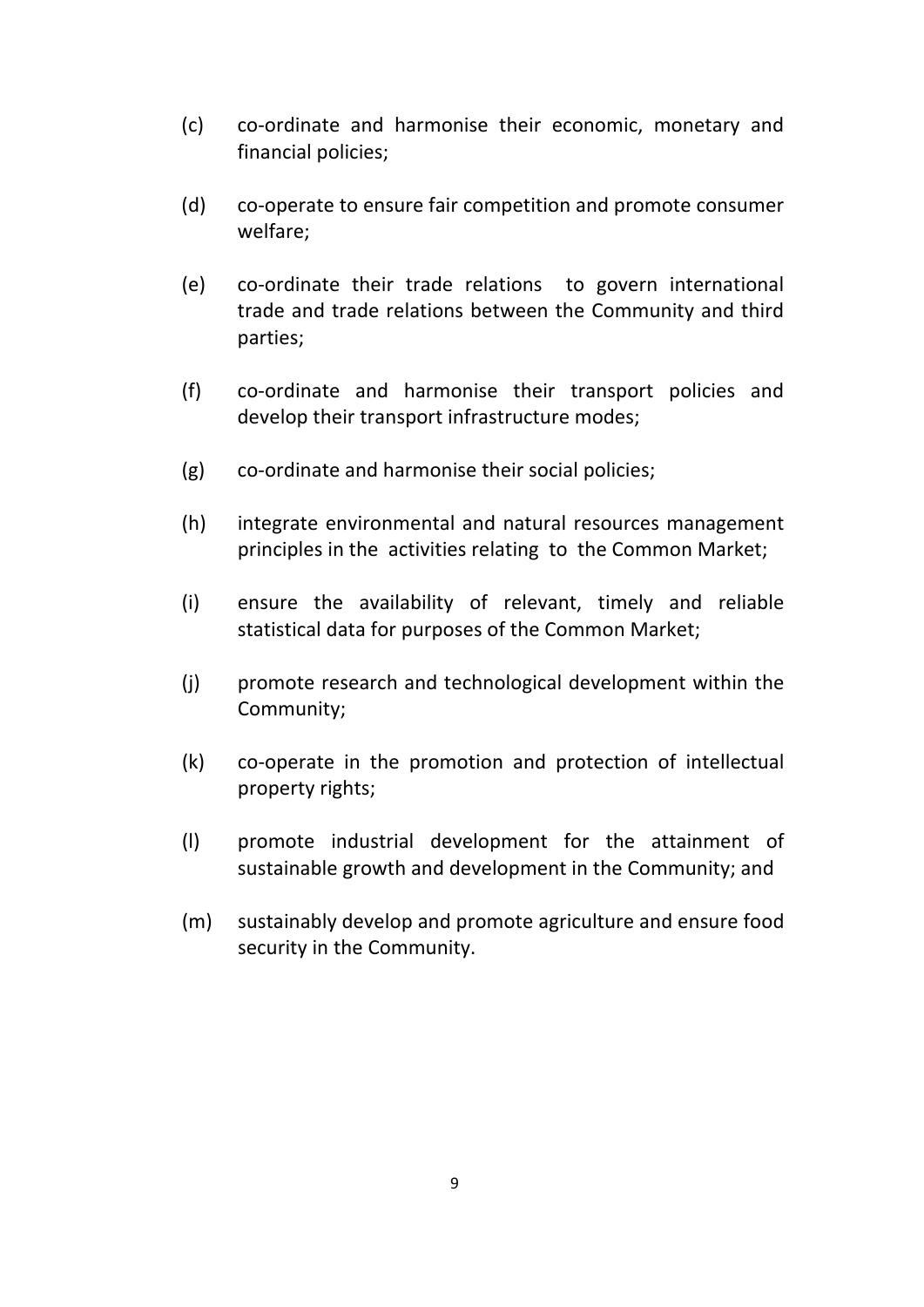- (c) co‐ordinate and harmonise their economic, monetary and financial policies;
- (d) co‐operate to ensure fair competition and promote consumer welfare;
- (e) co‐ordinate their trade relations to govern international trade and trade relations between the Community and third parties;
- (f) co‐ordinate and harmonise their transport policies and develop their transport infrastructure modes;
- (g) co‐ordinate and harmonise their social policies;
- (h) integrate environmental and natural resources management principles in the activities relating to the Common Market;
- (i) ensure the availability of relevant, timely and reliable statistical data for purposes of the Common Market;
- (j) promote research and technological development within the Community;
- (k) co‐operate in the promotion and protection of intellectual property rights;
- (l) promote industrial development for the attainment of sustainable growth and development in the Community; and
- (m) sustainably develop and promote agriculture and ensure food security in the Community.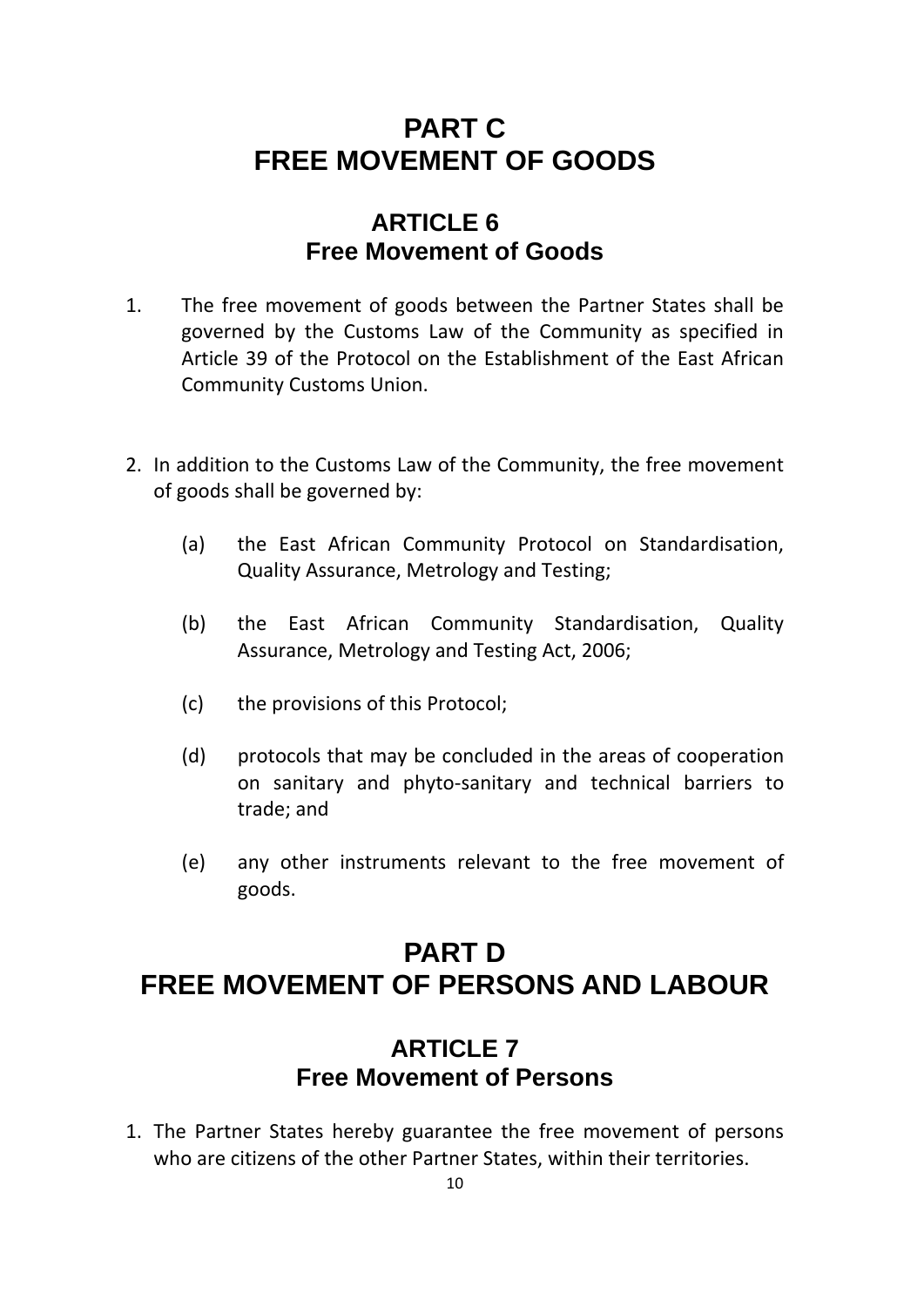## **PART C FREE MOVEMENT OF GOODS**

### **ARTICLE 6 Free Movement of Goods**

- 1. The free movement of goods between the Partner States shall be governed by the Customs Law of the Community as specified in Article 39 of the Protocol on the Establishment of the East African Community Customs Union.
- 2. In addition to the Customs Law of the Community, the free movement of goods shall be governed by:
	- (a) the East African Community Protocol on Standardisation, Quality Assurance, Metrology and Testing;
	- (b) the East African Community Standardisation, Quality Assurance, Metrology and Testing Act, 2006;
	- (c) the provisions of this Protocol;
	- (d) protocols that may be concluded in the areas of cooperation on sanitary and phyto‐sanitary and technical barriers to trade; and
	- (e) any other instruments relevant to the free movement of goods.

## **PART D FREE MOVEMENT OF PERSONS AND LABOUR**

#### **ARTICLE 7 Free Movement of Persons**

1. The Partner States hereby guarantee the free movement of persons who are citizens of the other Partner States, within their territories.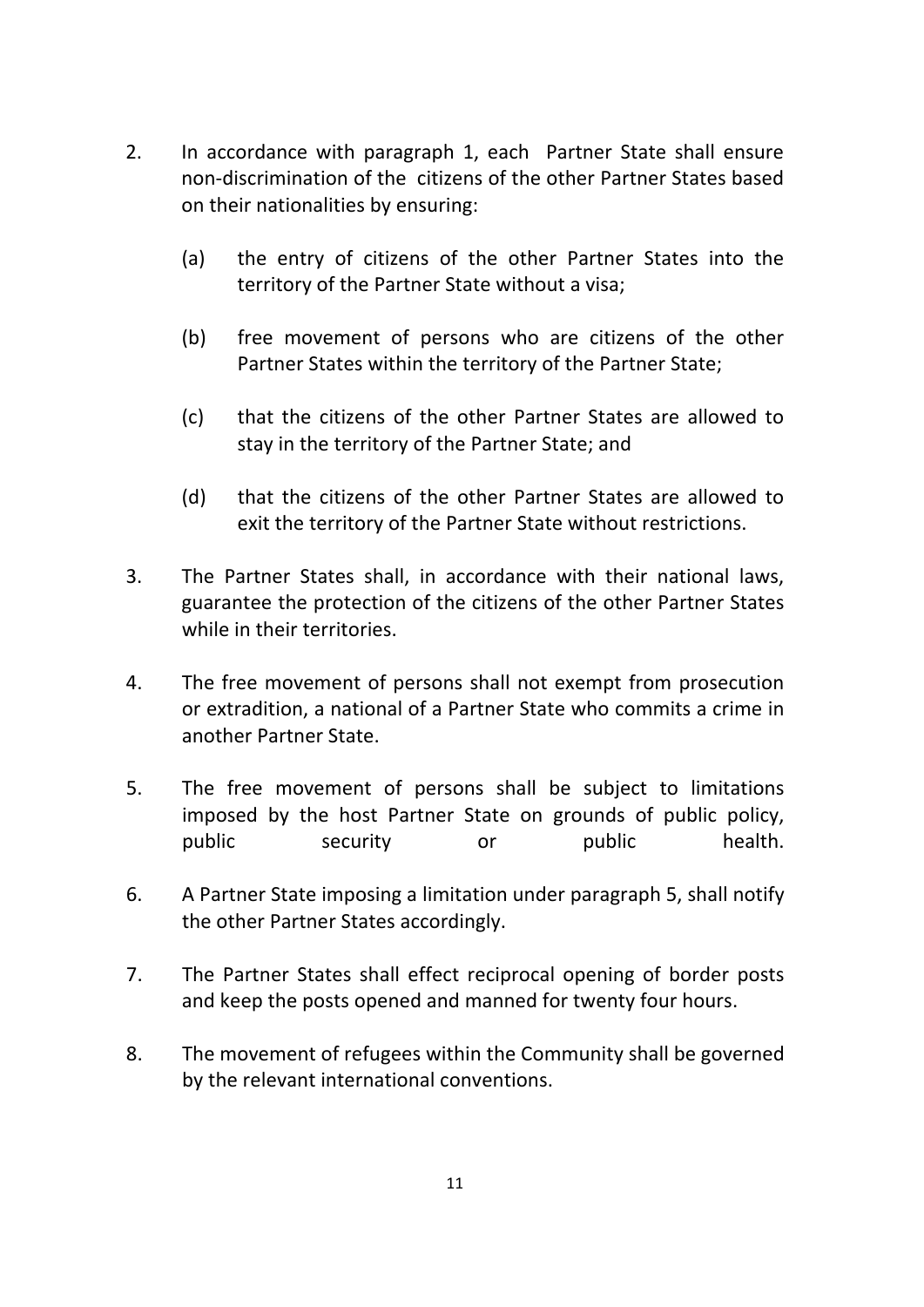- 2. In accordance with paragraph 1, each Partner State shall ensure non‐discrimination of the citizens of the other Partner States based on their nationalities by ensuring:
	- (a) the entry of citizens of the other Partner States into the territory of the Partner State without a visa;
	- (b) free movement of persons who are citizens of the other Partner States within the territory of the Partner State;
	- (c) that the citizens of the other Partner States are allowed to stay in the territory of the Partner State; and
	- (d) that the citizens of the other Partner States are allowed to exit the territory of the Partner State without restrictions.
- 3. The Partner States shall, in accordance with their national laws, guarantee the protection of the citizens of the other Partner States while in their territories.
- 4. The free movement of persons shall not exempt from prosecution or extradition, a national of a Partner State who commits a crime in another Partner State.
- 5. The free movement of persons shall be subject to limitations imposed by the host Partner State on grounds of public policy, public security or public health.
- 6. A Partner State imposing a limitation under paragraph 5, shall notify the other Partner States accordingly.
- 7. The Partner States shall effect reciprocal opening of border posts and keep the posts opened and manned for twenty four hours.
- 8. The movement of refugees within the Community shall be governed by the relevant international conventions.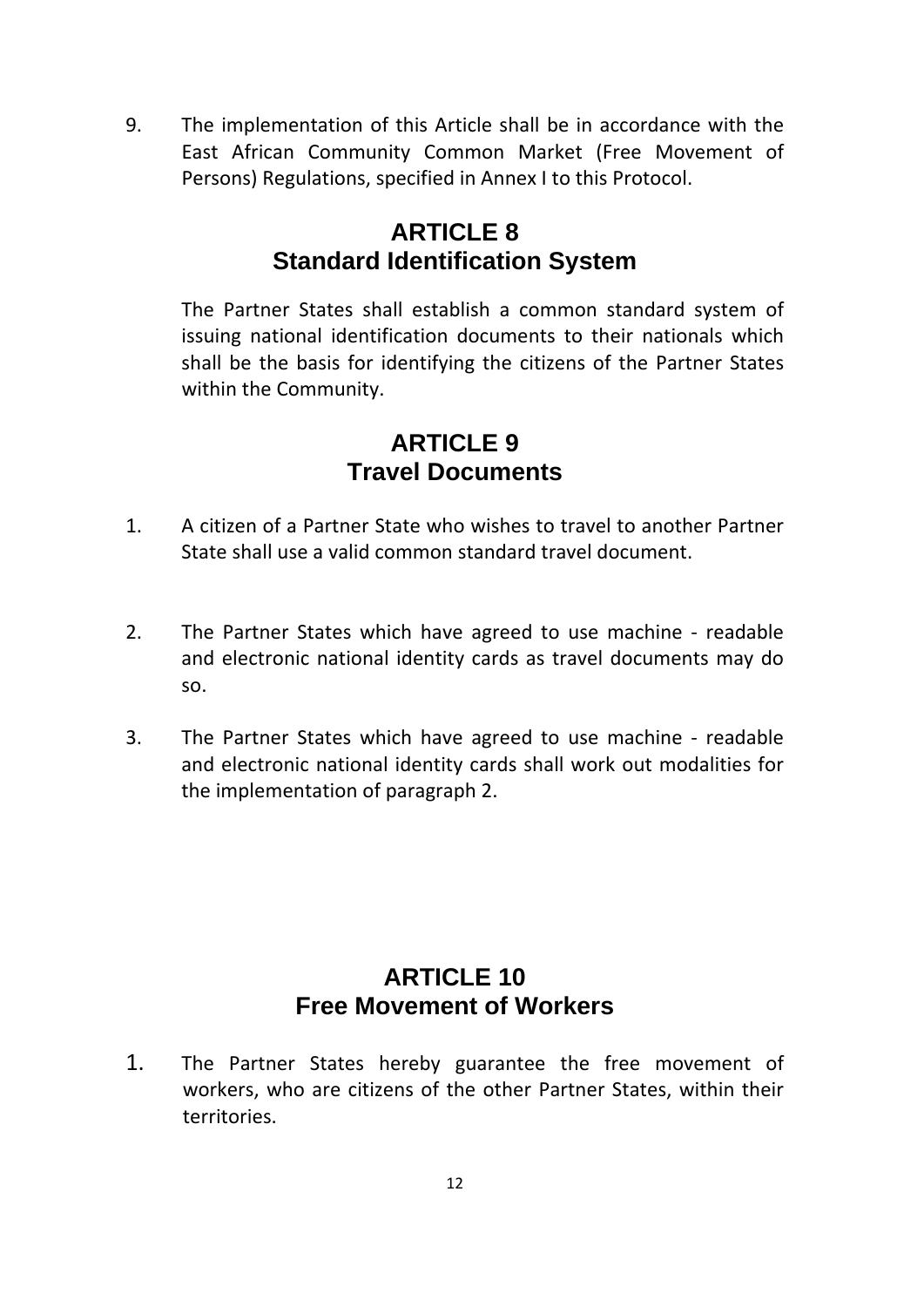9. The implementation of this Article shall be in accordance with the East African Community Common Market (Free Movement of Persons) Regulations, specified in Annex I to this Protocol.

## **ARTICLE 8 Standard Identification System**

The Partner States shall establish a common standard system of issuing national identification documents to their nationals which shall be the basis for identifying the citizens of the Partner States within the Community.

## **ARTICLE 9 Travel Documents**

- 1. A citizen of a Partner State who wishes to travel to another Partner State shall use a valid common standard travel document.
- 2. The Partner States which have agreed to use machine readable and electronic national identity cards as travel documents may do so.
- 3. The Partner States which have agreed to use machine ‐ readable and electronic national identity cards shall work out modalities for the implementation of paragraph 2.

## **ARTICLE 10 Free Movement of Workers**

1. The Partner States hereby guarantee the free movement of workers, who are citizens of the other Partner States, within their territories.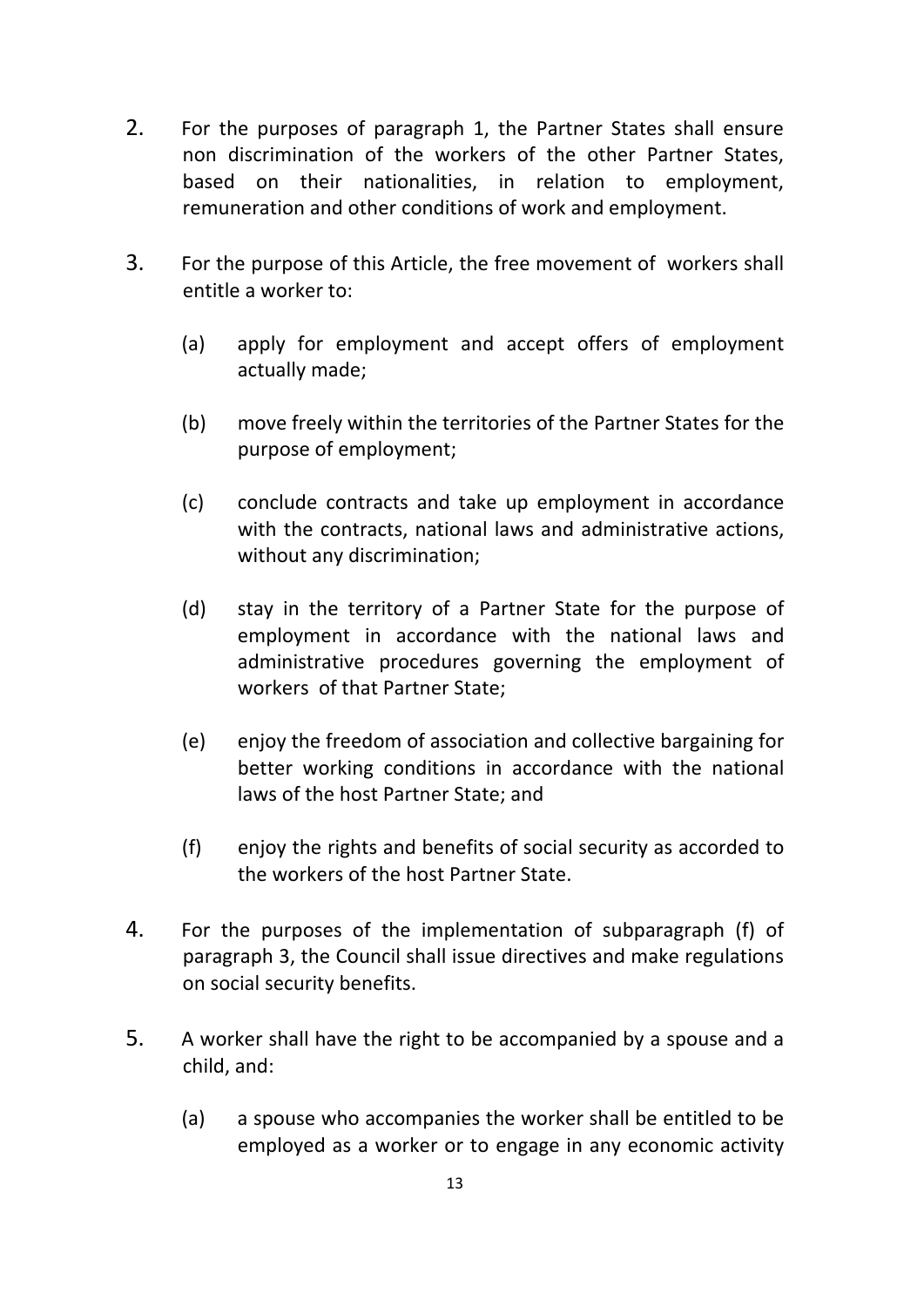- 2. For the purposes of paragraph 1, the Partner States shall ensure non discrimination of the workers of the other Partner States, based on their nationalities, in relation to employment, remuneration and other conditions of work and employment.
- 3. For the purpose of this Article, the free movement of workers shall entitle a worker to:
	- (a) apply for employment and accept offers of employment actually made;
	- (b) move freely within the territories of the Partner States for the purpose of employment;
	- (c) conclude contracts and take up employment in accordance with the contracts, national laws and administrative actions, without any discrimination;
	- (d) stay in the territory of a Partner State for the purpose of employment in accordance with the national laws and administrative procedures governing the employment of workers of that Partner State;
	- (e) enjoy the freedom of association and collective bargaining for better working conditions in accordance with the national laws of the host Partner State; and
	- (f) enjoy the rights and benefits of social security as accorded to the workers of the host Partner State.
- 4. For the purposes of the implementation of subparagraph (f) of paragraph 3, the Council shall issue directives and make regulations on social security benefits.
- 5. A worker shall have the right to be accompanied by a spouse and a child, and:
	- (a) a spouse who accompanies the worker shall be entitled to be employed as a worker or to engage in any economic activity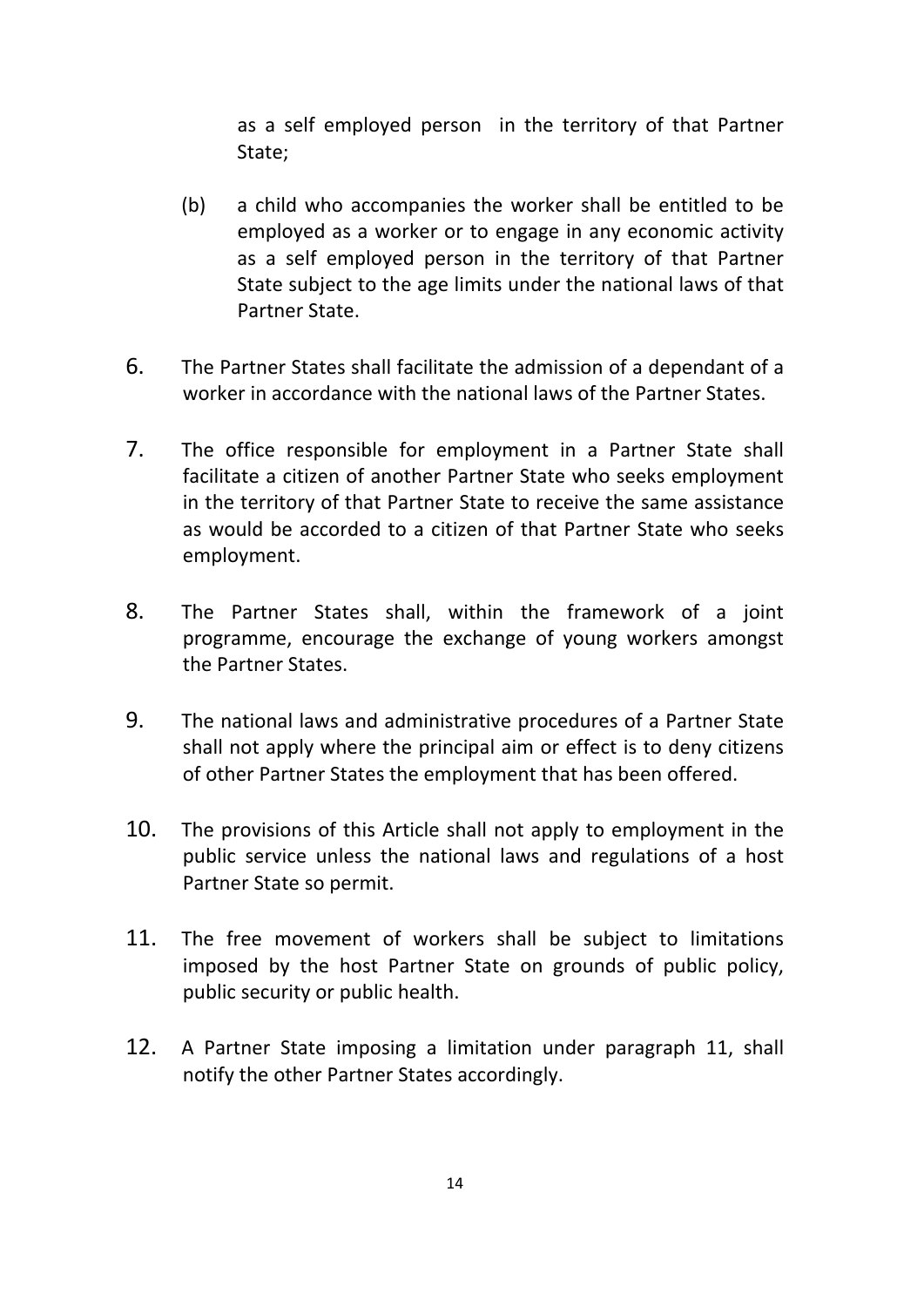as a self employed person in the territory of that Partner State;

- (b) a child who accompanies the worker shall be entitled to be employed as a worker or to engage in any economic activity as a self employed person in the territory of that Partner State subject to the age limits under the national laws of that Partner State.
- 6. The Partner States shall facilitate the admission of a dependant of a worker in accordance with the national laws of the Partner States.
- 7. The office responsible for employment in a Partner State shall facilitate a citizen of another Partner State who seeks employment in the territory of that Partner State to receive the same assistance as would be accorded to a citizen of that Partner State who seeks employment.
- 8. The Partner States shall, within the framework of a joint programme, encourage the exchange of young workers amongst the Partner States.
- 9. The national laws and administrative procedures of a Partner State shall not apply where the principal aim or effect is to deny citizens of other Partner States the employment that has been offered.
- 10. The provisions of this Article shall not apply to employment in the public service unless the national laws and regulations of a host Partner State so permit.
- 11. The free movement of workers shall be subject to limitations imposed by the host Partner State on grounds of public policy, public security or public health.
- 12. A Partner State imposing a limitation under paragraph 11, shall notify the other Partner States accordingly.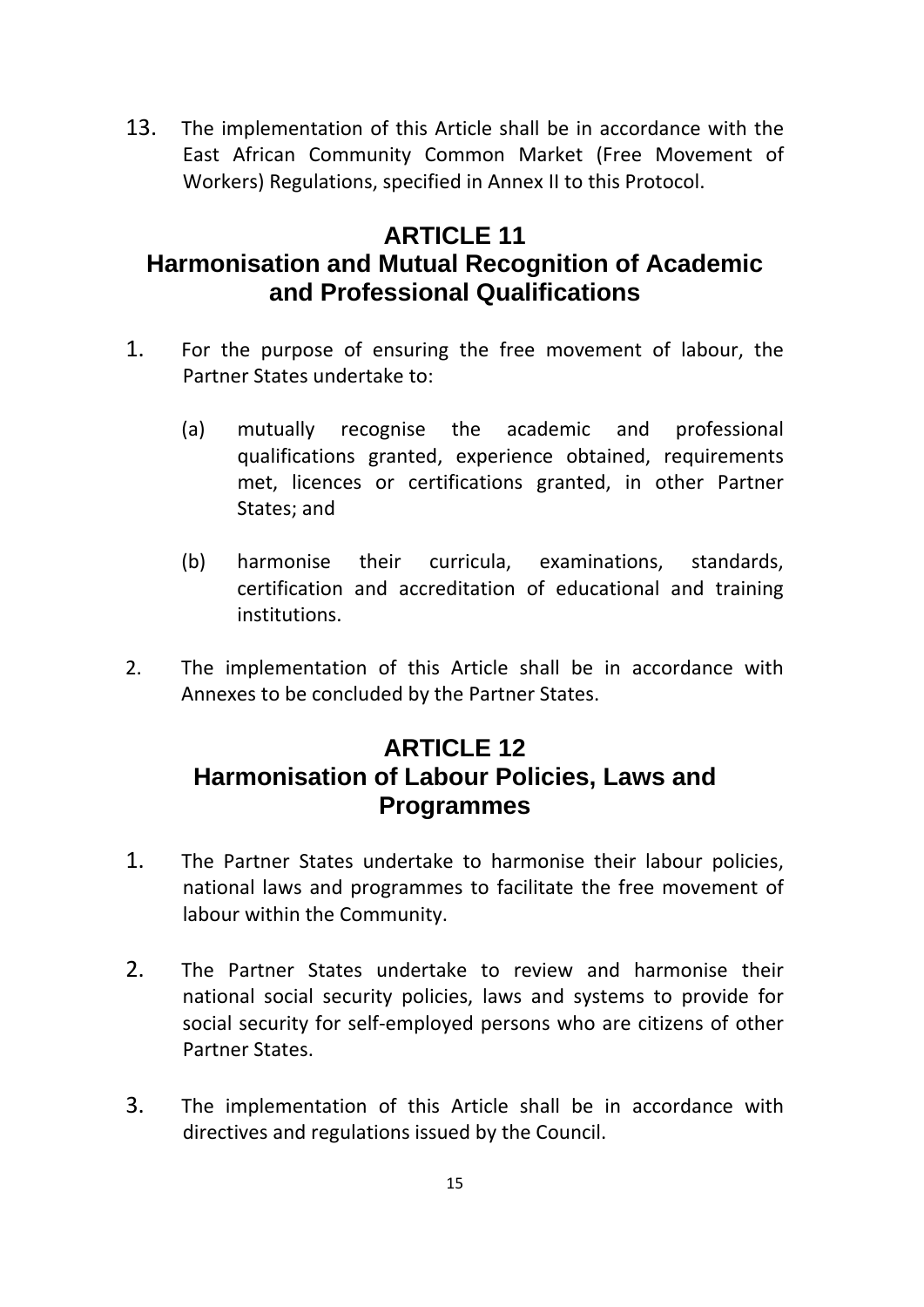13. The implementation of this Article shall be in accordance with the East African Community Common Market (Free Movement of Workers) Regulations, specified in Annex II to this Protocol.

## **ARTICLE 11**

## **Harmonisation and Mutual Recognition of Academic and Professional Qualifications**

- 1. For the purpose of ensuring the free movement of labour, the Partner States undertake to:
	- (a) mutually recognise the academic and professional qualifications granted, experience obtained, requirements met, licences or certifications granted, in other Partner States; and
	- (b) harmonise their curricula, examinations, standards, certification and accreditation of educational and training institutions.
- 2. The implementation of this Article shall be in accordance with Annexes to be concluded by the Partner States.

## **ARTICLE 12 Harmonisation of Labour Policies, Laws and Programmes**

- 1. The Partner States undertake to harmonise their labour policies, national laws and programmes to facilitate the free movement of labour within the Community.
- 2. The Partner States undertake to review and harmonise their national social security policies, laws and systems to provide for social security for self‐employed persons who are citizens of other Partner States.
- 3. The implementation of this Article shall be in accordance with directives and regulations issued by the Council.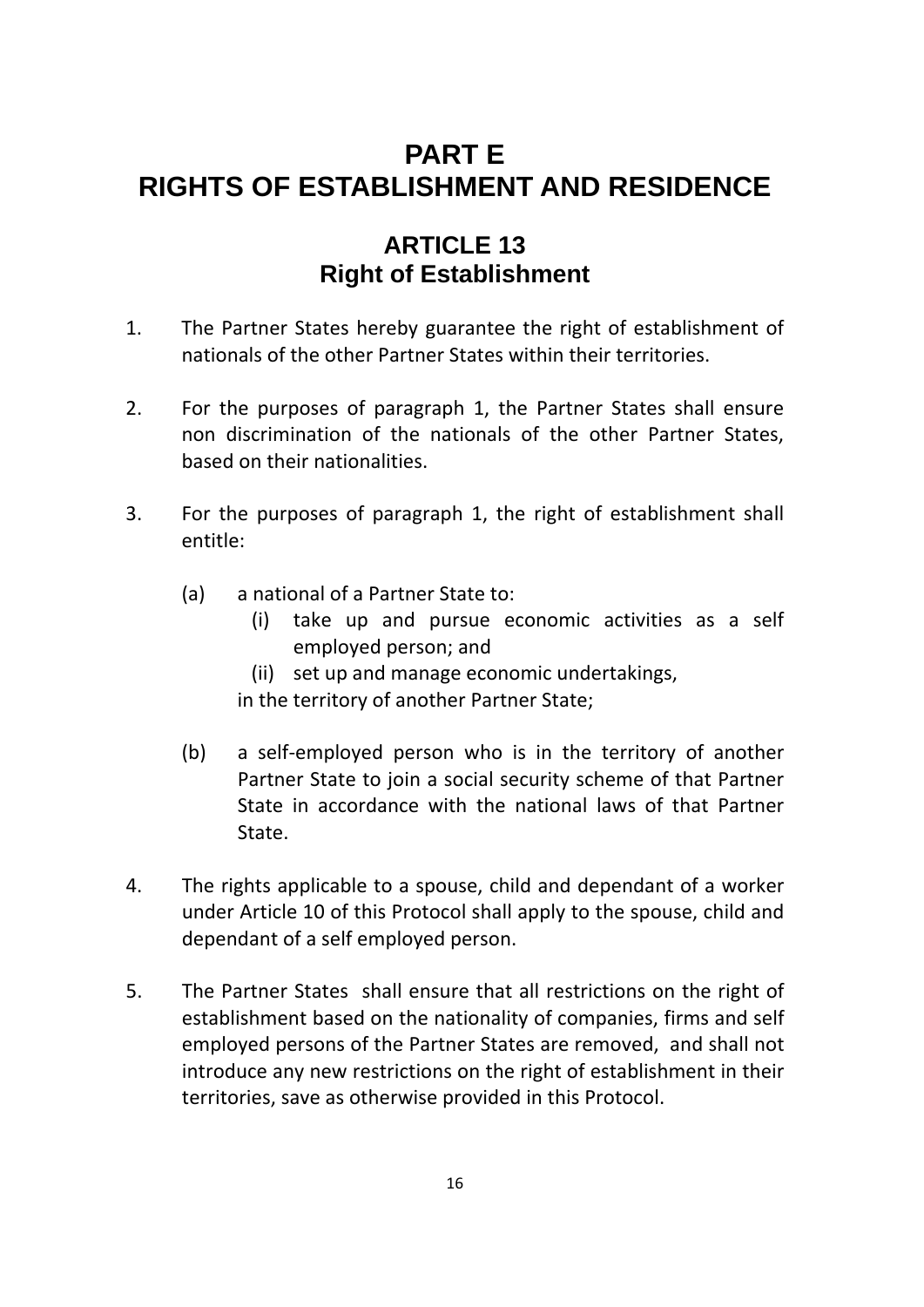## **PART E RIGHTS OF ESTABLISHMENT AND RESIDENCE**

### **ARTICLE 13 Right of Establishment**

- 1. The Partner States hereby guarantee the right of establishment of nationals of the other Partner States within their territories.
- 2. For the purposes of paragraph 1, the Partner States shall ensure non discrimination of the nationals of the other Partner States, based on their nationalities.
- 3. For the purposes of paragraph 1, the right of establishment shall entitle:
	- (a) a national of a Partner State to:
		- (i) take up and pursue economic activities as a self employed person; and
		- (ii) set up and manage economic undertakings,

in the territory of another Partner State;

- (b) a self‐employed person who is in the territory of another Partner State to join a social security scheme of that Partner State in accordance with the national laws of that Partner State.
- 4. The rights applicable to a spouse, child and dependant of a worker under Article 10 of this Protocol shall apply to the spouse, child and dependant of a self employed person.
- 5. The Partner States shall ensure that all restrictions on the right of establishment based on the nationality of companies, firms and self employed persons of the Partner States are removed, and shall not introduce any new restrictions on the right of establishment in their territories, save as otherwise provided in this Protocol.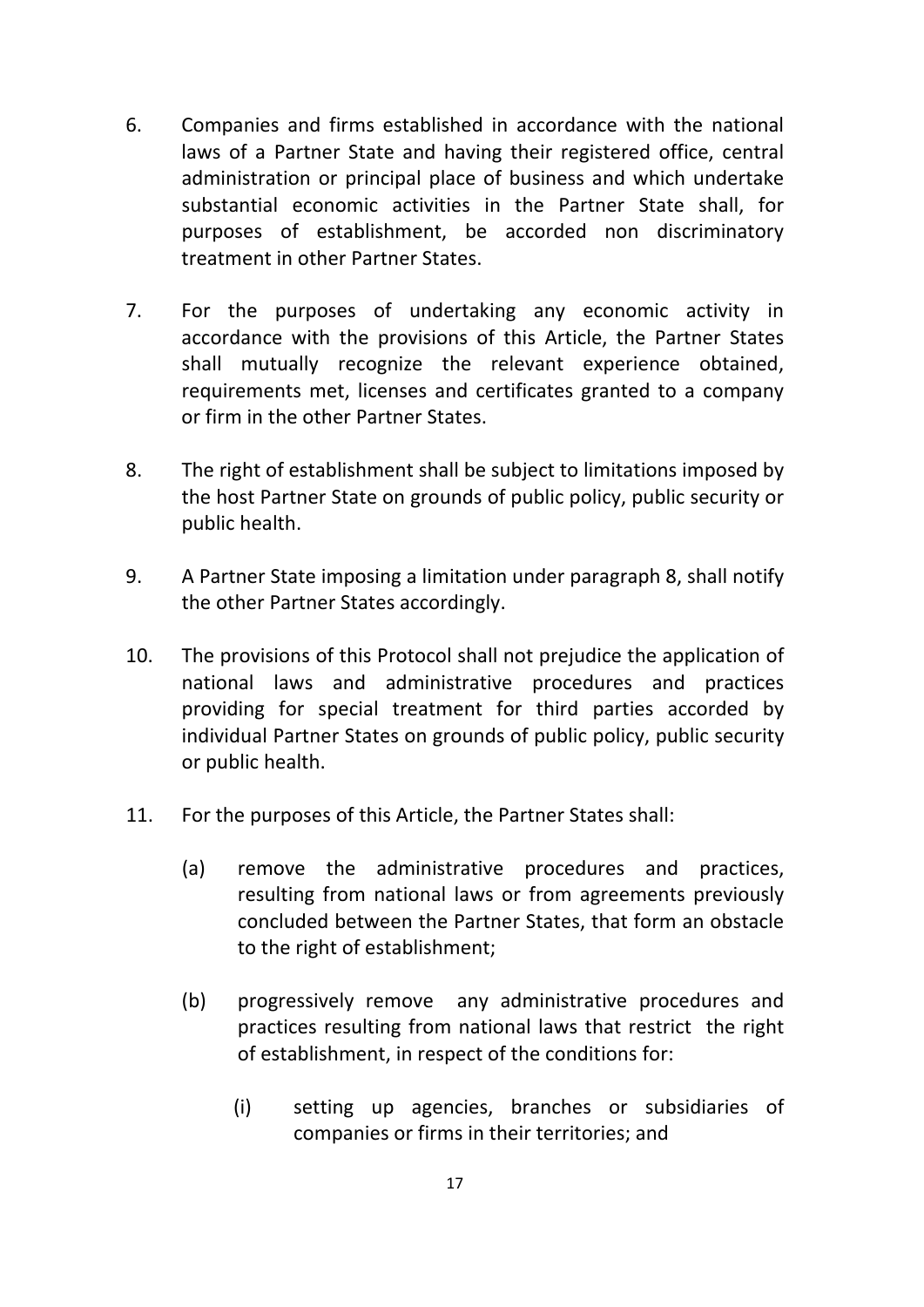- 6. Companies and firms established in accordance with the national laws of a Partner State and having their registered office, central administration or principal place of business and which undertake substantial economic activities in the Partner State shall, for purposes of establishment, be accorded non discriminatory treatment in other Partner States.
- 7. For the purposes of undertaking any economic activity in accordance with the provisions of this Article, the Partner States shall mutually recognize the relevant experience obtained, requirements met, licenses and certificates granted to a company or firm in the other Partner States.
- 8. The right of establishment shall be subject to limitations imposed by the host Partner State on grounds of public policy, public security or public health.
- 9. A Partner State imposing a limitation under paragraph 8, shall notify the other Partner States accordingly.
- 10. The provisions of this Protocol shall not prejudice the application of national laws and administrative procedures and practices providing for special treatment for third parties accorded by individual Partner States on grounds of public policy, public security or public health.
- 11. For the purposes of this Article, the Partner States shall:
	- (a) remove the administrative procedures and practices, resulting from national laws or from agreements previously concluded between the Partner States, that form an obstacle to the right of establishment;
	- (b) progressively remove any administrative procedures and practices resulting from national laws that restrict the right of establishment, in respect of the conditions for:
		- (i) setting up agencies, branches or subsidiaries of companies or firms in their territories; and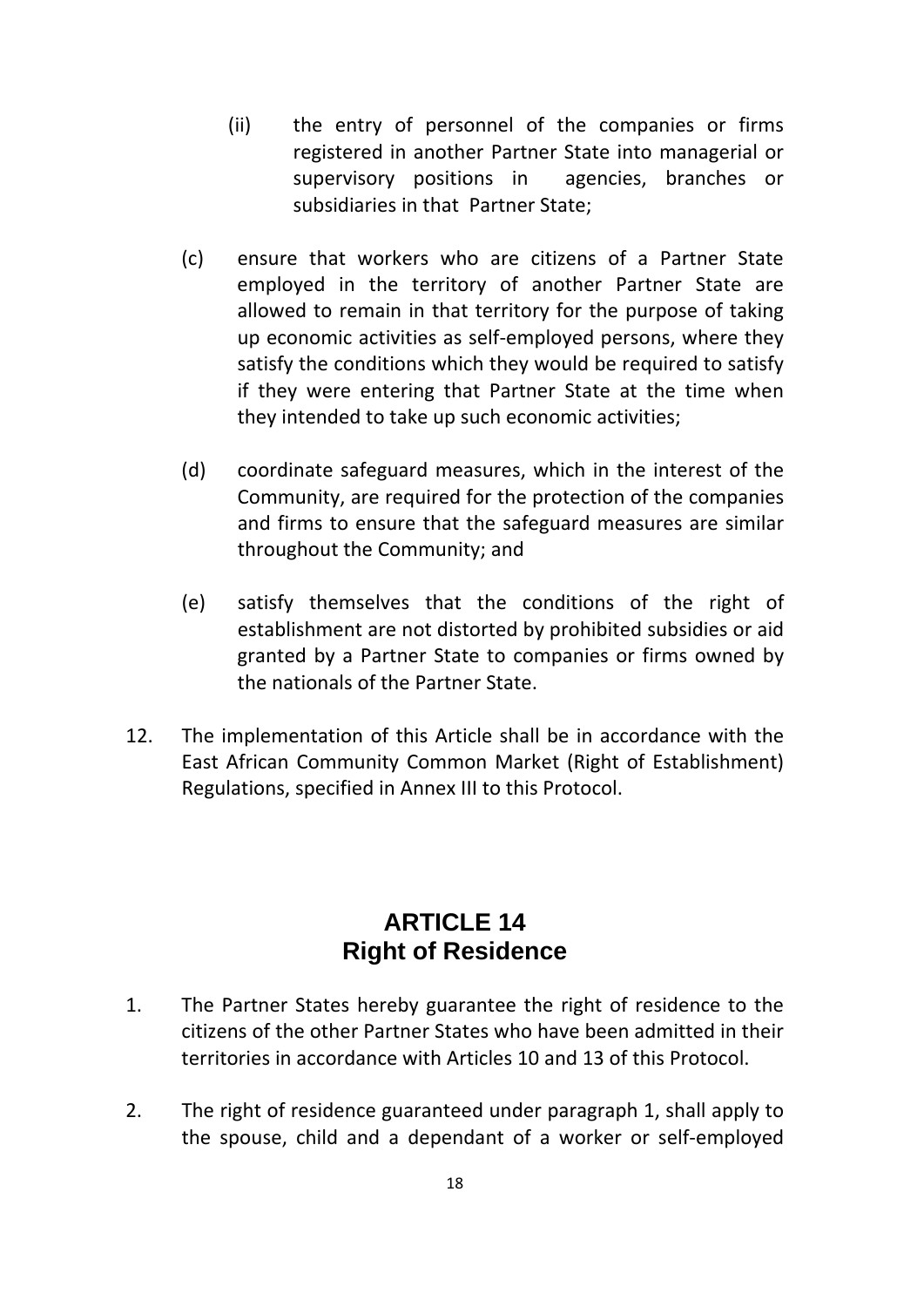- (ii) the entry of personnel of the companies or firms registered in another Partner State into managerial or supervisory positions in agencies, branches or subsidiaries in that Partner State;
- (c) ensure that workers who are citizens of a Partner State employed in the territory of another Partner State are allowed to remain in that territory for the purpose of taking up economic activities as self‐employed persons, where they satisfy the conditions which they would be required to satisfy if they were entering that Partner State at the time when they intended to take up such economic activities;
- (d) coordinate safeguard measures, which in the interest of the Community, are required for the protection of the companies and firms to ensure that the safeguard measures are similar throughout the Community; and
- (e) satisfy themselves that the conditions of the right of establishment are not distorted by prohibited subsidies or aid granted by a Partner State to companies or firms owned by the nationals of the Partner State.
- 12. The implementation of this Article shall be in accordance with the East African Community Common Market (Right of Establishment) Regulations, specified in Annex III to this Protocol.

#### **ARTICLE 14 Right of Residence**

- 1. The Partner States hereby guarantee the right of residence to the citizens of the other Partner States who have been admitted in their territories in accordance with Articles 10 and 13 of this Protocol.
- 2. The right of residence guaranteed under paragraph 1, shall apply to the spouse, child and a dependant of a worker or self‐employed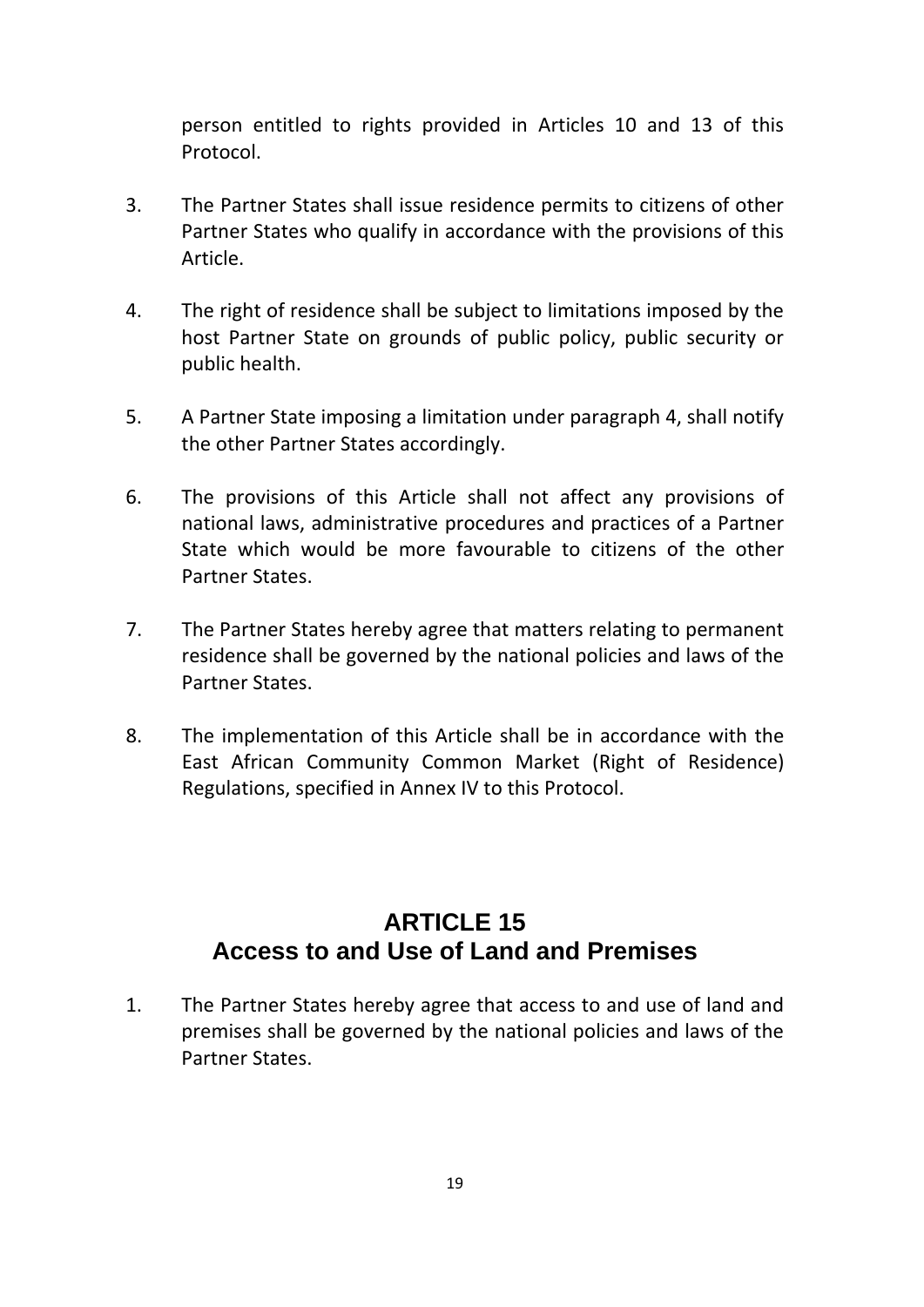person entitled to rights provided in Articles 10 and 13 of this Protocol.

- 3. The Partner States shall issue residence permits to citizens of other Partner States who qualify in accordance with the provisions of this Article.
- 4. The right of residence shall be subject to limitations imposed by the host Partner State on grounds of public policy, public security or public health.
- 5. A Partner State imposing a limitation under paragraph 4, shall notify the other Partner States accordingly.
- 6. The provisions of this Article shall not affect any provisions of national laws, administrative procedures and practices of a Partner State which would be more favourable to citizens of the other Partner States.
- 7. The Partner States hereby agree that matters relating to permanent residence shall be governed by the national policies and laws of the Partner States.
- 8. The implementation of this Article shall be in accordance with the East African Community Common Market (Right of Residence) Regulations, specified in Annex IV to this Protocol.

## **ARTICLE 15 Access to and Use of Land and Premises**

1. The Partner States hereby agree that access to and use of land and premises shall be governed by the national policies and laws of the Partner States.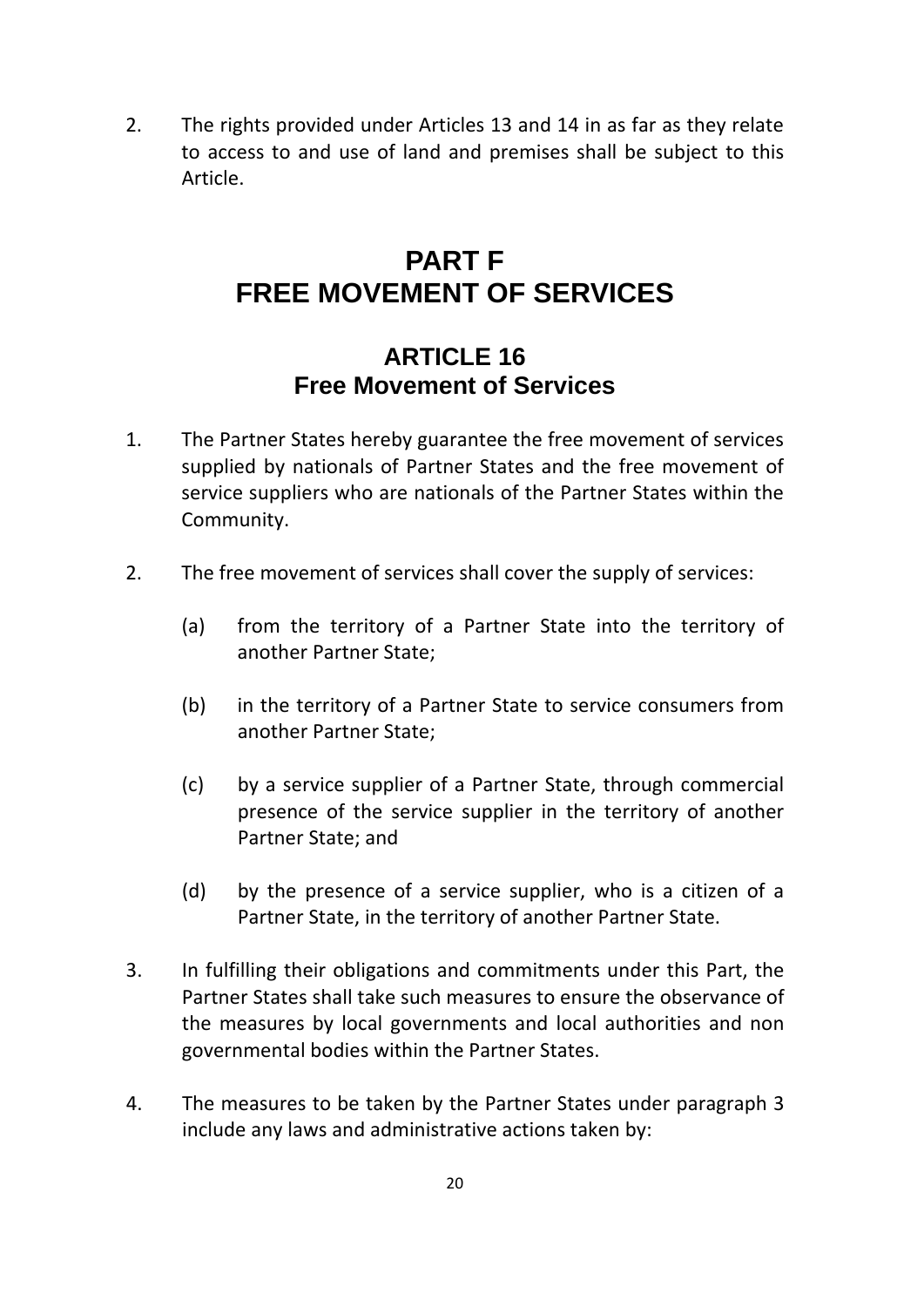2. The rights provided under Articles 13 and 14 in as far as they relate to access to and use of land and premises shall be subject to this Article.

## **PART F FREE MOVEMENT OF SERVICES**

## **ARTICLE 16 Free Movement of Services**

- 1. The Partner States hereby guarantee the free movement of services supplied by nationals of Partner States and the free movement of service suppliers who are nationals of the Partner States within the Community.
- 2. The free movement of services shall cover the supply of services:
	- (a) from the territory of a Partner State into the territory of another Partner State;
	- (b) in the territory of a Partner State to service consumers from another Partner State;
	- (c) by a service supplier of a Partner State, through commercial presence of the service supplier in the territory of another Partner State; and
	- (d) by the presence of a service supplier, who is a citizen of a Partner State, in the territory of another Partner State.
- 3. In fulfilling their obligations and commitments under this Part, the Partner States shall take such measures to ensure the observance of the measures by local governments and local authorities and non governmental bodies within the Partner States.
- 4. The measures to be taken by the Partner States under paragraph 3 include any laws and administrative actions taken by: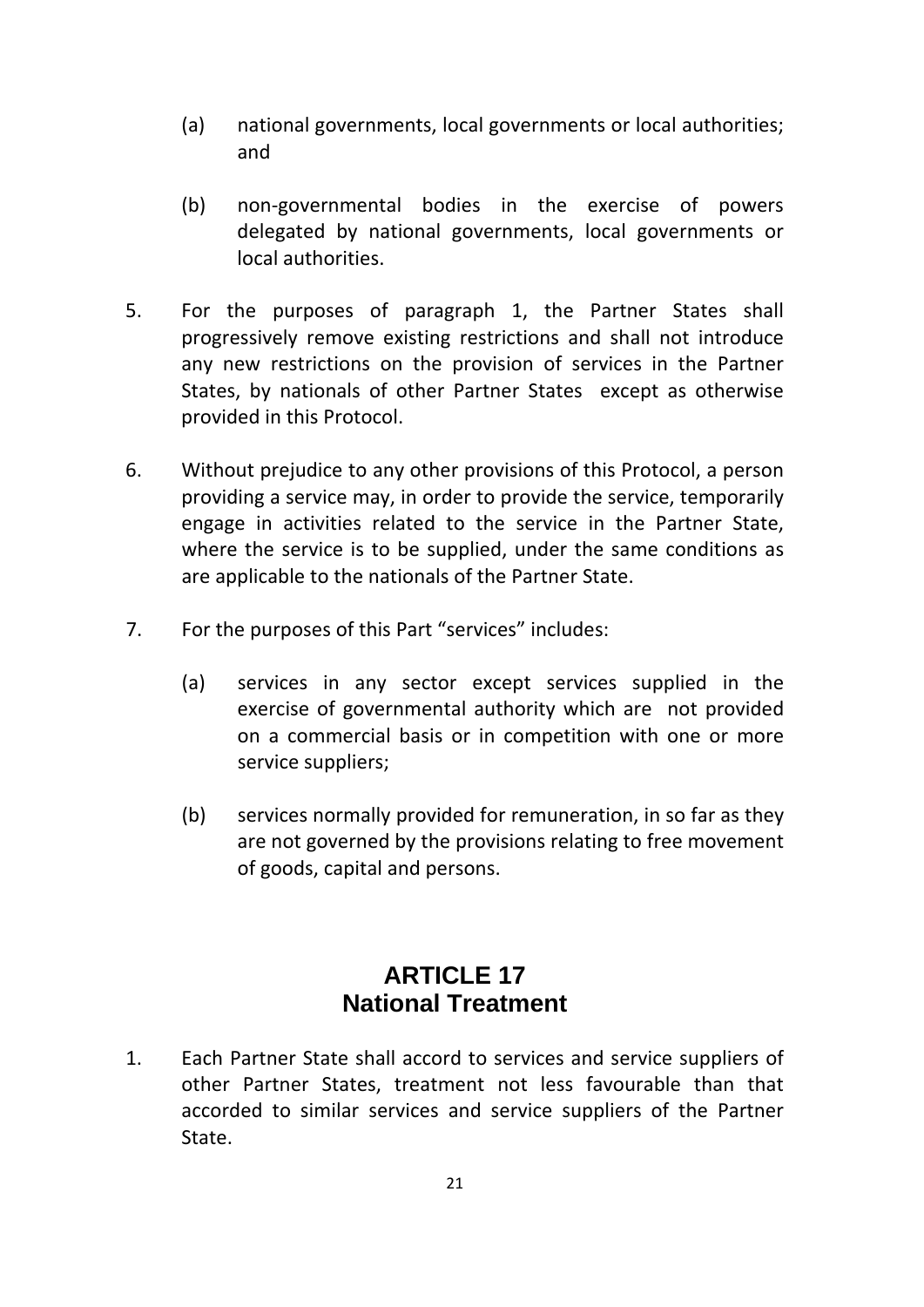- (a) national governments, local governments or local authorities; and
- (b) non‐governmental bodies in the exercise of powers delegated by national governments, local governments or local authorities.
- 5. For the purposes of paragraph 1, the Partner States shall progressively remove existing restrictions and shall not introduce any new restrictions on the provision of services in the Partner States, by nationals of other Partner States except as otherwise provided in this Protocol.
- 6. Without prejudice to any other provisions of this Protocol, a person providing a service may, in order to provide the service, temporarily engage in activities related to the service in the Partner State, where the service is to be supplied, under the same conditions as are applicable to the nationals of the Partner State.
- 7. For the purposes of this Part "services" includes:
	- (a) services in any sector except services supplied in the exercise of governmental authority which are not provided on a commercial basis or in competition with one or more service suppliers;
	- (b) services normally provided for remuneration, in so far as they are not governed by the provisions relating to free movement of goods, capital and persons.

## **ARTICLE 17 National Treatment**

1. Each Partner State shall accord to services and service suppliers of other Partner States, treatment not less favourable than that accorded to similar services and service suppliers of the Partner State.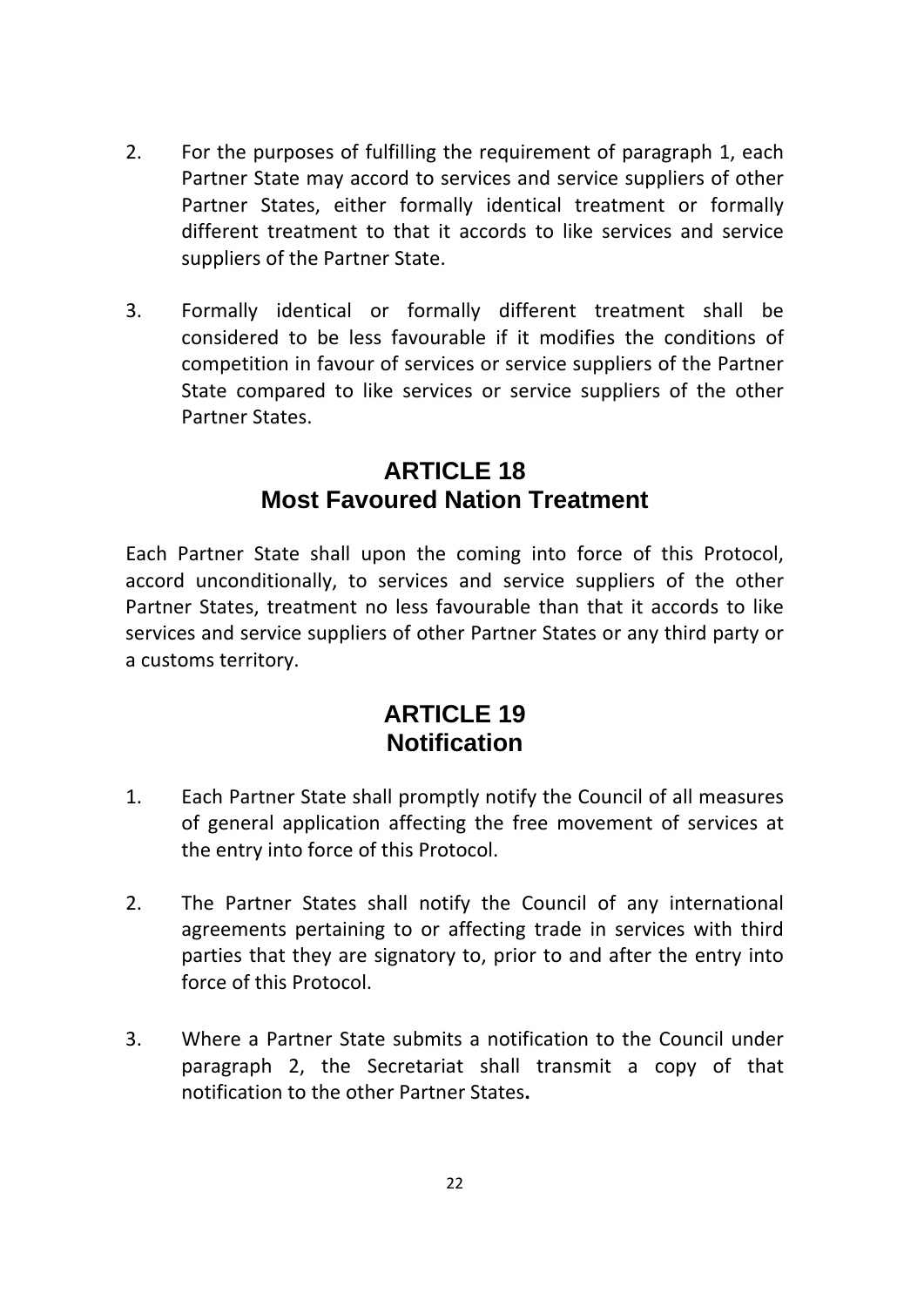- 2. For the purposes of fulfilling the requirement of paragraph 1, each Partner State may accord to services and service suppliers of other Partner States, either formally identical treatment or formally different treatment to that it accords to like services and service suppliers of the Partner State.
- 3. Formally identical or formally different treatment shall be considered to be less favourable if it modifies the conditions of competition in favour of services or service suppliers of the Partner State compared to like services or service suppliers of the other Partner States.

## **ARTICLE 18 Most Favoured Nation Treatment**

Each Partner State shall upon the coming into force of this Protocol, accord unconditionally, to services and service suppliers of the other Partner States, treatment no less favourable than that it accords to like services and service suppliers of other Partner States or any third party or a customs territory.

### **ARTICLE 19 Notification**

- 1. Each Partner State shall promptly notify the Council of all measures of general application affecting the free movement of services at the entry into force of this Protocol.
- 2. The Partner States shall notify the Council of any international agreements pertaining to or affecting trade in services with third parties that they are signatory to, prior to and after the entry into force of this Protocol.
- 3. Where a Partner State submits a notification to the Council under paragraph 2, the Secretariat shall transmit a copy of that notification to the other Partner States**.**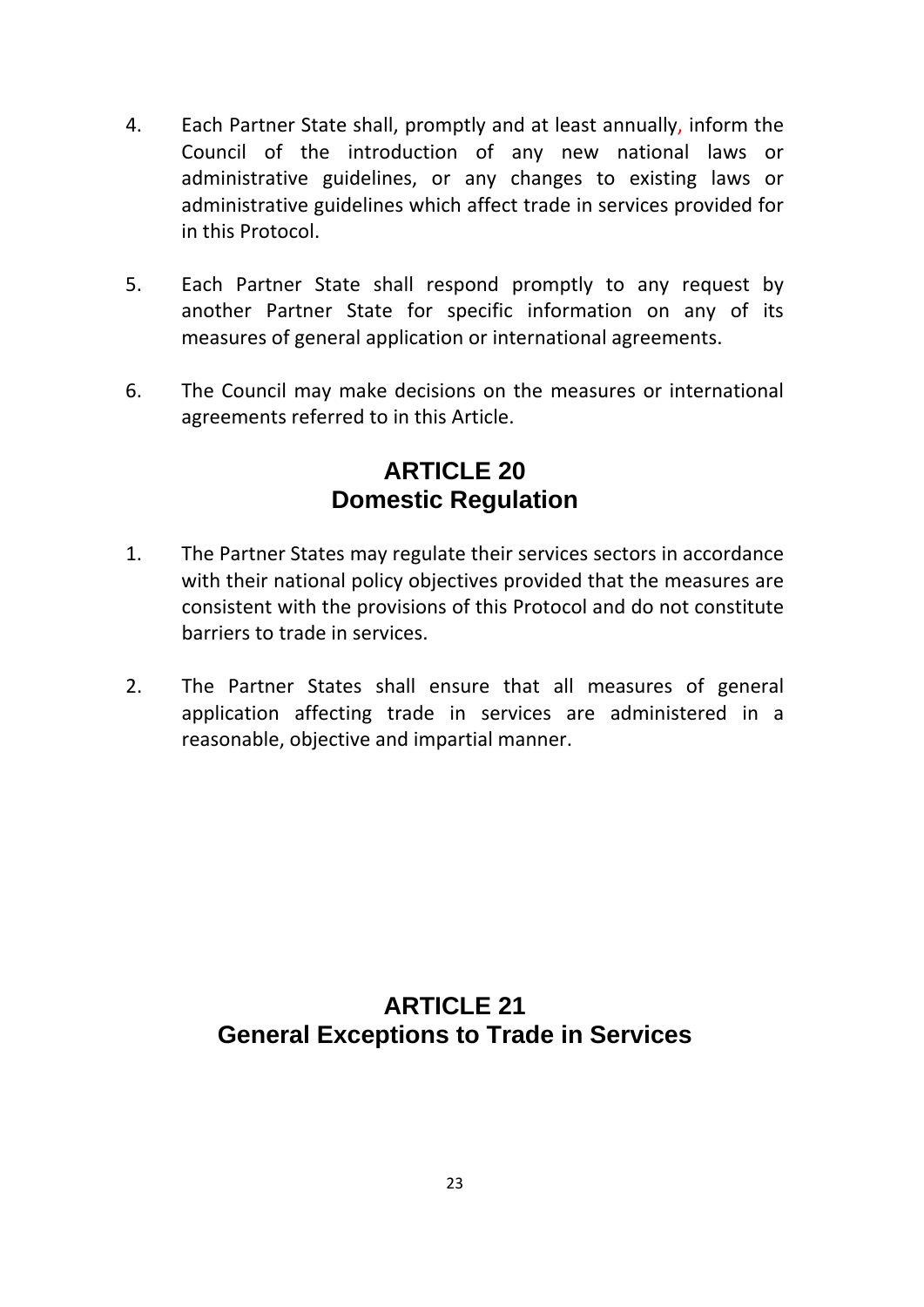- 4. Each Partner State shall, promptly and at least annually, inform the Council of the introduction of any new national laws or administrative guidelines, or any changes to existing laws or administrative guidelines which affect trade in services provided for in this Protocol.
- 5. Each Partner State shall respond promptly to any request by another Partner State for specific information on any of its measures of general application or international agreements.
- 6. The Council may make decisions on the measures or international agreements referred to in this Article.

## **ARTICLE 20 Domestic Regulation**

- 1. The Partner States may regulate their services sectors in accordance with their national policy objectives provided that the measures are consistent with the provisions of this Protocol and do not constitute barriers to trade in services.
- 2. The Partner States shall ensure that all measures of general application affecting trade in services are administered in a reasonable, objective and impartial manner.

## **ARTICLE 21 General Exceptions to Trade in Services**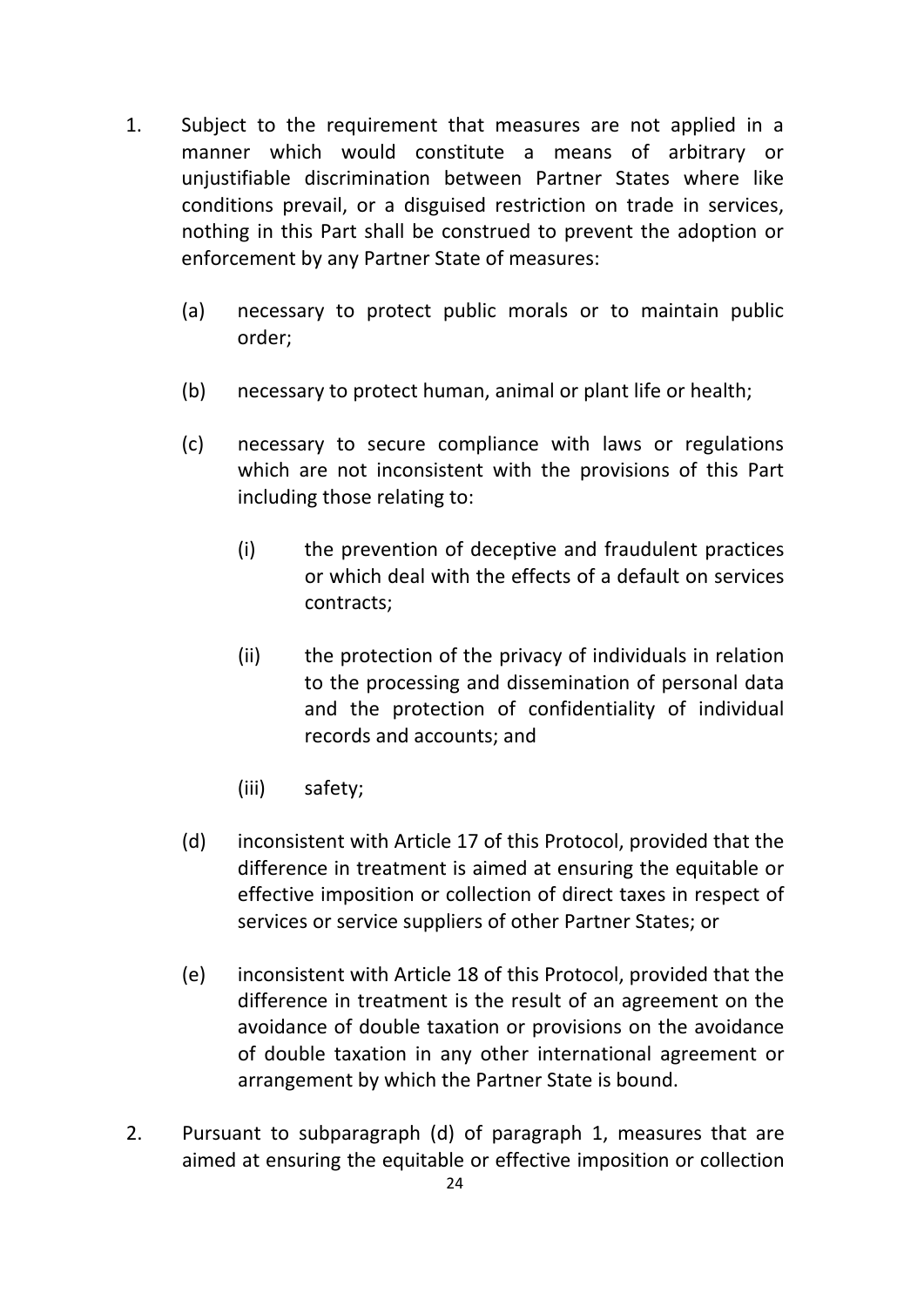- 1. Subject to the requirement that measures are not applied in a manner which would constitute a means of arbitrary or unjustifiable discrimination between Partner States where like conditions prevail, or a disguised restriction on trade in services, nothing in this Part shall be construed to prevent the adoption or enforcement by any Partner State of measures:
	- (a) necessary to protect public morals or to maintain public order;
	- (b) necessary to protect human, animal or plant life or health;
	- (c) necessary to secure compliance with laws or regulations which are not inconsistent with the provisions of this Part including those relating to:
		- (i) the prevention of deceptive and fraudulent practices or which deal with the effects of a default on services contracts;
		- (ii) the protection of the privacy of individuals in relation to the processing and dissemination of personal data and the protection of confidentiality of individual records and accounts; and
		- (iii) safety;
	- (d) inconsistent with Article 17 of this Protocol, provided that the difference in treatment is aimed at ensuring the equitable or effective imposition or collection of direct taxes in respect of services or service suppliers of other Partner States; or
	- (e) inconsistent with Article 18 of this Protocol, provided that the difference in treatment is the result of an agreement on the avoidance of double taxation or provisions on the avoidance of double taxation in any other international agreement or arrangement by which the Partner State is bound.
- 2. Pursuant to subparagraph (d) of paragraph 1, measures that are aimed at ensuring the equitable or effective imposition or collection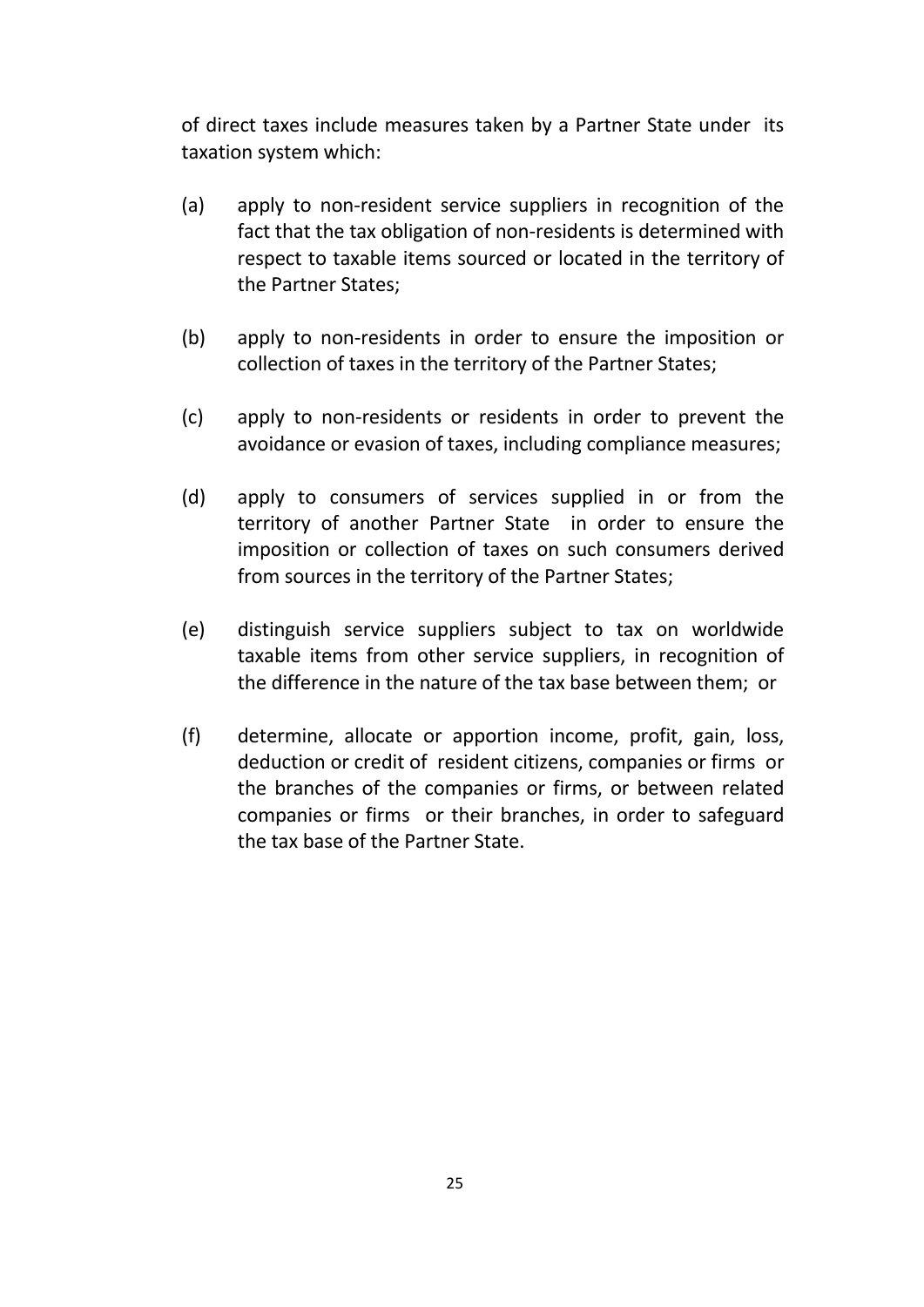of direct taxes include measures taken by a Partner State under its taxation system which:

- (a) apply to non‐resident service suppliers in recognition of the fact that the tax obligation of non-residents is determined with respect to taxable items sourced or located in the territory of the Partner States;
- (b) apply to non‐residents in order to ensure the imposition or collection of taxes in the territory of the Partner States;
- (c) apply to non‐residents or residents in order to prevent the avoidance or evasion of taxes, including compliance measures;
- (d) apply to consumers of services supplied in or from the territory of another Partner State in order to ensure the imposition or collection of taxes on such consumers derived from sources in the territory of the Partner States;
- (e) distinguish service suppliers subject to tax on worldwide taxable items from other service suppliers, in recognition of the difference in the nature of the tax base between them; or
- (f) determine, allocate or apportion income, profit, gain, loss, deduction or credit of resident citizens, companies or firms or the branches of the companies or firms, or between related companies or firms or their branches, in order to safeguard the tax base of the Partner State.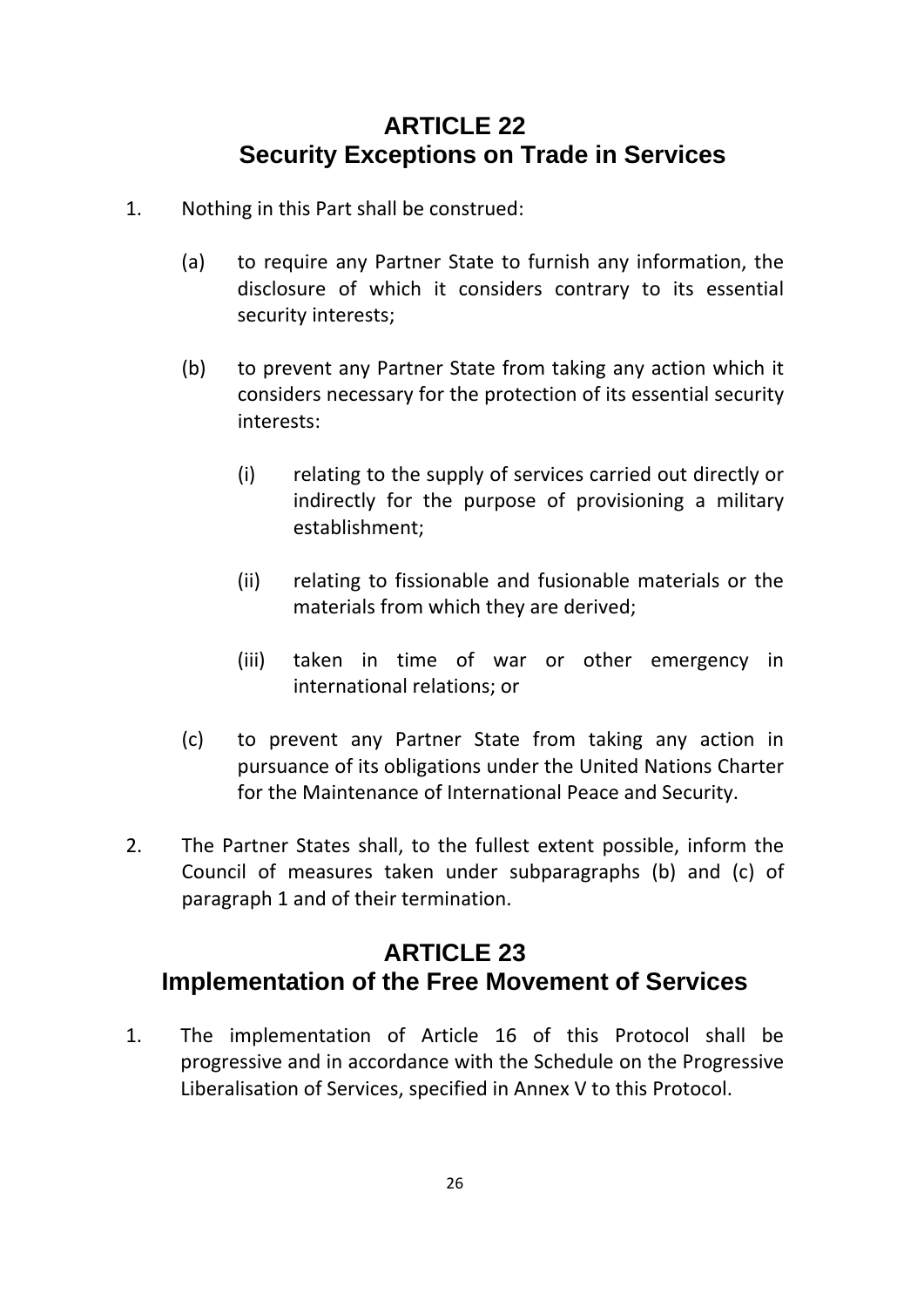## **ARTICLE 22 Security Exceptions on Trade in Services**

- 1. Nothing in this Part shall be construed:
	- (a) to require any Partner State to furnish any information, the disclosure of which it considers contrary to its essential security interests;
	- (b) to prevent any Partner State from taking any action which it considers necessary for the protection of its essential security interests:
		- (i) relating to the supply of services carried out directly or indirectly for the purpose of provisioning a military establishment;
		- (ii) relating to fissionable and fusionable materials or the materials from which they are derived;
		- (iii) taken in time of war or other emergency in international relations; or
	- (c) to prevent any Partner State from taking any action in pursuance of its obligations under the United Nations Charter for the Maintenance of International Peace and Security.
- 2. The Partner States shall, to the fullest extent possible, inform the Council of measures taken under subparagraphs (b) and (c) of paragraph 1 and of their termination.

## **ARTICLE 23 Implementation of the Free Movement of Services**

1. The implementation of Article 16 of this Protocol shall be progressive and in accordance with the Schedule on the Progressive Liberalisation of Services, specified in Annex V to this Protocol.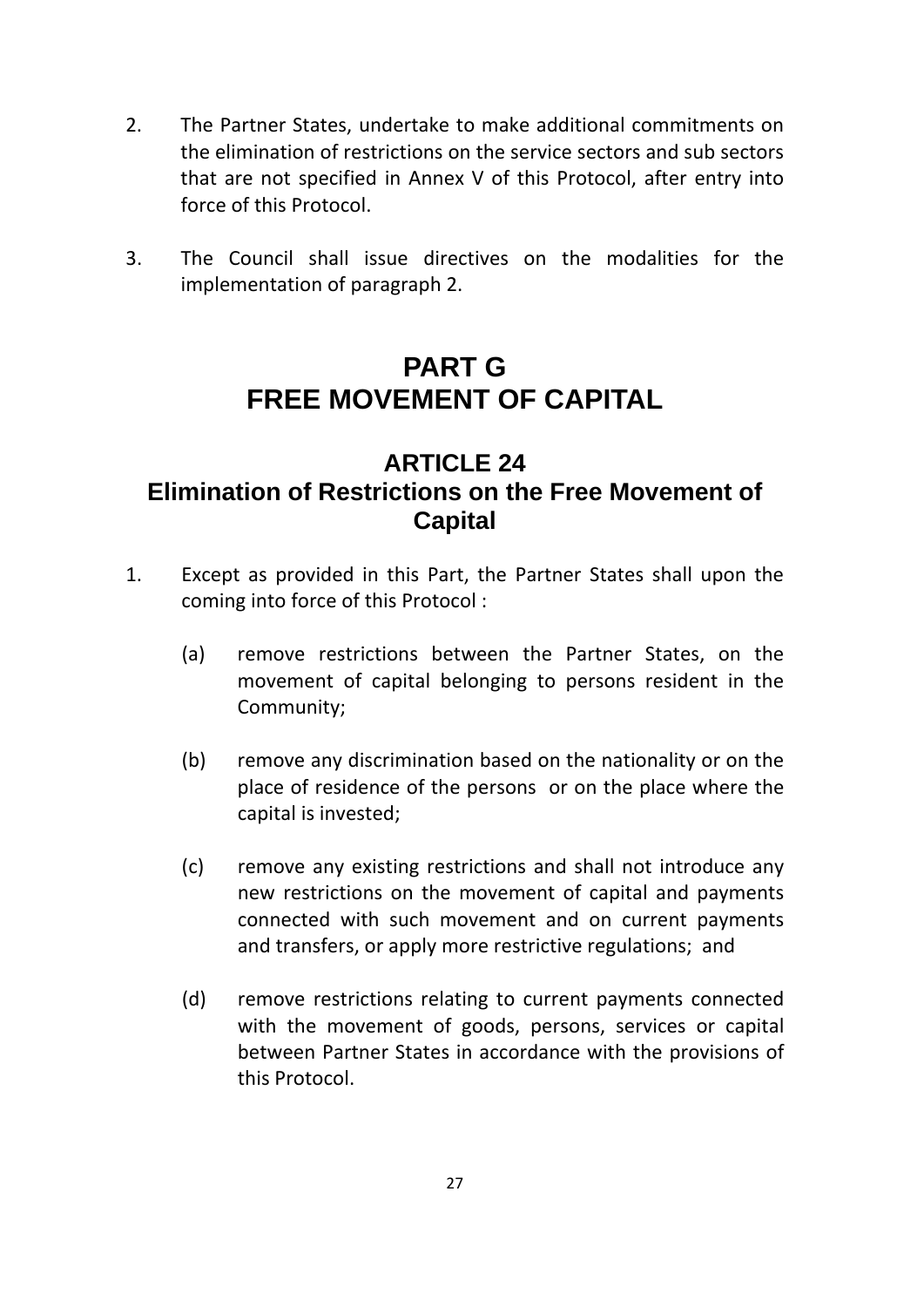- 2. The Partner States, undertake to make additional commitments on the elimination of restrictions on the service sectors and sub sectors that are not specified in Annex V of this Protocol, after entry into force of this Protocol.
- 3. The Council shall issue directives on the modalities for the implementation of paragraph 2.

## **PART G FREE MOVEMENT OF CAPITAL**

#### **ARTICLE 24 Elimination of Restrictions on the Free Movement of Capital**

- 1. Except as provided in this Part, the Partner States shall upon the coming into force of this Protocol :
	- (a) remove restrictions between the Partner States, on the movement of capital belonging to persons resident in the Community;
	- (b) remove any discrimination based on the nationality or on the place of residence of the persons or on the place where the capital is invested;
	- (c) remove any existing restrictions and shall not introduce any new restrictions on the movement of capital and payments connected with such movement and on current payments and transfers, or apply more restrictive regulations; and
	- (d) remove restrictions relating to current payments connected with the movement of goods, persons, services or capital between Partner States in accordance with the provisions of this Protocol.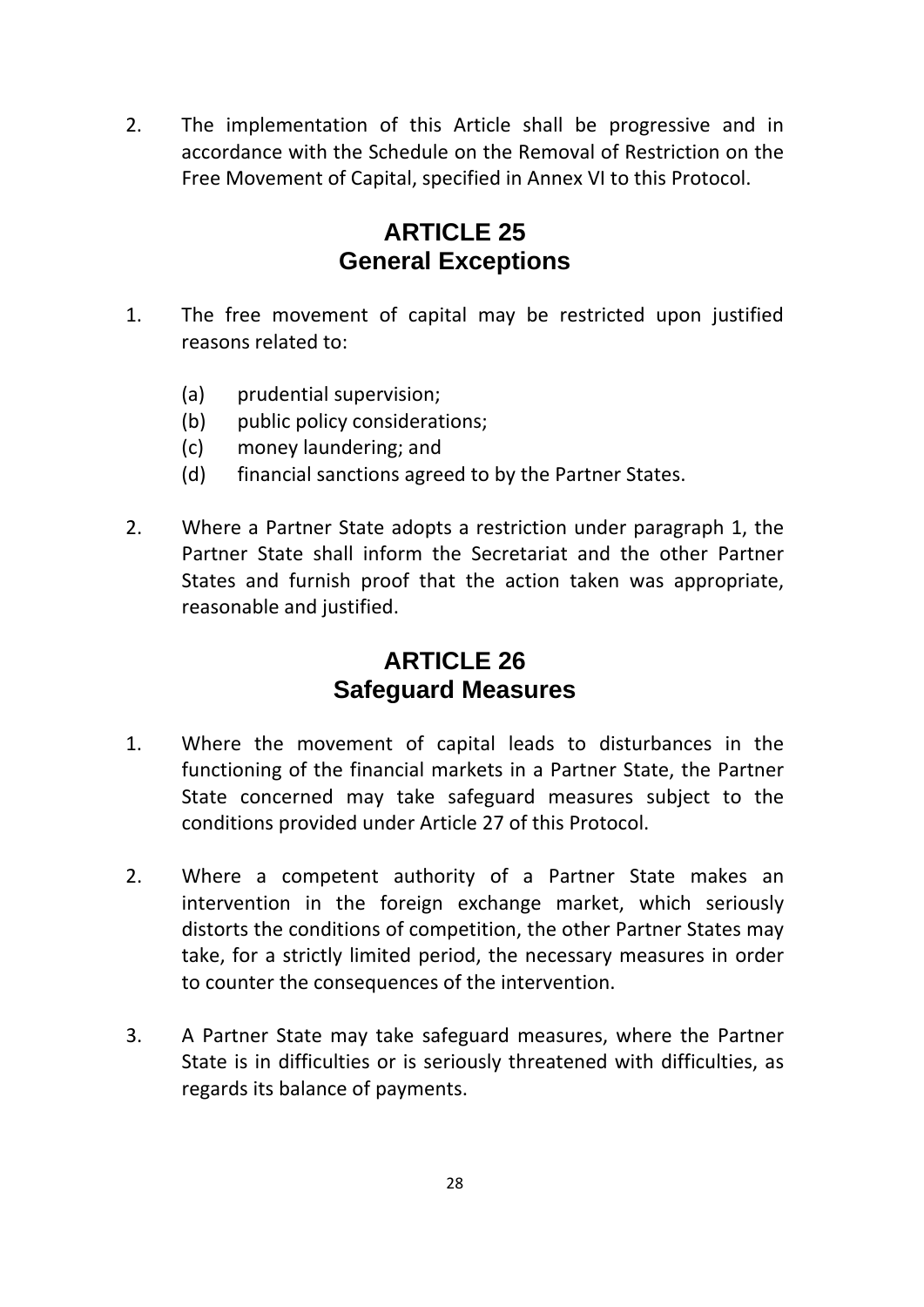2. The implementation of this Article shall be progressive and in accordance with the Schedule on the Removal of Restriction on the Free Movement of Capital, specified in Annex VI to this Protocol.

## **ARTICLE 25 General Exceptions**

- 1. The free movement of capital may be restricted upon justified reasons related to:
	- (a) prudential supervision;
	- (b) public policy considerations;
	- (c) money laundering; and
	- (d) financial sanctions agreed to by the Partner States.
- 2. Where a Partner State adopts a restriction under paragraph 1, the Partner State shall inform the Secretariat and the other Partner States and furnish proof that the action taken was appropriate, reasonable and justified.

## **ARTICLE 26 Safeguard Measures**

- 1. Where the movement of capital leads to disturbances in the functioning of the financial markets in a Partner State, the Partner State concerned may take safeguard measures subject to the conditions provided under Article 27 of this Protocol.
- 2. Where a competent authority of a Partner State makes an intervention in the foreign exchange market, which seriously distorts the conditions of competition, the other Partner States may take, for a strictly limited period, the necessary measures in order to counter the consequences of the intervention.
- 3. A Partner State may take safeguard measures, where the Partner State is in difficulties or is seriously threatened with difficulties, as regards its balance of payments.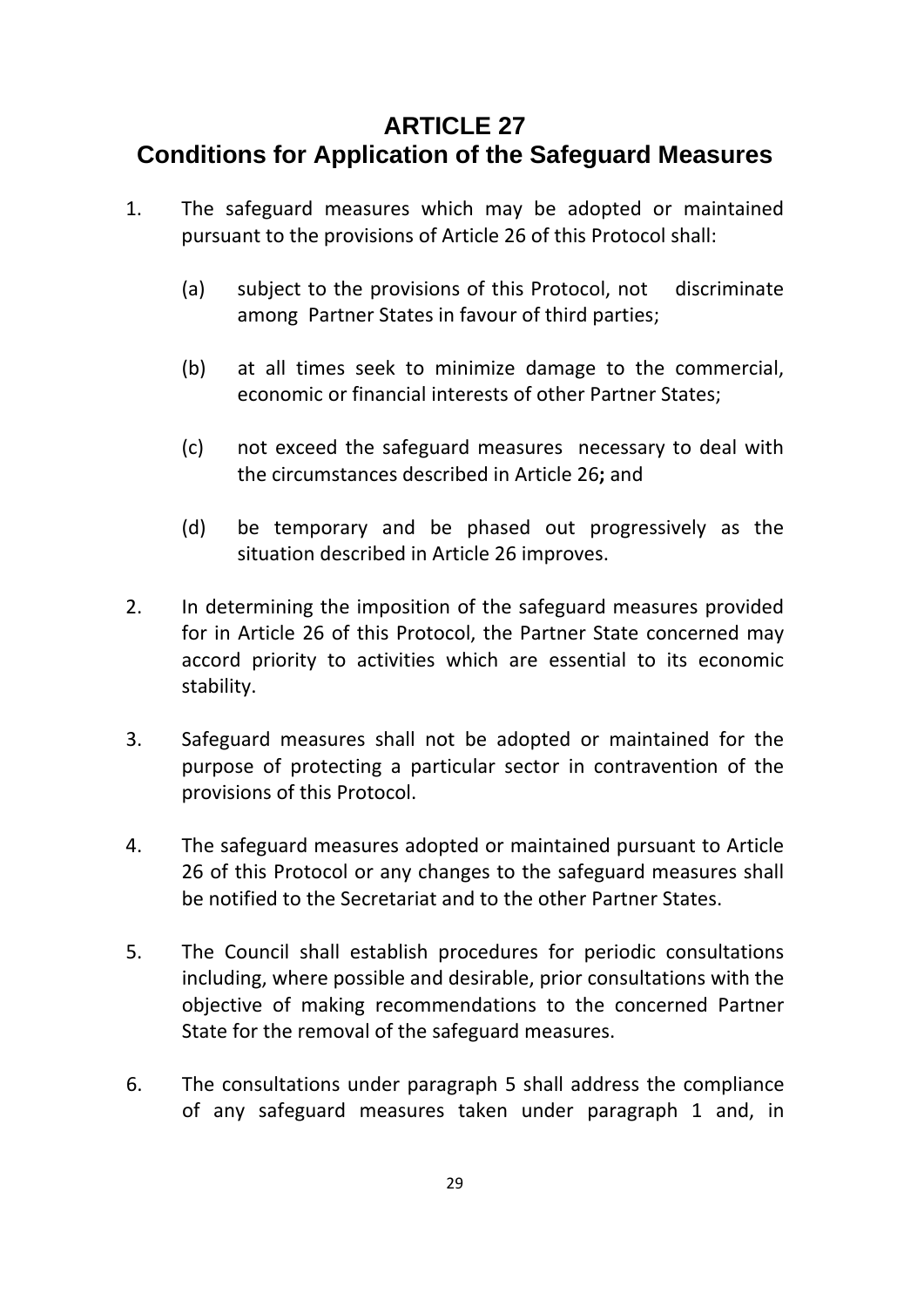#### **ARTICLE 27 Conditions for Application of the Safeguard Measures**

- 1. The safeguard measures which may be adopted or maintained pursuant to the provisions of Article 26 of this Protocol shall:
	- (a) subject to the provisions of this Protocol, not discriminate among Partner States in favour of third parties;
	- (b) at all times seek to minimize damage to the commercial, economic or financial interests of other Partner States;
	- (c) not exceed the safeguard measures necessary to deal with the circumstances described in Article 26**;** and
	- (d) be temporary and be phased out progressively as the situation described in Article 26 improves.
- 2. In determining the imposition of the safeguard measures provided for in Article 26 of this Protocol, the Partner State concerned may accord priority to activities which are essential to its economic stability.
- 3. Safeguard measures shall not be adopted or maintained for the purpose of protecting a particular sector in contravention of the provisions of this Protocol.
- 4. The safeguard measures adopted or maintained pursuant to Article 26 of this Protocol or any changes to the safeguard measures shall be notified to the Secretariat and to the other Partner States.
- 5. The Council shall establish procedures for periodic consultations including, where possible and desirable, prior consultations with the objective of making recommendations to the concerned Partner State for the removal of the safeguard measures.
- 6. The consultations under paragraph 5 shall address the compliance of any safeguard measures taken under paragraph 1 and, in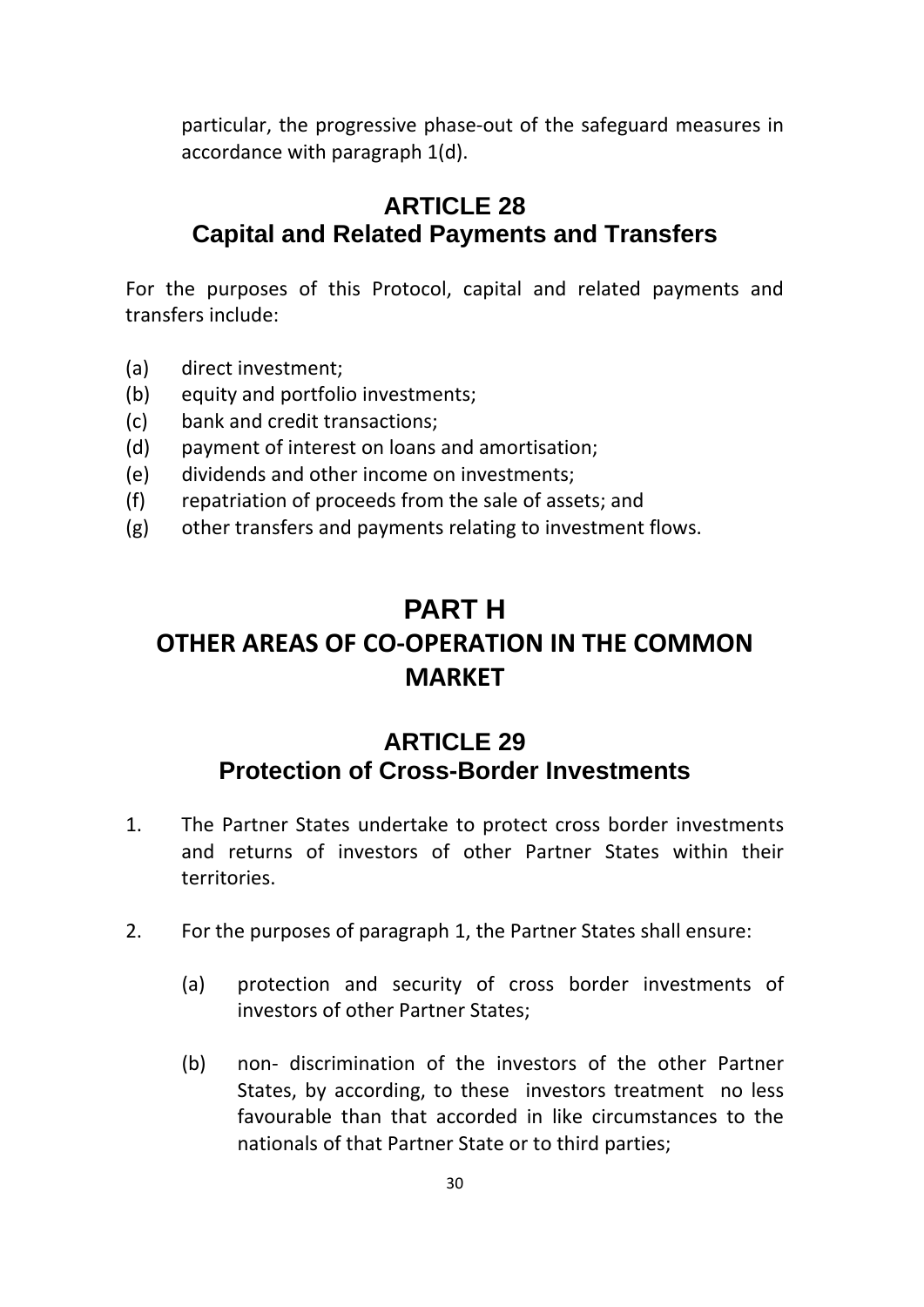particular, the progressive phase‐out of the safeguard measures in accordance with paragraph 1(d).

### **ARTICLE 28 Capital and Related Payments and Transfers**

For the purposes of this Protocol, capital and related payments and transfers include:

- (a) direct investment;
- (b) equity and portfolio investments;
- (c) bank and credit transactions;
- (d) payment of interest on loans and amortisation;
- (e) dividends and other income on investments;
- (f) repatriation of proceeds from the sale of assets; and
- (g) other transfers and payments relating to investment flows.

## **PART H OTHER AREAS OF CO‐OPERATION IN THE COMMON MARKET**

## **ARTICLE 29 Protection of Cross-Border Investments**

- 1. The Partner States undertake to protect cross border investments and returns of investors of other Partner States within their territories.
- 2. For the purposes of paragraph 1, the Partner States shall ensure:
	- (a) protection and security of cross border investments of investors of other Partner States;
	- (b) non‐ discrimination of the investors of the other Partner States, by according, to these investors treatment no less favourable than that accorded in like circumstances to the nationals of that Partner State or to third parties;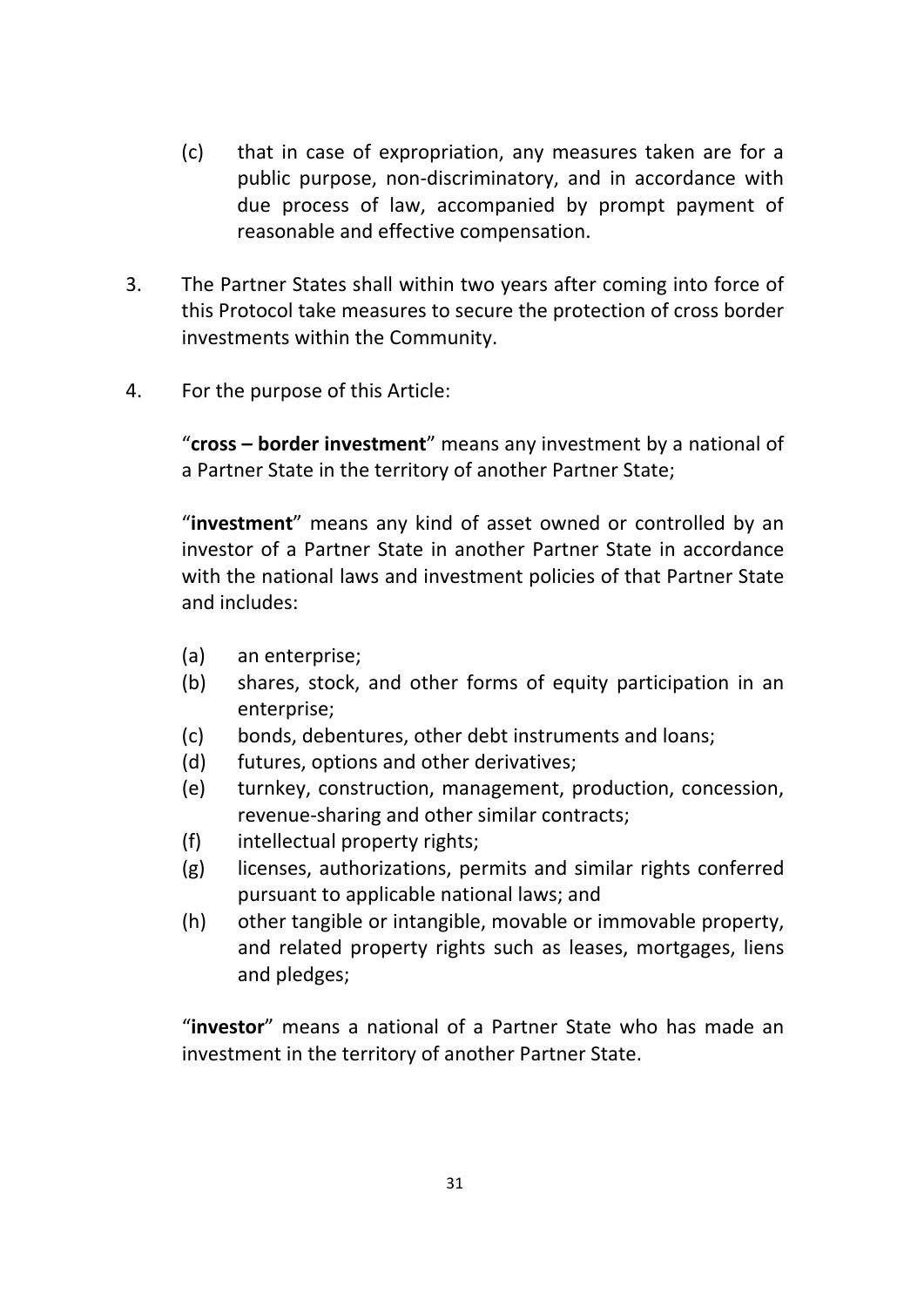- (c) that in case of expropriation, any measures taken are for a public purpose, non‐discriminatory, and in accordance with due process of law, accompanied by prompt payment of reasonable and effective compensation.
- 3. The Partner States shall within two years after coming into force of this Protocol take measures to secure the protection of cross border investments within the Community.
- 4. For the purpose of this Article:

"**cross – border investment**" means any investment by a national of a Partner State in the territory of another Partner State;

"**investment**" means any kind of asset owned or controlled by an investor of a Partner State in another Partner State in accordance with the national laws and investment policies of that Partner State and includes:

- (a) an enterprise;
- (b) shares, stock, and other forms of equity participation in an enterprise;
- (c) bonds, debentures, other debt instruments and loans;
- (d) futures, options and other derivatives;
- (e) turnkey, construction, management, production, concession, revenue‐sharing and other similar contracts;
- (f) intellectual property rights;
- (g) licenses, authorizations, permits and similar rights conferred pursuant to applicable national laws; and
- (h) other tangible or intangible, movable or immovable property, and related property rights such as leases, mortgages, liens and pledges;

"**investor**" means a national of a Partner State who has made an investment in the territory of another Partner State.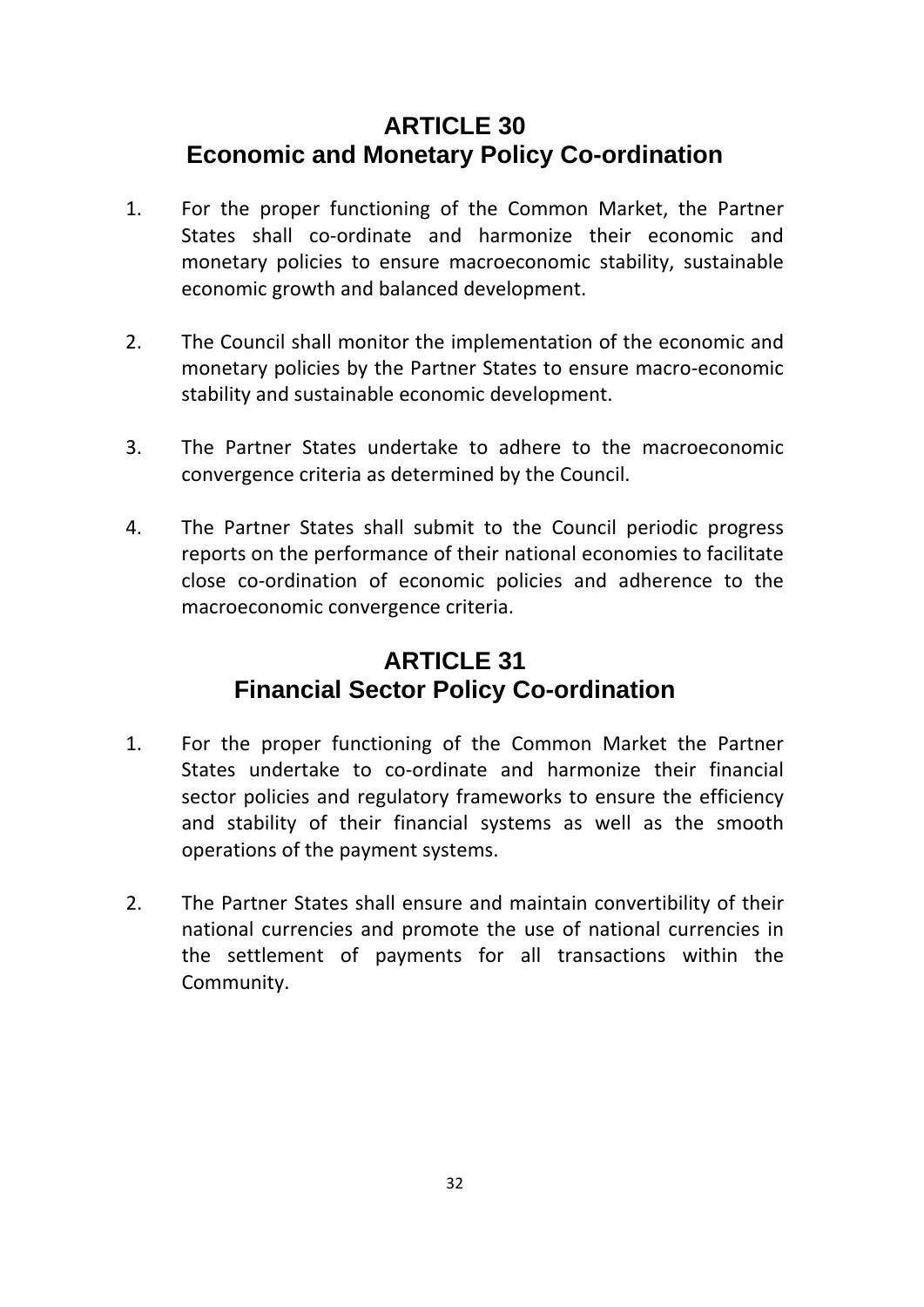## **ARTICLE 30 Economic and Monetary Policy Co-ordination**

- 1. For the proper functioning of the Common Market, the Partner States shall co-ordinate and harmonize their economic and monetary policies to ensure macroeconomic stability, sustainable economic growth and balanced development.
- 2. The Council shall monitor the implementation of the economic and monetary policies by the Partner States to ensure macro‐economic stability and sustainable economic development.
- 3. The Partner States undertake to adhere to the macroeconomic convergence criteria as determined by the Council.
- 4. The Partner States shall submit to the Council periodic progress reports on the performance of their national economies to facilitate close co‐ordination of economic policies and adherence to the macroeconomic convergence criteria.

## **ARTICLE 31 Financial Sector Policy Co-ordination**

- 1. For the proper functioning of the Common Market the Partner States undertake to co-ordinate and harmonize their financial sector policies and regulatory frameworks to ensure the efficiency and stability of their financial systems as well as the smooth operations of the payment systems.
- 2. The Partner States shall ensure and maintain convertibility of their national currencies and promote the use of national currencies in the settlement of payments for all transactions within the Community.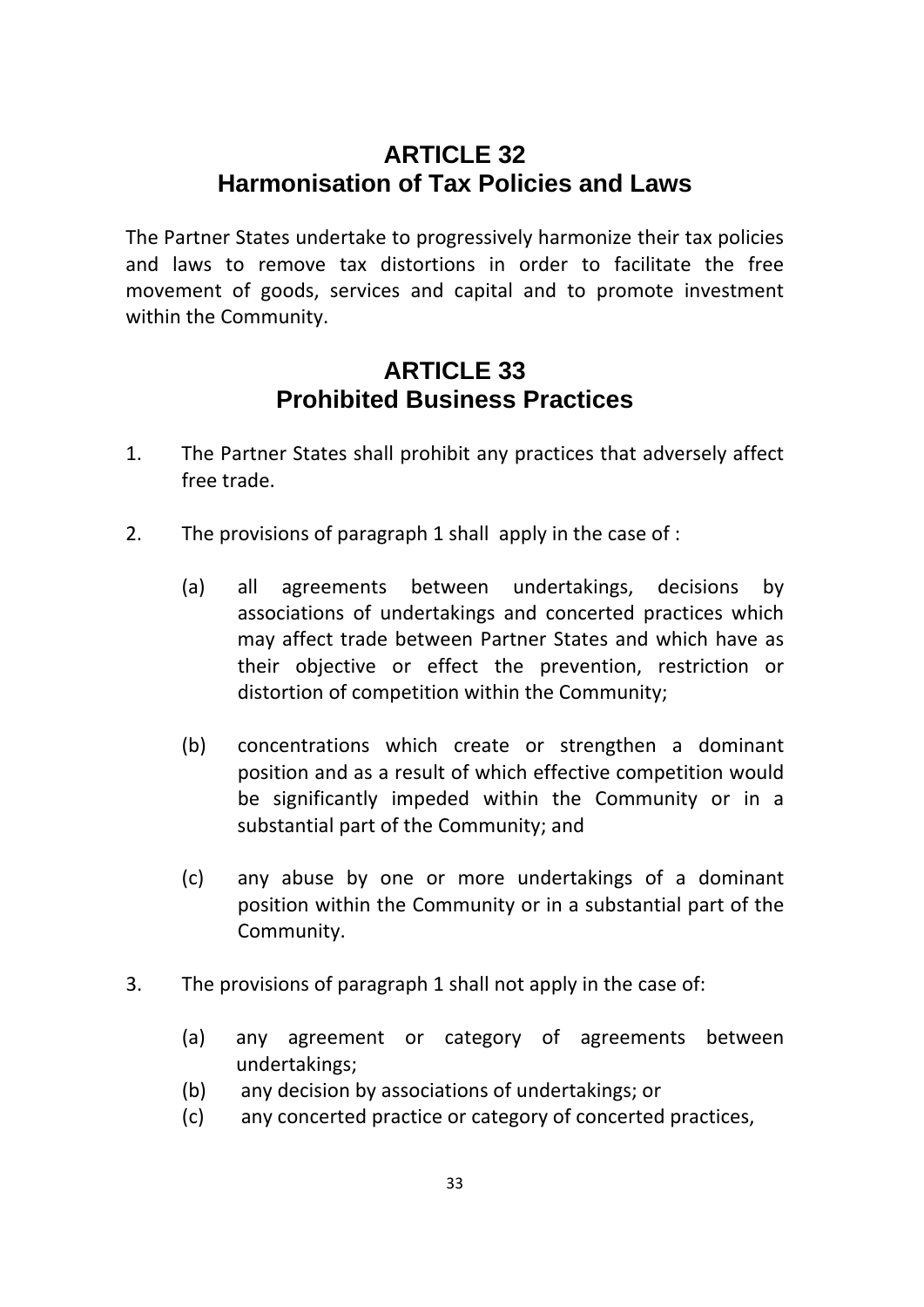## **ARTICLE 32 Harmonisation of Tax Policies and Laws**

The Partner States undertake to progressively harmonize their tax policies and laws to remove tax distortions in order to facilitate the free movement of goods, services and capital and to promote investment within the Community.

### **ARTICLE 33 Prohibited Business Practices**

- 1. The Partner States shall prohibit any practices that adversely affect free trade.
- 2. The provisions of paragraph 1 shall apply in the case of :
	- (a) all agreements between undertakings, decisions by associations of undertakings and concerted practices which may affect trade between Partner States and which have as their objective or effect the prevention, restriction or distortion of competition within the Community;
	- (b) concentrations which create or strengthen a dominant position and as a result of which effective competition would be significantly impeded within the Community or in a substantial part of the Community; and
	- (c) any abuse by one or more undertakings of a dominant position within the Community or in a substantial part of the Community.
- 3. The provisions of paragraph 1 shall not apply in the case of:
	- (a) any agreement or category of agreements between undertakings;
	- (b) any decision by associations of undertakings; or
	- (c) any concerted practice or category of concerted practices,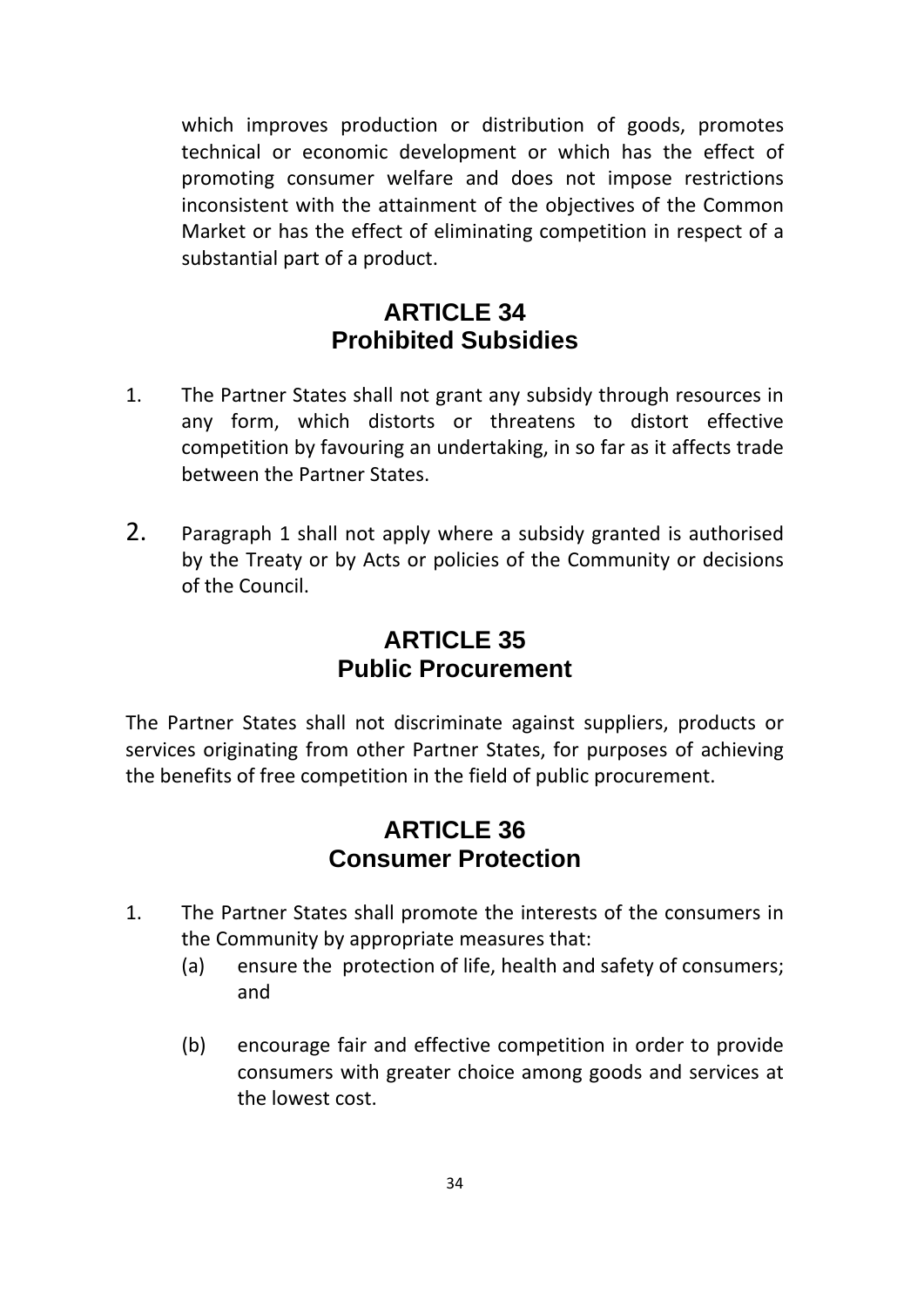which improves production or distribution of goods, promotes technical or economic development or which has the effect of promoting consumer welfare and does not impose restrictions inconsistent with the attainment of the objectives of the Common Market or has the effect of eliminating competition in respect of a substantial part of a product.

#### **ARTICLE 34 Prohibited Subsidies**

- 1. The Partner States shall not grant any subsidy through resources in any form, which distorts or threatens to distort effective competition by favouring an undertaking, in so far as it affects trade between the Partner States.
- 2. Paragraph 1 shall not apply where a subsidy granted is authorised by the Treaty or by Acts or policies of the Community or decisions of the Council.

## **ARTICLE 35 Public Procurement**

The Partner States shall not discriminate against suppliers, products or services originating from other Partner States, for purposes of achieving the benefits of free competition in the field of public procurement.

### **ARTICLE 36 Consumer Protection**

- 1. The Partner States shall promote the interests of the consumers in the Community by appropriate measures that:
	- (a) ensure the protection of life, health and safety of consumers; and
	- (b) encourage fair and effective competition in order to provide consumers with greater choice among goods and services at the lowest cost.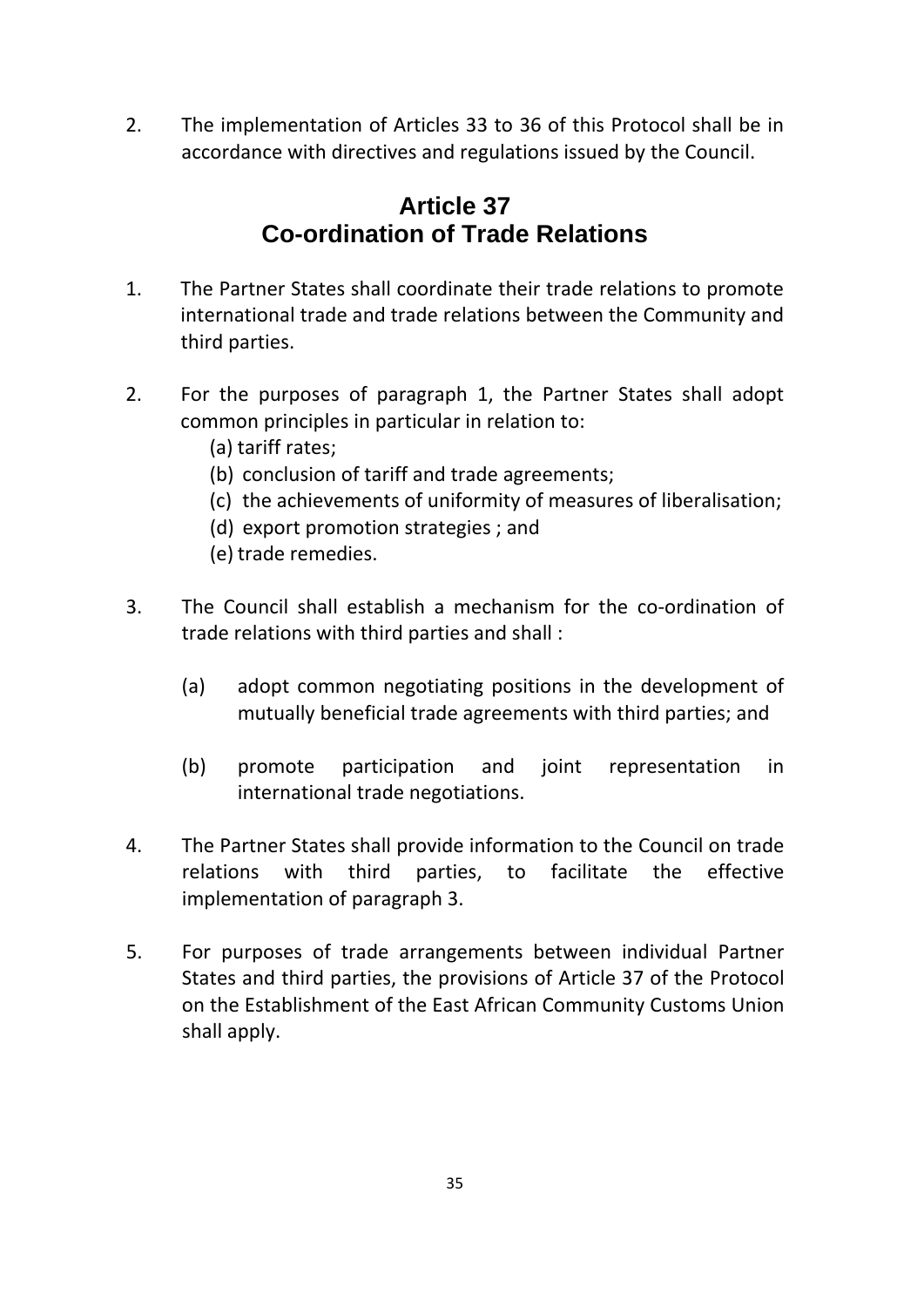2. The implementation of Articles 33 to 36 of this Protocol shall be in accordance with directives and regulations issued by the Council.

## **Article 37 Co-ordination of Trade Relations**

- 1. The Partner States shall coordinate their trade relations to promote international trade and trade relations between the Community and third parties.
- 2. For the purposes of paragraph 1, the Partner States shall adopt common principles in particular in relation to:
	- (a) tariff rates;
	- (b) conclusion of tariff and trade agreements;
	- (c) the achievements of uniformity of measures of liberalisation;
	- (d) export promotion strategies ; and
	- (e) trade remedies.
- 3. The Council shall establish a mechanism for the co-ordination of trade relations with third parties and shall :
	- (a) adopt common negotiating positions in the development of mutually beneficial trade agreements with third parties; and
	- (b) promote participation and joint representation in international trade negotiations.
- 4. The Partner States shall provide information to the Council on trade relations with third parties, to facilitate the effective implementation of paragraph 3.
- 5. For purposes of trade arrangements between individual Partner States and third parties, the provisions of Article 37 of the Protocol on the Establishment of the East African Community Customs Union shall apply.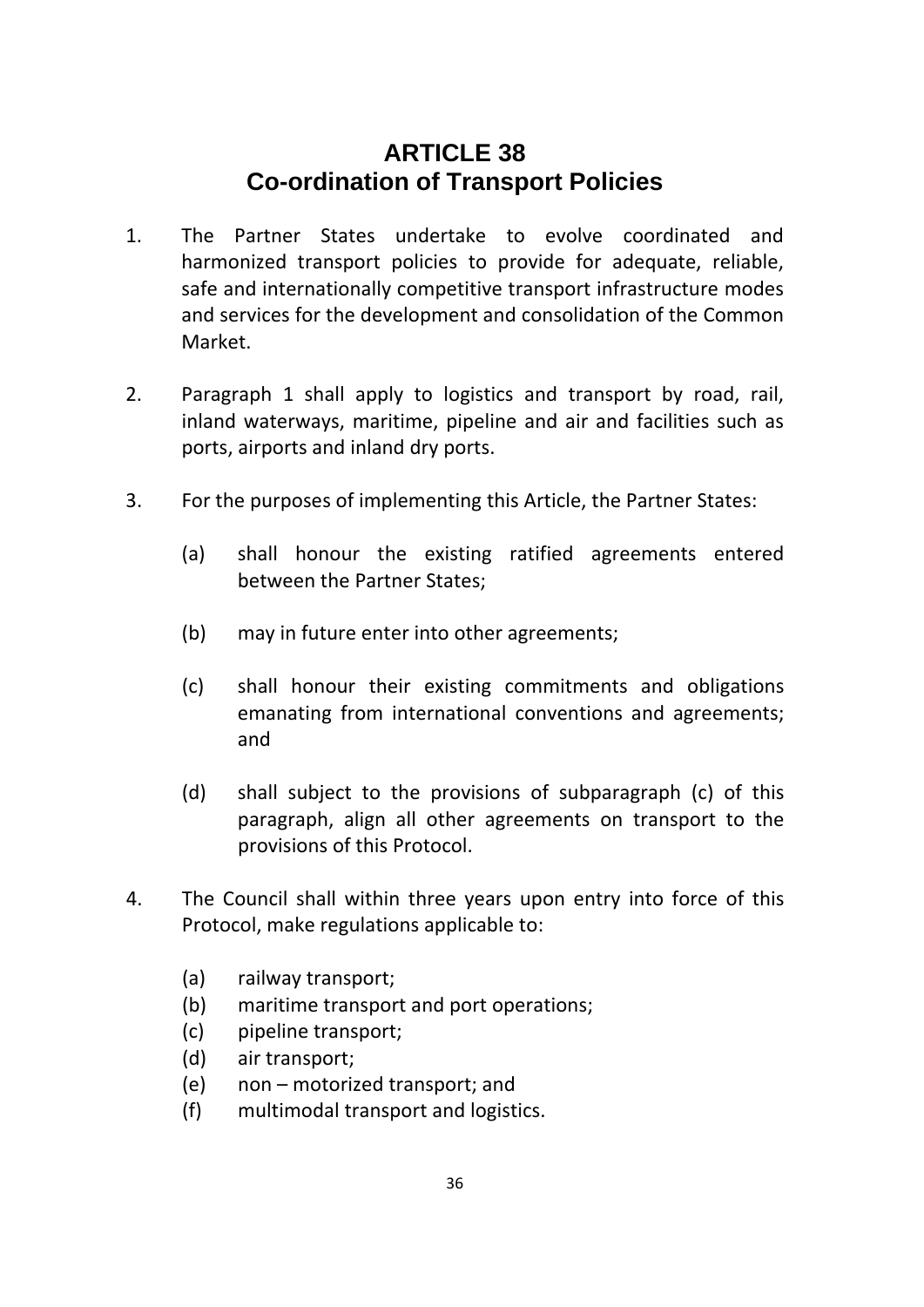### **ARTICLE 38 Co-ordination of Transport Policies**

- 1. The Partner States undertake to evolve coordinated and harmonized transport policies to provide for adequate, reliable, safe and internationally competitive transport infrastructure modes and services for the development and consolidation of the Common Market.
- 2. Paragraph 1 shall apply to logistics and transport by road, rail, inland waterways, maritime, pipeline and air and facilities such as ports, airports and inland dry ports.
- 3. For the purposes of implementing this Article, the Partner States:
	- (a) shall honour the existing ratified agreements entered between the Partner States;
	- (b) may in future enter into other agreements;
	- (c) shall honour their existing commitments and obligations emanating from international conventions and agreements; and
	- (d) shall subject to the provisions of subparagraph (c) of this paragraph, align all other agreements on transport to the provisions of this Protocol.
- 4. The Council shall within three years upon entry into force of this Protocol, make regulations applicable to:
	- (a) railway transport;
	- (b) maritime transport and port operations;
	- (c) pipeline transport;
	- (d) air transport;
	- (e) non motorized transport; and
	- (f) multimodal transport and logistics.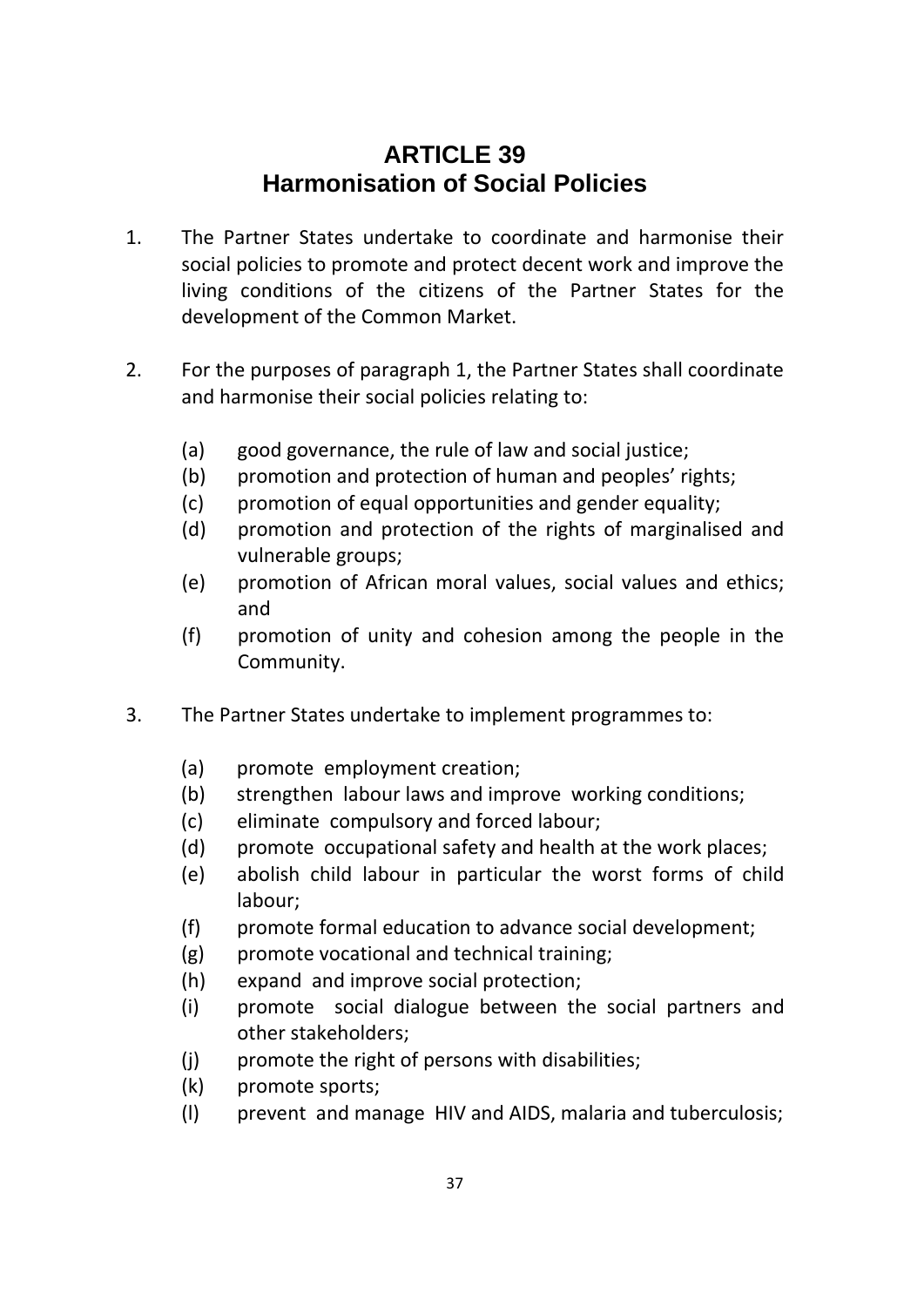## **ARTICLE 39 Harmonisation of Social Policies**

- 1. The Partner States undertake to coordinate and harmonise their social policies to promote and protect decent work and improve the living conditions of the citizens of the Partner States for the development of the Common Market.
- 2. For the purposes of paragraph 1, the Partner States shall coordinate and harmonise their social policies relating to:
	- (a) good governance, the rule of law and social justice;
	- (b) promotion and protection of human and peoples' rights;
	- (c) promotion of equal opportunities and gender equality;
	- (d) promotion and protection of the rights of marginalised and vulnerable groups;
	- (e) promotion of African moral values, social values and ethics; and
	- (f) promotion of unity and cohesion among the people in the Community.
- 3. The Partner States undertake to implement programmes to:
	- (a) promote employment creation;
	- (b) strengthen labour laws and improve working conditions;
	- (c) eliminate compulsory and forced labour;
	- (d) promote occupational safety and health at the work places;
	- (e) abolish child labour in particular the worst forms of child labour;
	- (f) promote formal education to advance social development;
	- (g) promote vocational and technical training;
	- (h) expand and improve social protection;
	- (i) promote social dialogue between the social partners and other stakeholders;
	- (j) promote the right of persons with disabilities;
	- (k) promote sports;
	- (l) prevent and manage HIV and AIDS, malaria and tuberculosis;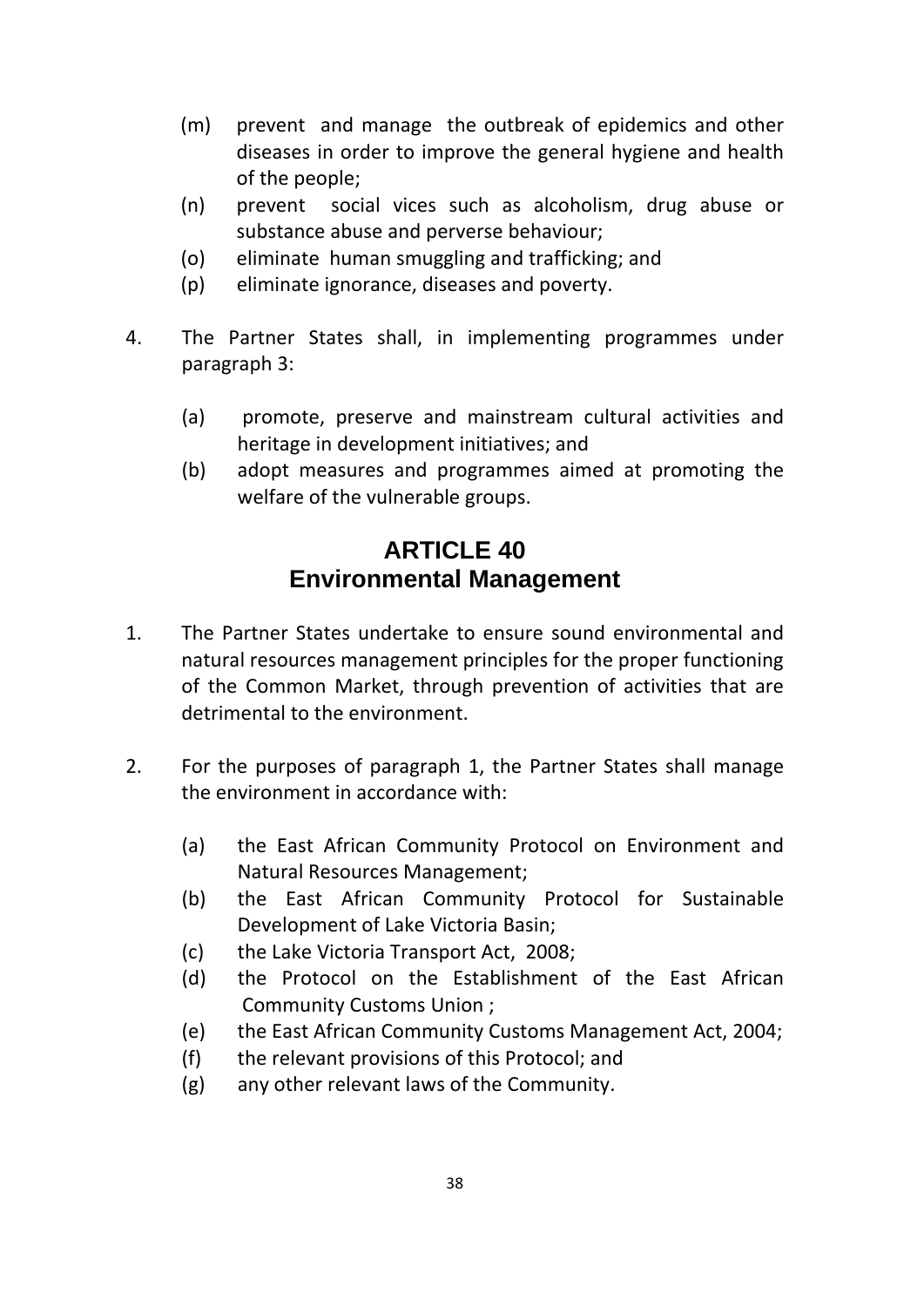- (m) prevent and manage the outbreak of epidemics and other diseases in order to improve the general hygiene and health of the people;
- (n) prevent social vices such as alcoholism, drug abuse or substance abuse and perverse behaviour;
- (o) eliminate human smuggling and trafficking; and
- (p) eliminate ignorance, diseases and poverty.
- 4. The Partner States shall, in implementing programmes under paragraph 3:
	- (a) promote, preserve and mainstream cultural activities and heritage in development initiatives; and
	- (b) adopt measures and programmes aimed at promoting the welfare of the vulnerable groups.

## **ARTICLE 40 Environmental Management**

- 1. The Partner States undertake to ensure sound environmental and natural resources management principles for the proper functioning of the Common Market, through prevention of activities that are detrimental to the environment.
- 2. For the purposes of paragraph 1, the Partner States shall manage the environment in accordance with:
	- (a) the East African Community Protocol on Environment and Natural Resources Management;
	- (b) the East African Community Protocol for Sustainable Development of Lake Victoria Basin;
	- (c) the Lake Victoria Transport Act, 2008;
	- (d) the Protocol on the Establishment of the East African Community Customs Union ;
	- (e) the East African Community Customs Management Act, 2004;
	- (f) the relevant provisions of this Protocol; and
	- (g) any other relevant laws of the Community.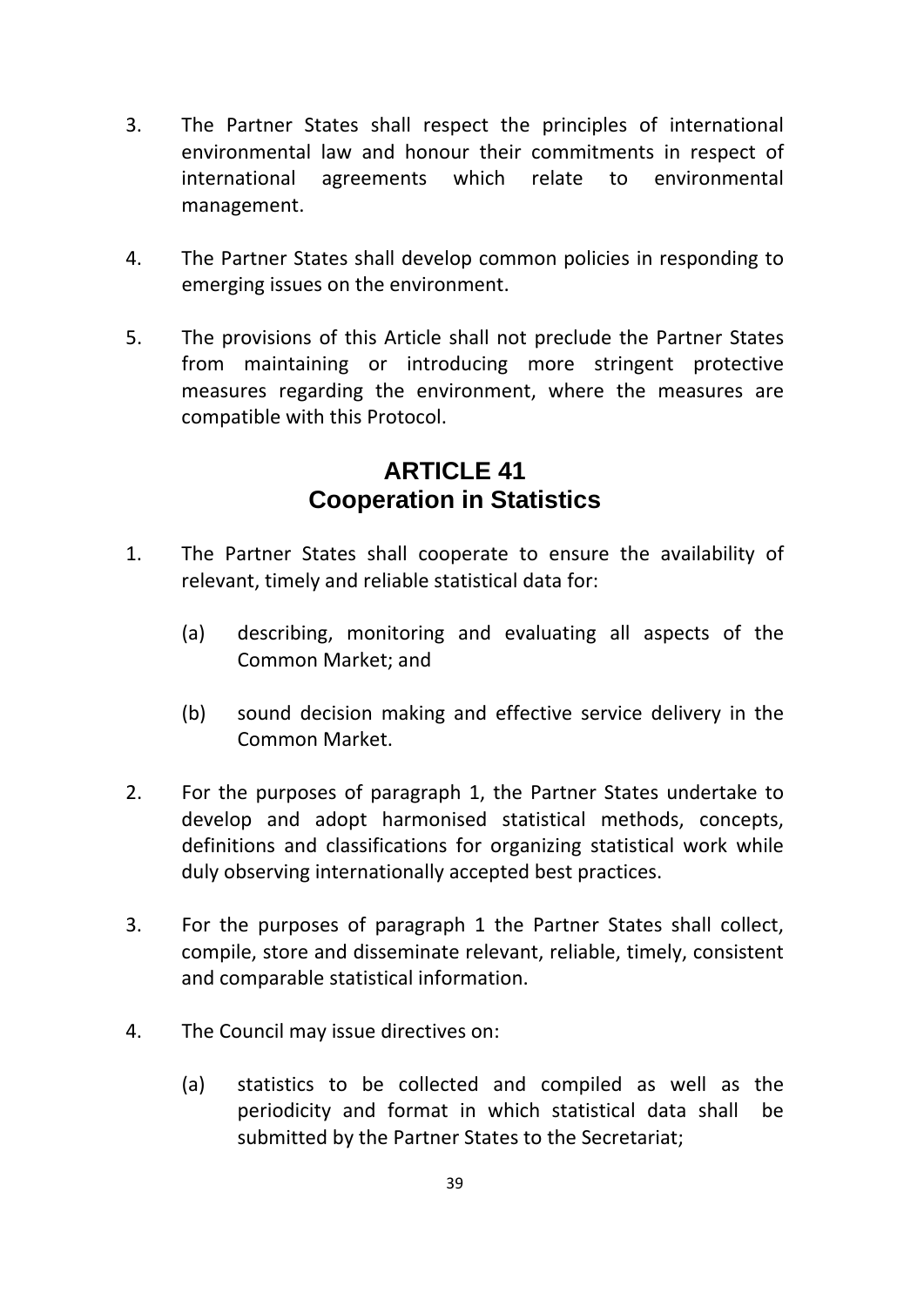- 3. The Partner States shall respect the principles of international environmental law and honour their commitments in respect of international agreements which relate to environmental management.
- 4. The Partner States shall develop common policies in responding to emerging issues on the environment.
- 5. The provisions of this Article shall not preclude the Partner States from maintaining or introducing more stringent protective measures regarding the environment, where the measures are compatible with this Protocol.

### **ARTICLE 41 Cooperation in Statistics**

- 1. The Partner States shall cooperate to ensure the availability of relevant, timely and reliable statistical data for:
	- (a) describing, monitoring and evaluating all aspects of the Common Market; and
	- (b) sound decision making and effective service delivery in the Common Market.
- 2. For the purposes of paragraph 1, the Partner States undertake to develop and adopt harmonised statistical methods, concepts, definitions and classifications for organizing statistical work while duly observing internationally accepted best practices.
- 3. For the purposes of paragraph 1 the Partner States shall collect, compile, store and disseminate relevant, reliable, timely, consistent and comparable statistical information.
- 4. The Council may issue directives on:
	- (a) statistics to be collected and compiled as well as the periodicity and format in which statistical data shall be submitted by the Partner States to the Secretariat;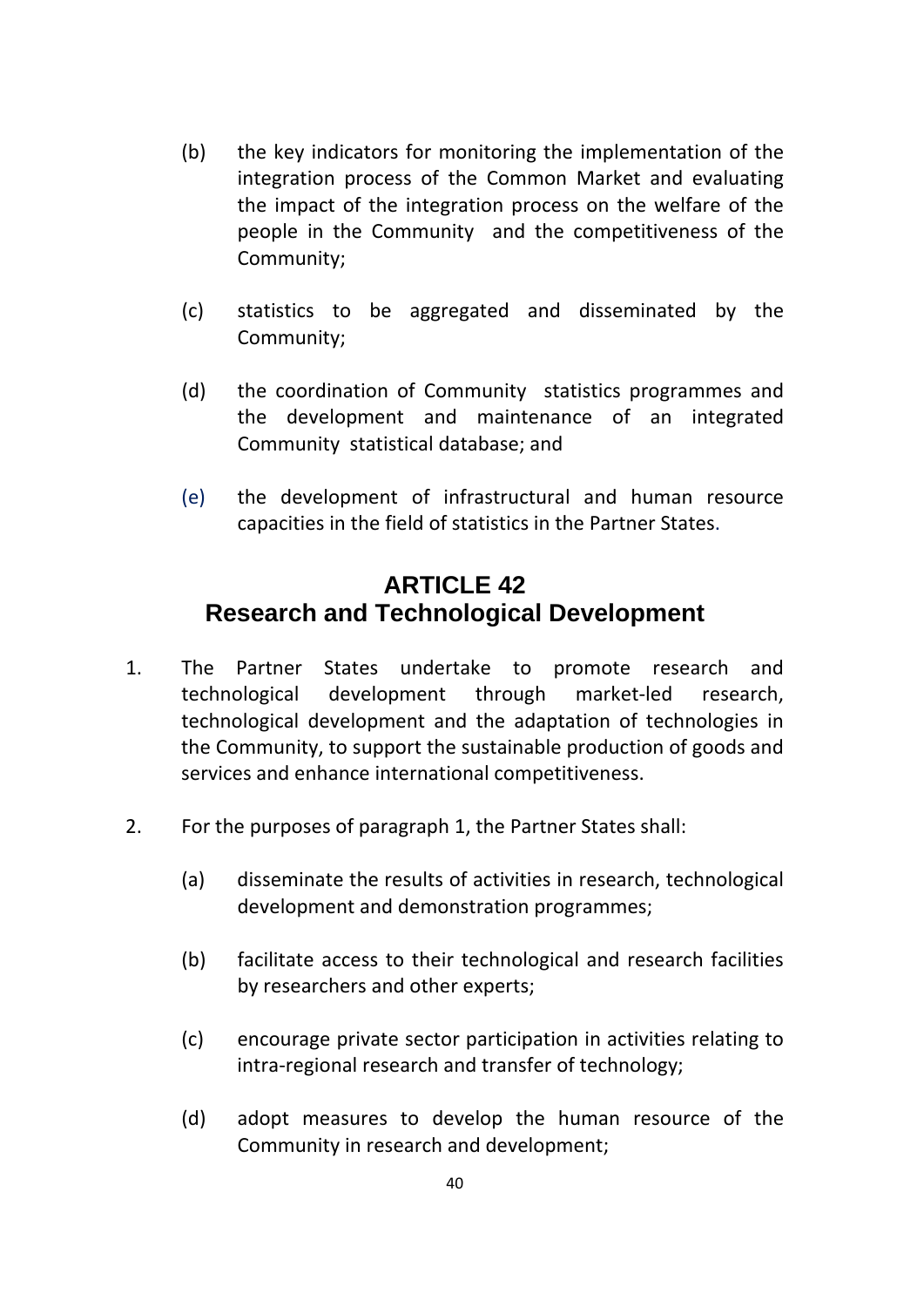- (b) the key indicators for monitoring the implementation of the integration process of the Common Market and evaluating the impact of the integration process on the welfare of the people in the Community and the competitiveness of the Community;
- (c) statistics to be aggregated and disseminated by the Community;
- (d) the coordination of Community statistics programmes and the development and maintenance of an integrated Community statistical database; and
- (e) the development of infrastructural and human resource capacities in the field of statistics in the Partner States.

## **ARTICLE 42 Research and Technological Development**

- 1. The Partner States undertake to promote research and technological development through market‐led research, technological development and the adaptation of technologies in the Community, to support the sustainable production of goods and services and enhance international competitiveness.
- 2. For the purposes of paragraph 1, the Partner States shall:
	- (a) disseminate the results of activities in research, technological development and demonstration programmes;
	- (b) facilitate access to their technological and research facilities by researchers and other experts;
	- (c) encourage private sector participation in activities relating to intra‐regional research and transfer of technology;
	- (d) adopt measures to develop the human resource of the Community in research and development;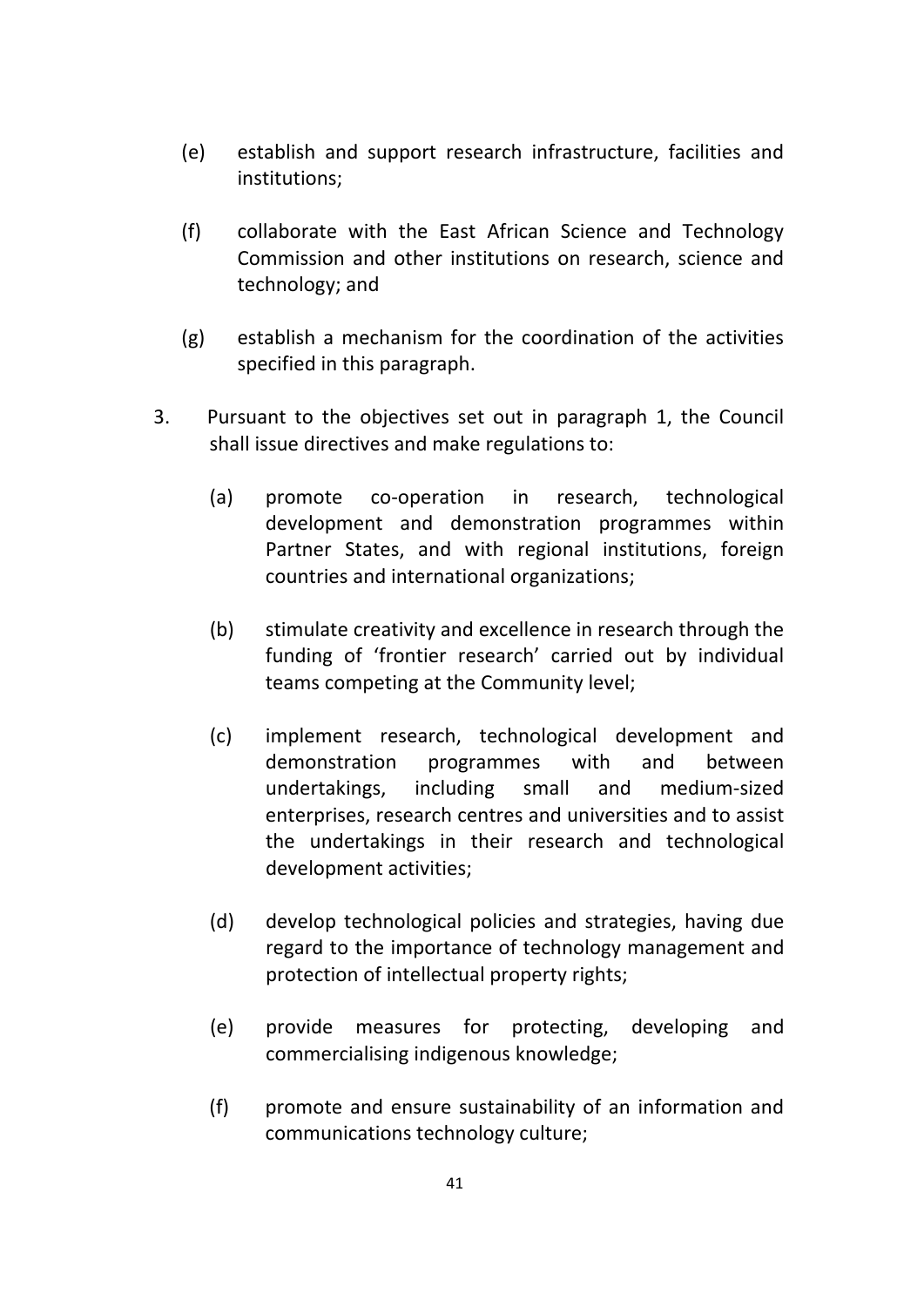- (e) establish and support research infrastructure, facilities and institutions;
- (f) collaborate with the East African Science and Technology Commission and other institutions on research, science and technology; and
- (g) establish a mechanism for the coordination of the activities specified in this paragraph.
- 3. Pursuant to the objectives set out in paragraph 1, the Council shall issue directives and make regulations to:
	- (a) promote co‐operation in research, technological development and demonstration programmes within Partner States, and with regional institutions, foreign countries and international organizations;
	- (b) stimulate creativity and excellence in research through the funding of 'frontier research' carried out by individual teams competing at the Community level;
	- (c) implement research, technological development and demonstration programmes with and between undertakings, including small and medium‐sized enterprises, research centres and universities and to assist the undertakings in their research and technological development activities;
	- (d) develop technological policies and strategies, having due regard to the importance of technology management and protection of intellectual property rights;
	- (e) provide measures for protecting, developing and commercialising indigenous knowledge;
	- (f) promote and ensure sustainability of an information and communications technology culture;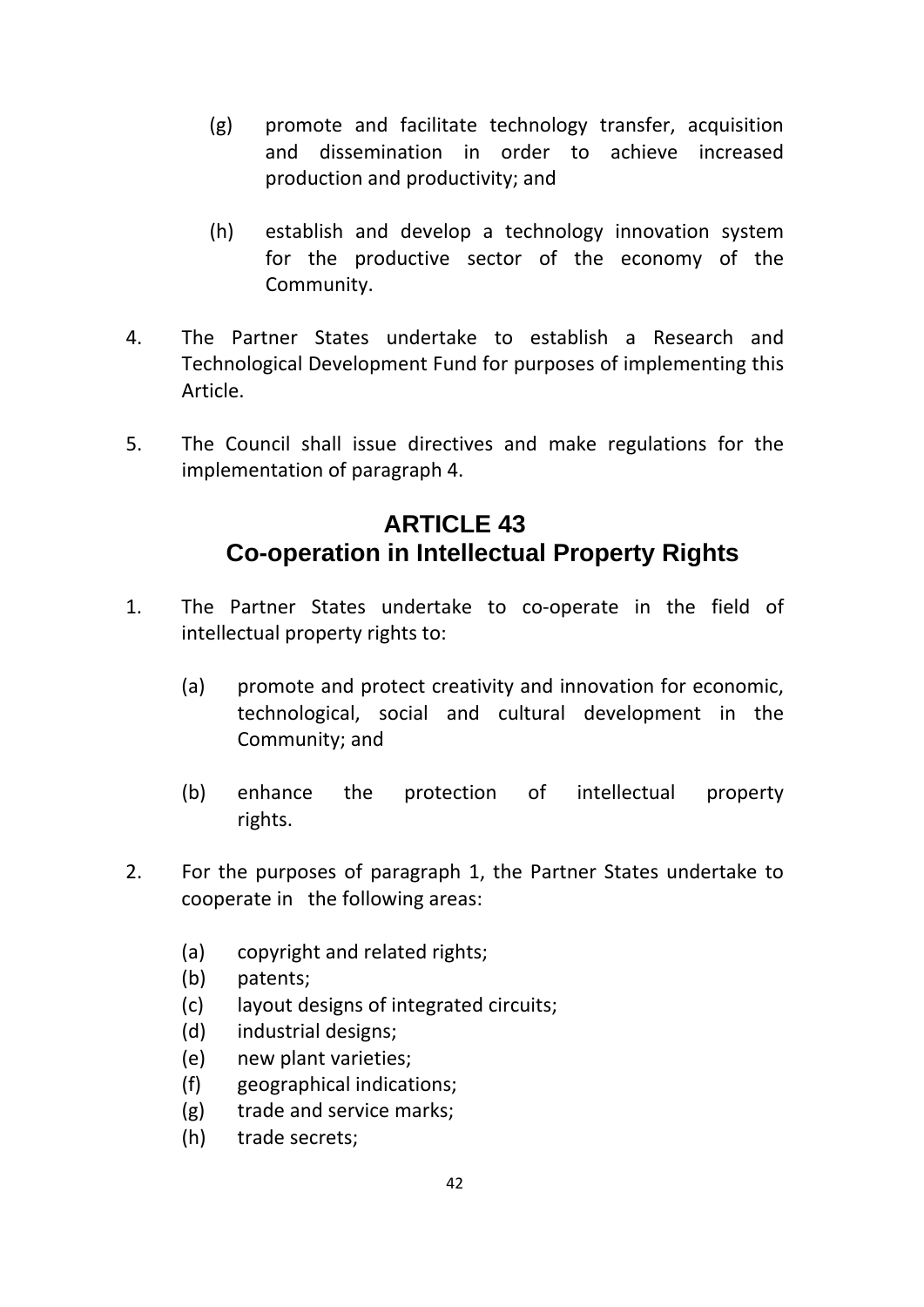- (g) promote and facilitate technology transfer, acquisition and dissemination in order to achieve increased production and productivity; and
- (h) establish and develop a technology innovation system for the productive sector of the economy of the Community.
- 4. The Partner States undertake to establish a Research and Technological Development Fund for purposes of implementing this Article.
- 5. The Council shall issue directives and make regulations for the implementation of paragraph 4.

## **ARTICLE 43 Co-operation in Intellectual Property Rights**

- 1. The Partner States undertake to co-operate in the field of intellectual property rights to:
	- (a) promote and protect creativity and innovation for economic, technological, social and cultural development in the Community; and
	- (b) enhance the protection of intellectual property rights.
- 2. For the purposes of paragraph 1, the Partner States undertake to cooperate in the following areas:
	- (a) copyright and related rights;
	- (b) patents;
	- (c) layout designs of integrated circuits;
	- (d) industrial designs;
	- (e) new plant varieties;
	- (f) geographical indications;
	- (g) trade and service marks;
	- (h) trade secrets;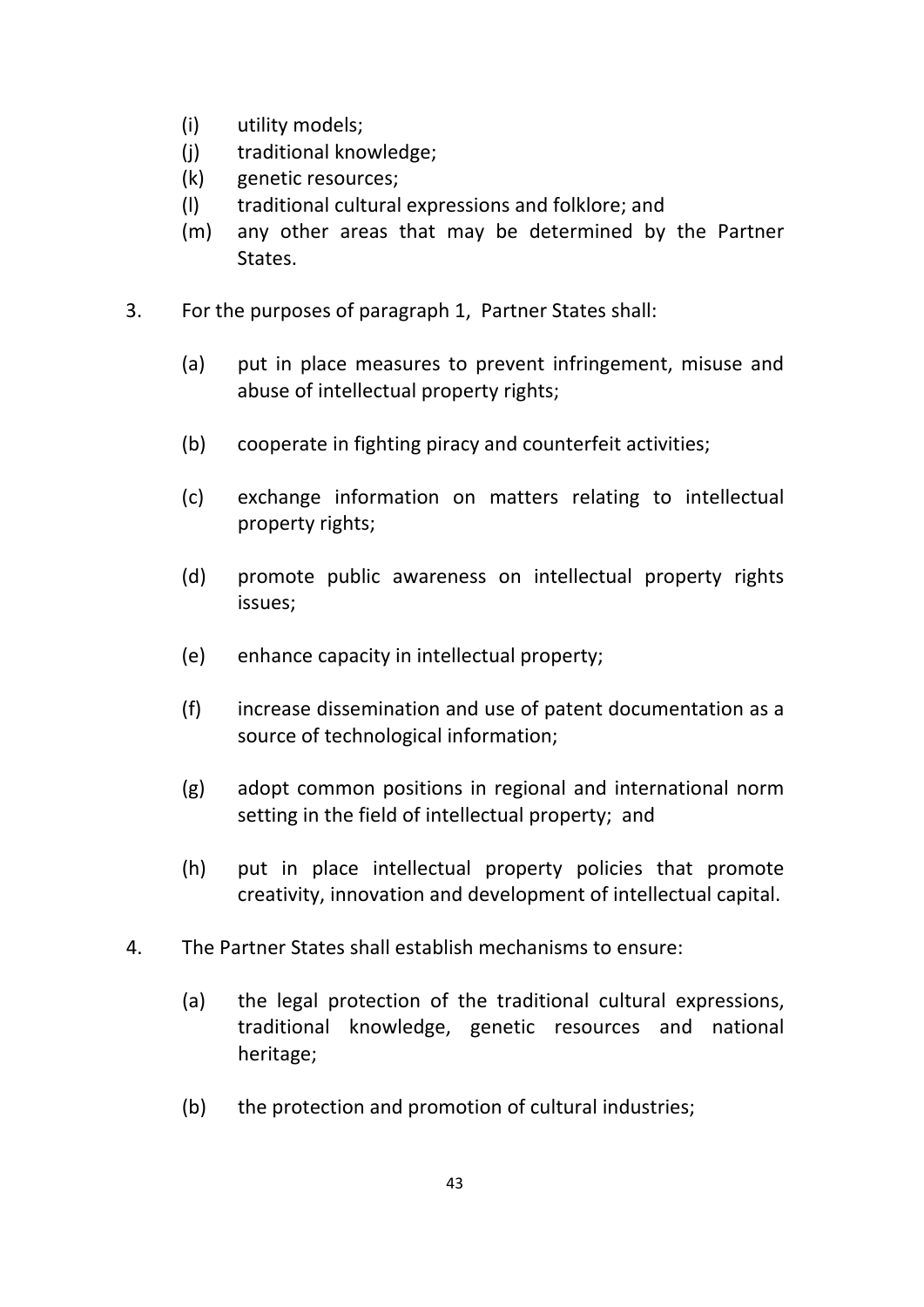- (i) utility models;
- (j) traditional knowledge;
- (k) genetic resources;
- (l) traditional cultural expressions and folklore; and
- (m) any other areas that may be determined by the Partner States.
- 3. For the purposes of paragraph 1, Partner States shall:
	- (a) put in place measures to prevent infringement, misuse and abuse of intellectual property rights;
	- (b) cooperate in fighting piracy and counterfeit activities;
	- (c) exchange information on matters relating to intellectual property rights;
	- (d) promote public awareness on intellectual property rights issues;
	- (e) enhance capacity in intellectual property;
	- (f) increase dissemination and use of patent documentation as a source of technological information;
	- (g) adopt common positions in regional and international norm setting in the field of intellectual property; and
	- (h) put in place intellectual property policies that promote creativity, innovation and development of intellectual capital.
- 4. The Partner States shall establish mechanisms to ensure:
	- (a) the legal protection of the traditional cultural expressions, traditional knowledge, genetic resources and national heritage;
	- (b) the protection and promotion of cultural industries;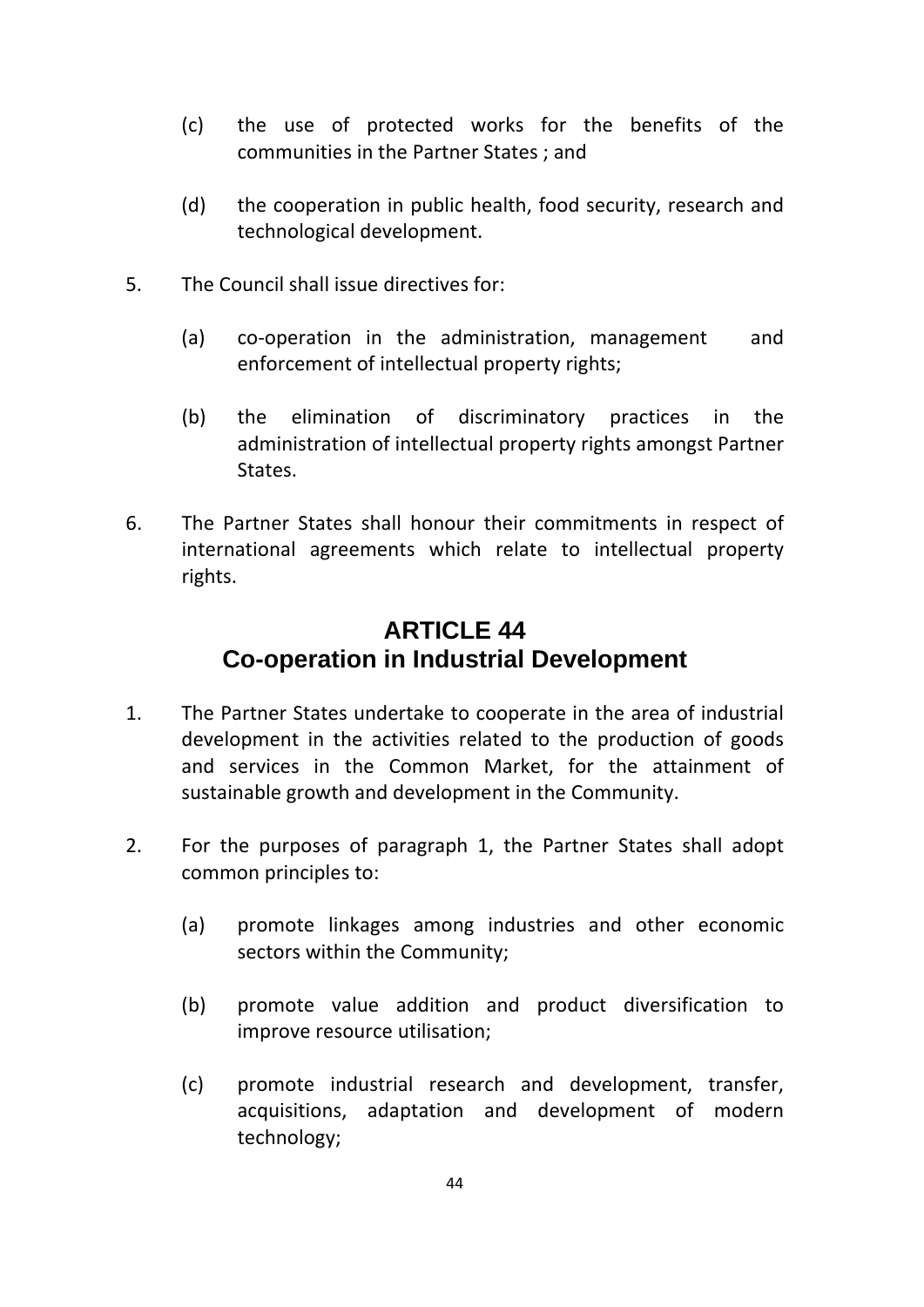- (c) the use of protected works for the benefits of the communities in the Partner States ; and
- (d) the cooperation in public health, food security, research and technological development.
- 5. The Council shall issue directives for:
	- (a) co-operation in the administration, management and enforcement of intellectual property rights;
	- (b) the elimination of discriminatory practices in the administration of intellectual property rights amongst Partner States.
- 6. The Partner States shall honour their commitments in respect of international agreements which relate to intellectual property rights.

## **ARTICLE 44 Co-operation in Industrial Development**

- 1. The Partner States undertake to cooperate in the area of industrial development in the activities related to the production of goods and services in the Common Market, for the attainment of sustainable growth and development in the Community.
- 2. For the purposes of paragraph 1, the Partner States shall adopt common principles to:
	- (a) promote linkages among industries and other economic sectors within the Community;
	- (b) promote value addition and product diversification to improve resource utilisation;
	- (c) promote industrial research and development, transfer, acquisitions, adaptation and development of modern technology;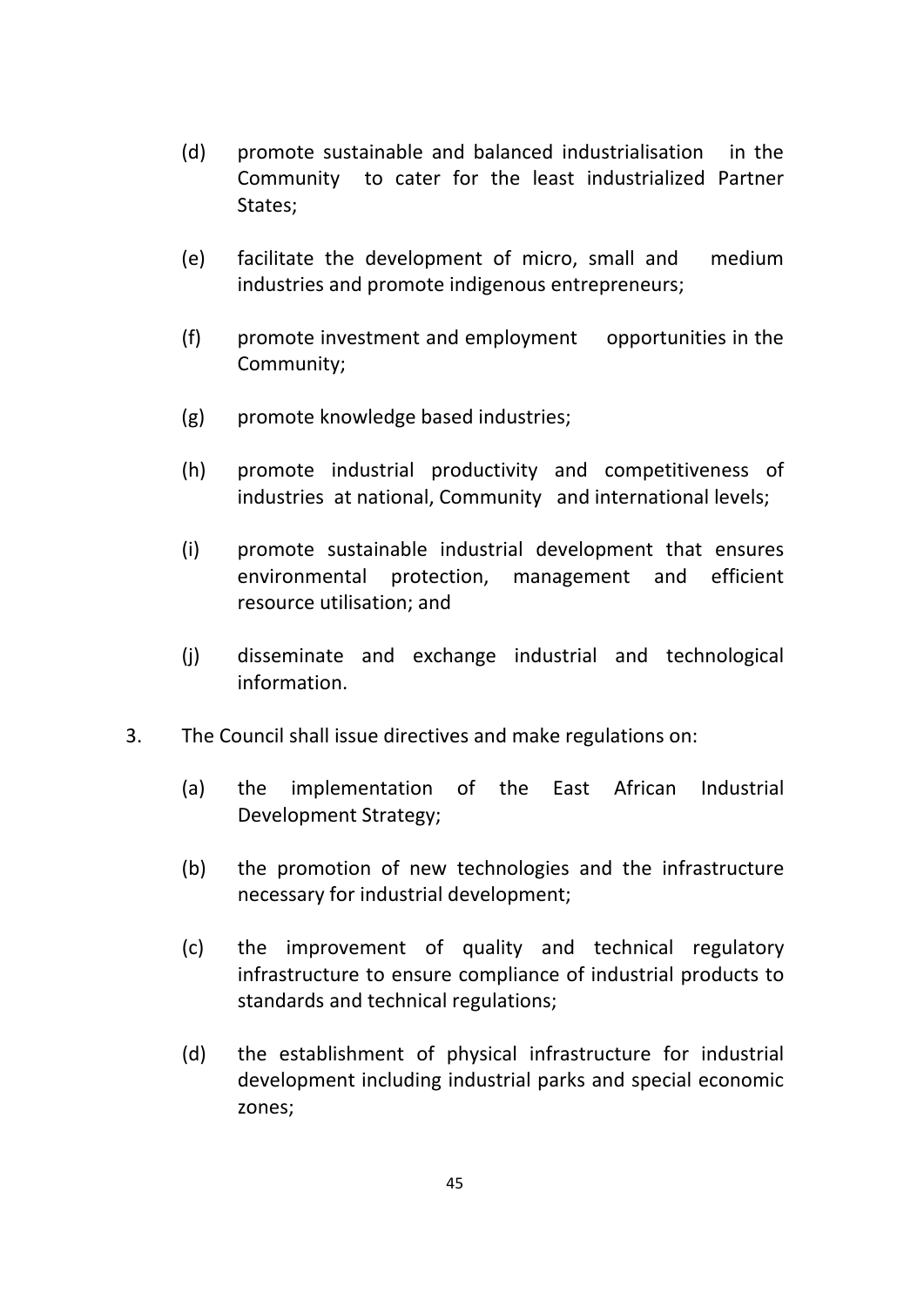- (d) promote sustainable and balanced industrialisation in the Community to cater for the least industrialized Partner States;
- (e) facilitate the development of micro, small and medium industries and promote indigenous entrepreneurs;
- (f) promote investment and employment opportunities in the Community;
- (g) promote knowledge based industries;
- (h) promote industrial productivity and competitiveness of industries at national, Community and international levels;
- (i) promote sustainable industrial development that ensures environmental protection, management and efficient resource utilisation; and
- (j) disseminate and exchange industrial and technological information.
- 3. The Council shall issue directives and make regulations on:
	- (a) the implementation of the East African Industrial Development Strategy;
	- (b) the promotion of new technologies and the infrastructure necessary for industrial development;
	- (c) the improvement of quality and technical regulatory infrastructure to ensure compliance of industrial products to standards and technical regulations;
	- (d) the establishment of physical infrastructure for industrial development including industrial parks and special economic zones;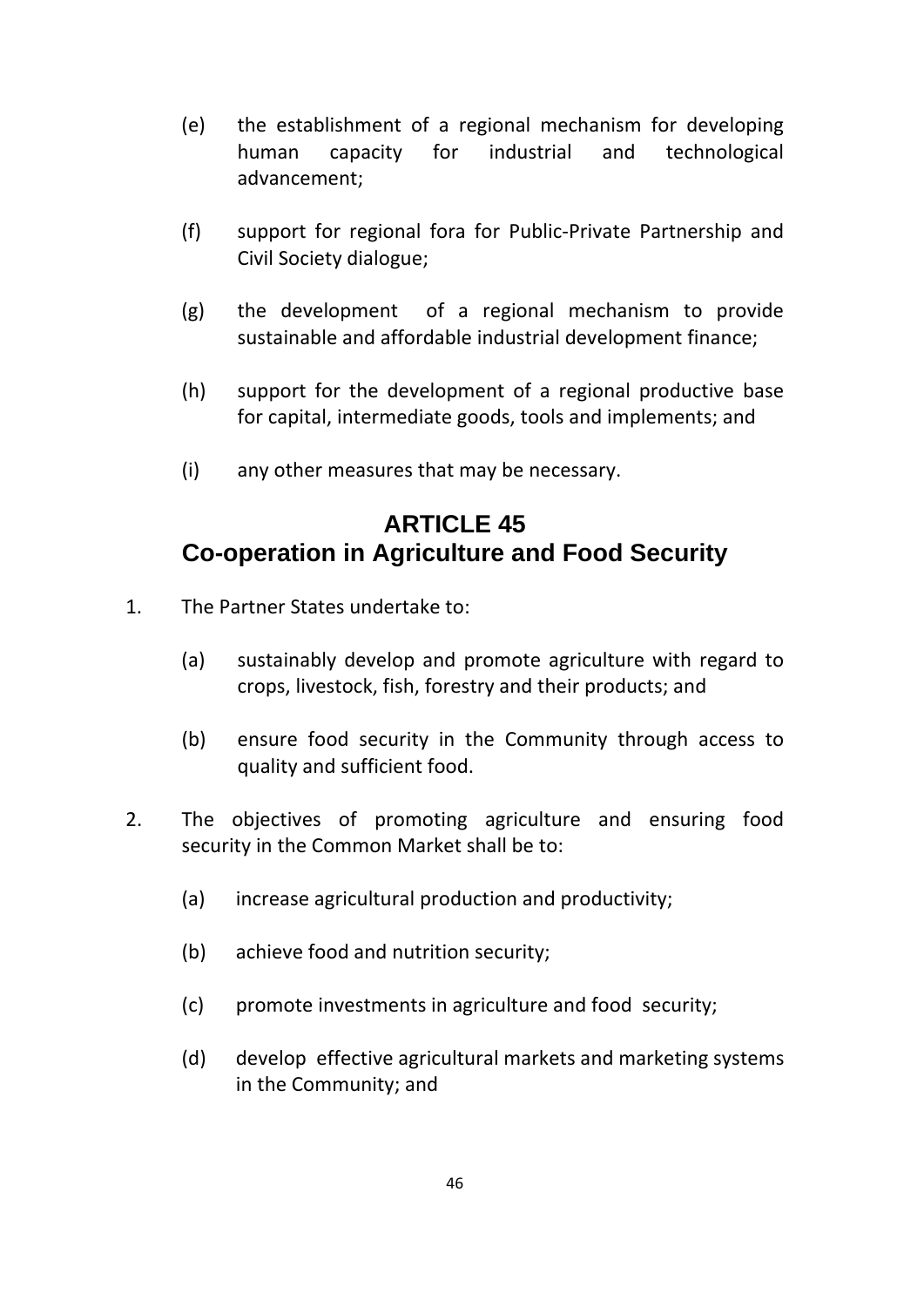- (e) the establishment of a regional mechanism for developing human capacity for industrial and technological advancement;
- (f) support for regional fora for Public‐Private Partnership and Civil Society dialogue;
- $(g)$  the development of a regional mechanism to provide sustainable and affordable industrial development finance;
- (h) support for the development of a regional productive base for capital, intermediate goods, tools and implements; and
- (i) any other measures that may be necessary.

### **ARTICLE 45 Co-operation in Agriculture and Food Security**

- 1. The Partner States undertake to:
	- (a) sustainably develop and promote agriculture with regard to crops, livestock, fish, forestry and their products; and
	- (b) ensure food security in the Community through access to quality and sufficient food.
- 2. The objectives of promoting agriculture and ensuring food security in the Common Market shall be to:
	- (a) increase agricultural production and productivity;
	- (b) achieve food and nutrition security;
	- (c) promote investments in agriculture and food security;
	- (d) develop effective agricultural markets and marketing systems in the Community; and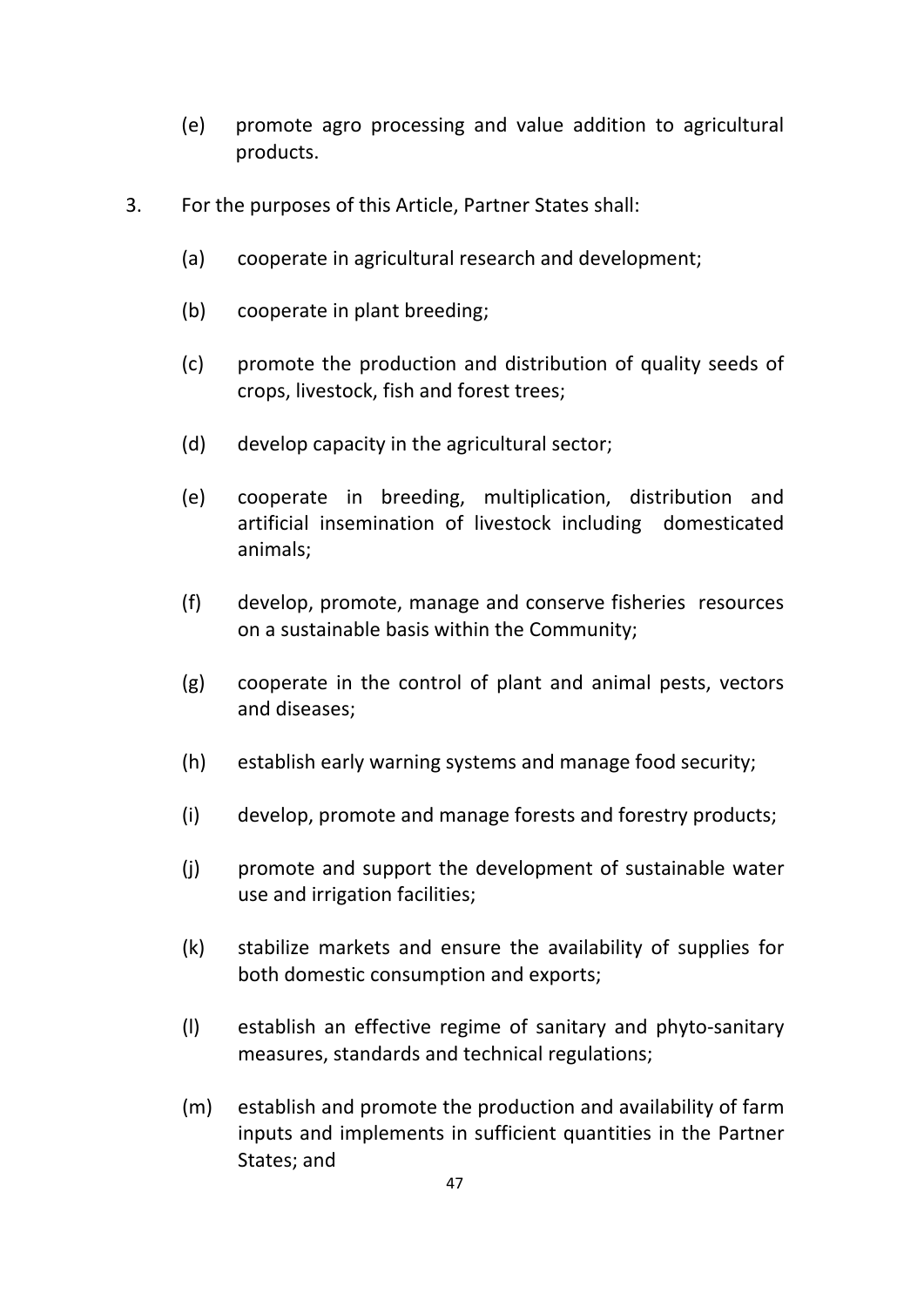- (e) promote agro processing and value addition to agricultural products.
- 3. For the purposes of this Article, Partner States shall:
	- (a) cooperate in agricultural research and development;
	- (b) cooperate in plant breeding;
	- (c) promote the production and distribution of quality seeds of crops, livestock, fish and forest trees;
	- (d) develop capacity in the agricultural sector;
	- (e) cooperate in breeding, multiplication, distribution and artificial insemination of livestock including domesticated animals;
	- (f) develop, promote, manage and conserve fisheries resources on a sustainable basis within the Community;
	- (g) cooperate in the control of plant and animal pests, vectors and diseases;
	- (h) establish early warning systems and manage food security;
	- (i) develop, promote and manage forests and forestry products;
	- (j) promote and support the development of sustainable water use and irrigation facilities;
	- (k) stabilize markets and ensure the availability of supplies for both domestic consumption and exports;
	- (l) establish an effective regime of sanitary and phyto‐sanitary measures, standards and technical regulations;
	- (m) establish and promote the production and availability of farm inputs and implements in sufficient quantities in the Partner States; and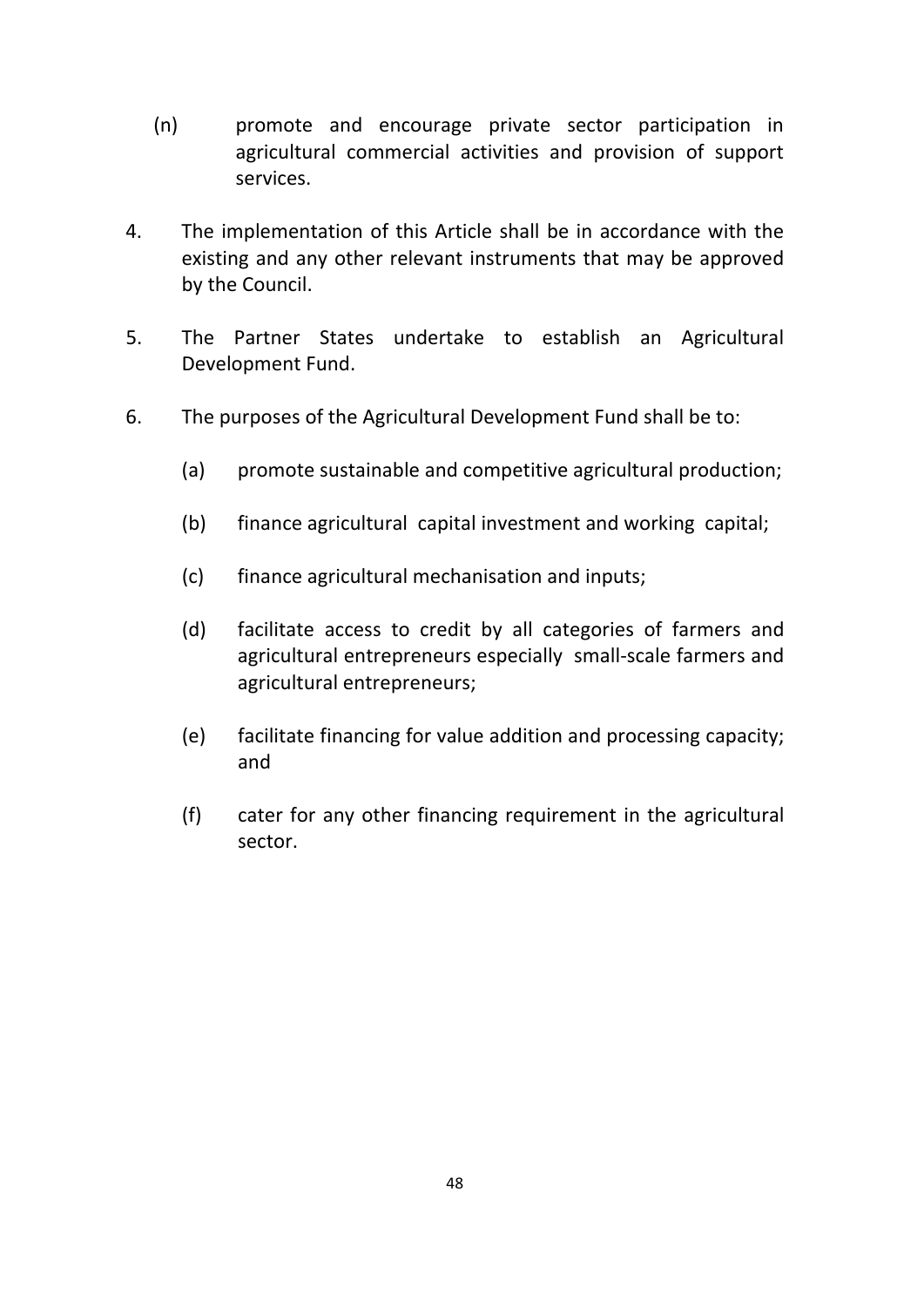- (n) promote and encourage private sector participation in agricultural commercial activities and provision of support services.
- 4. The implementation of this Article shall be in accordance with the existing and any other relevant instruments that may be approved by the Council.
- 5. The Partner States undertake to establish an Agricultural Development Fund.
- 6. The purposes of the Agricultural Development Fund shall be to:
	- (a) promote sustainable and competitive agricultural production;
	- (b) finance agricultural capital investment and working capital;
	- (c) finance agricultural mechanisation and inputs;
	- (d) facilitate access to credit by all categories of farmers and agricultural entrepreneurs especially small‐scale farmers and agricultural entrepreneurs;
	- (e) facilitate financing for value addition and processing capacity; and
	- (f) cater for any other financing requirement in the agricultural sector.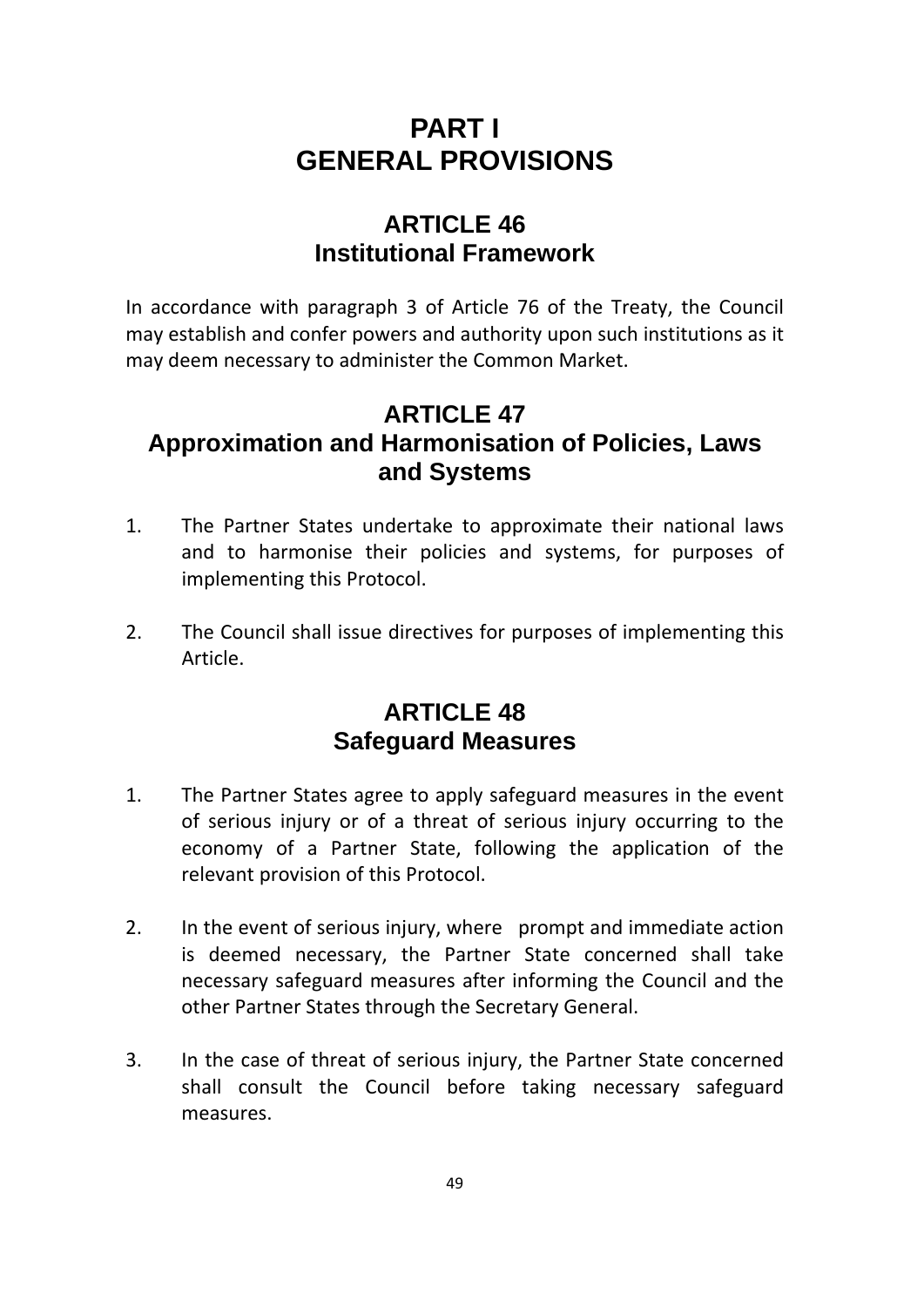## **PART I GENERAL PROVISIONS**

## **ARTICLE 46 Institutional Framework**

In accordance with paragraph 3 of Article 76 of the Treaty, the Council may establish and confer powers and authority upon such institutions as it may deem necessary to administer the Common Market.

## **ARTICLE 47 Approximation and Harmonisation of Policies, Laws and Systems**

- 1. The Partner States undertake to approximate their national laws and to harmonise their policies and systems, for purposes of implementing this Protocol.
- 2. The Council shall issue directives for purposes of implementing this Article.

## **ARTICLE 48 Safeguard Measures**

- 1. The Partner States agree to apply safeguard measures in the event of serious injury or of a threat of serious injury occurring to the economy of a Partner State, following the application of the relevant provision of this Protocol.
- 2. In the event of serious injury, where prompt and immediate action is deemed necessary, the Partner State concerned shall take necessary safeguard measures after informing the Council and the other Partner States through the Secretary General.
- 3. In the case of threat of serious injury, the Partner State concerned shall consult the Council before taking necessary safeguard measures.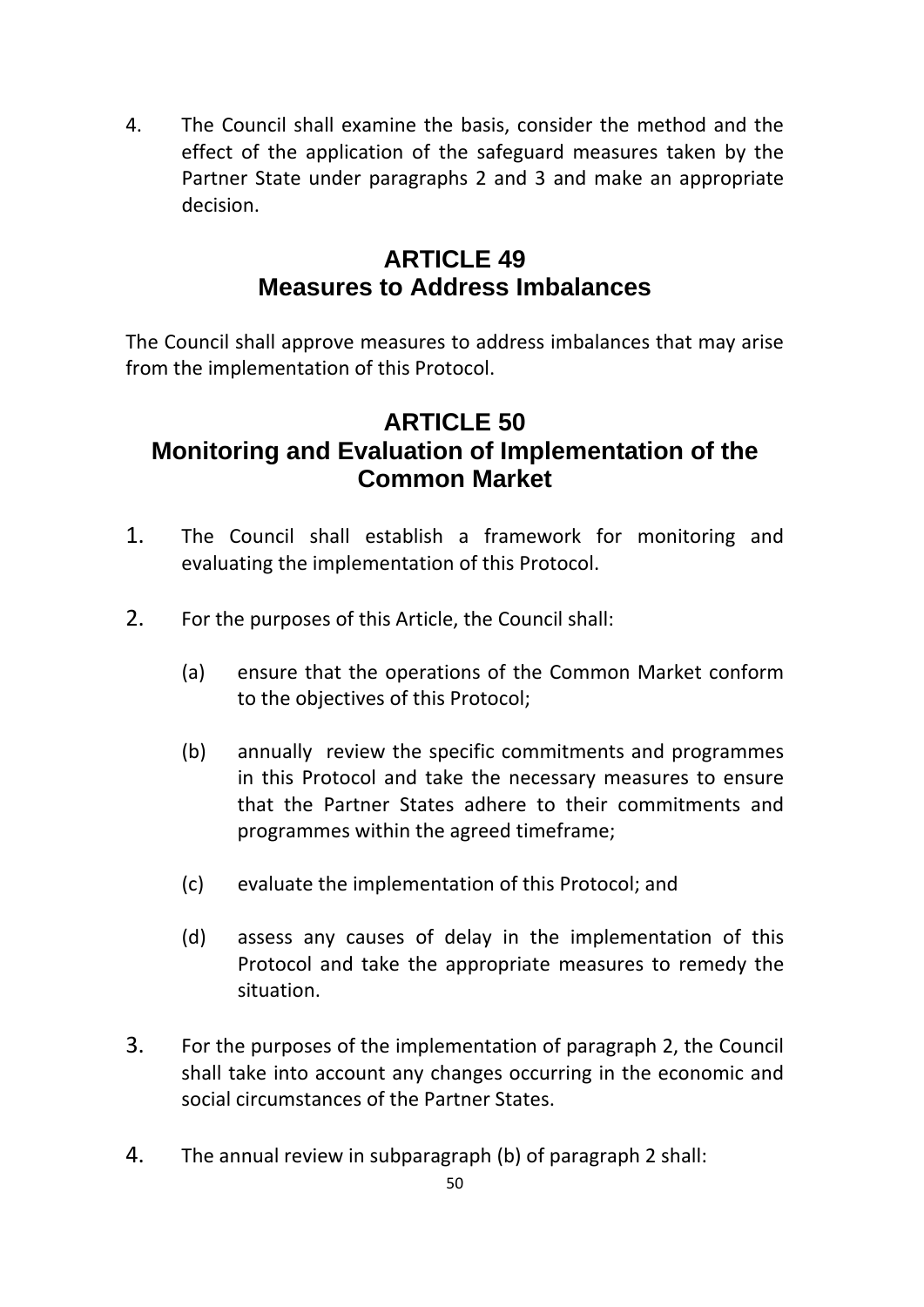4. The Council shall examine the basis, consider the method and the effect of the application of the safeguard measures taken by the Partner State under paragraphs 2 and 3 and make an appropriate decision.

### **ARTICLE 49 Measures to Address Imbalances**

The Council shall approve measures to address imbalances that may arise from the implementation of this Protocol.

## **ARTICLE 50 Monitoring and Evaluation of Implementation of the Common Market**

- 1. The Council shall establish a framework for monitoring and evaluating the implementation of this Protocol.
- 2. For the purposes of this Article, the Council shall:
	- (a) ensure that the operations of the Common Market conform to the objectives of this Protocol;
	- (b) annually review the specific commitments and programmes in this Protocol and take the necessary measures to ensure that the Partner States adhere to their commitments and programmes within the agreed timeframe;
	- (c) evaluate the implementation of this Protocol; and
	- (d) assess any causes of delay in the implementation of this Protocol and take the appropriate measures to remedy the situation.
- 3. For the purposes of the implementation of paragraph 2, the Council shall take into account any changes occurring in the economic and social circumstances of the Partner States.
- 4. The annual review in subparagraph (b) of paragraph 2 shall: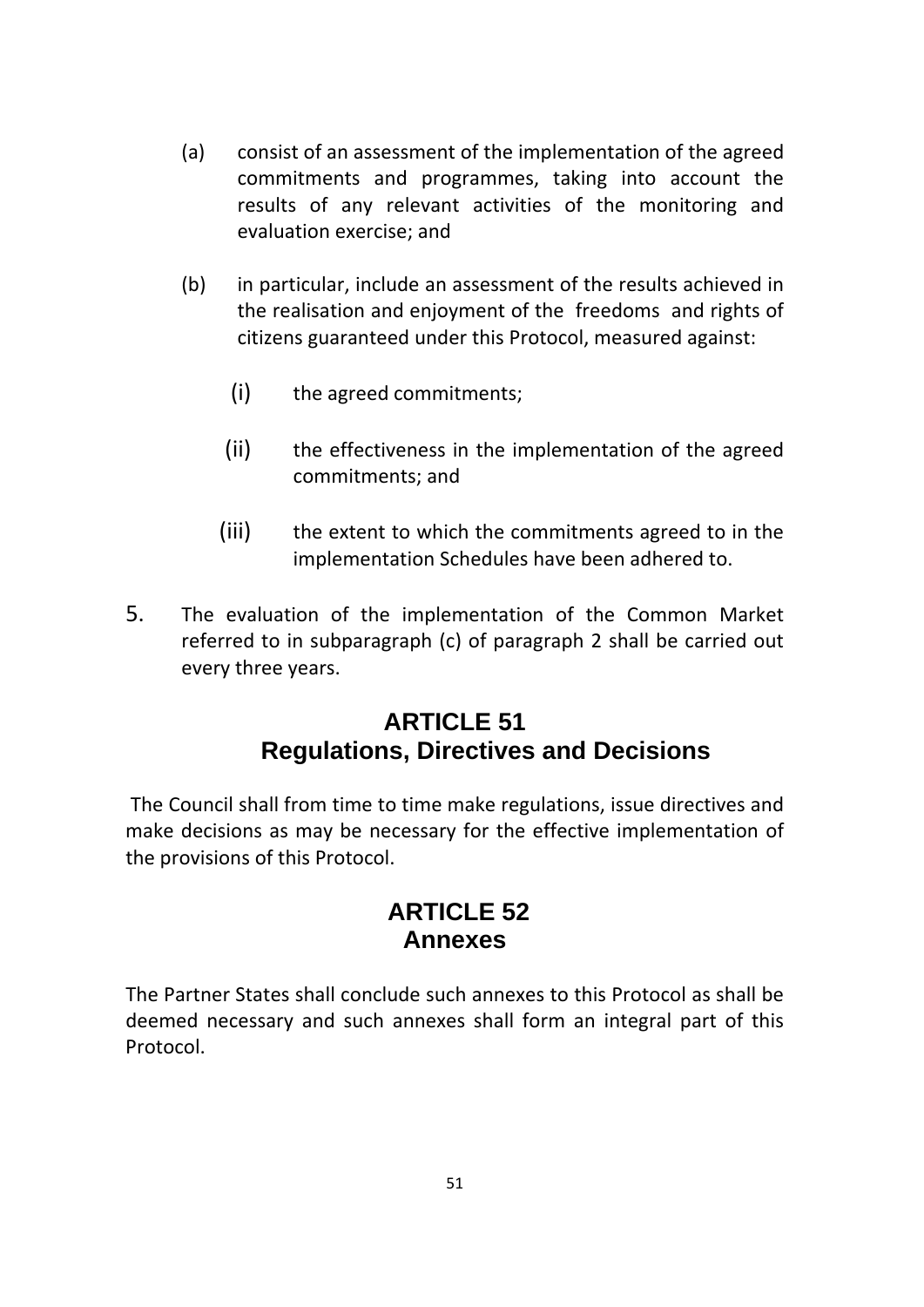- (a) consist of an assessment of the implementation of the agreed commitments and programmes, taking into account the results of any relevant activities of the monitoring and evaluation exercise; and
- (b) in particular, include an assessment of the results achieved in the realisation and enjoyment of the freedoms and rights of citizens guaranteed under this Protocol, measured against:
	- (i) the agreed commitments;
	- (ii) the effectiveness in the implementation of the agreed commitments; and
	- (iii) the extent to which the commitments agreed to in the implementation Schedules have been adhered to.
- 5. The evaluation of the implementation of the Common Market referred to in subparagraph (c) of paragraph 2 shall be carried out every three years.

## **ARTICLE 51 Regulations, Directives and Decisions**

The Council shall from time to time make regulations, issue directives and make decisions as may be necessary for the effective implementation of the provisions of this Protocol.

### **ARTICLE 52 Annexes**

The Partner States shall conclude such annexes to this Protocol as shall be deemed necessary and such annexes shall form an integral part of this Protocol.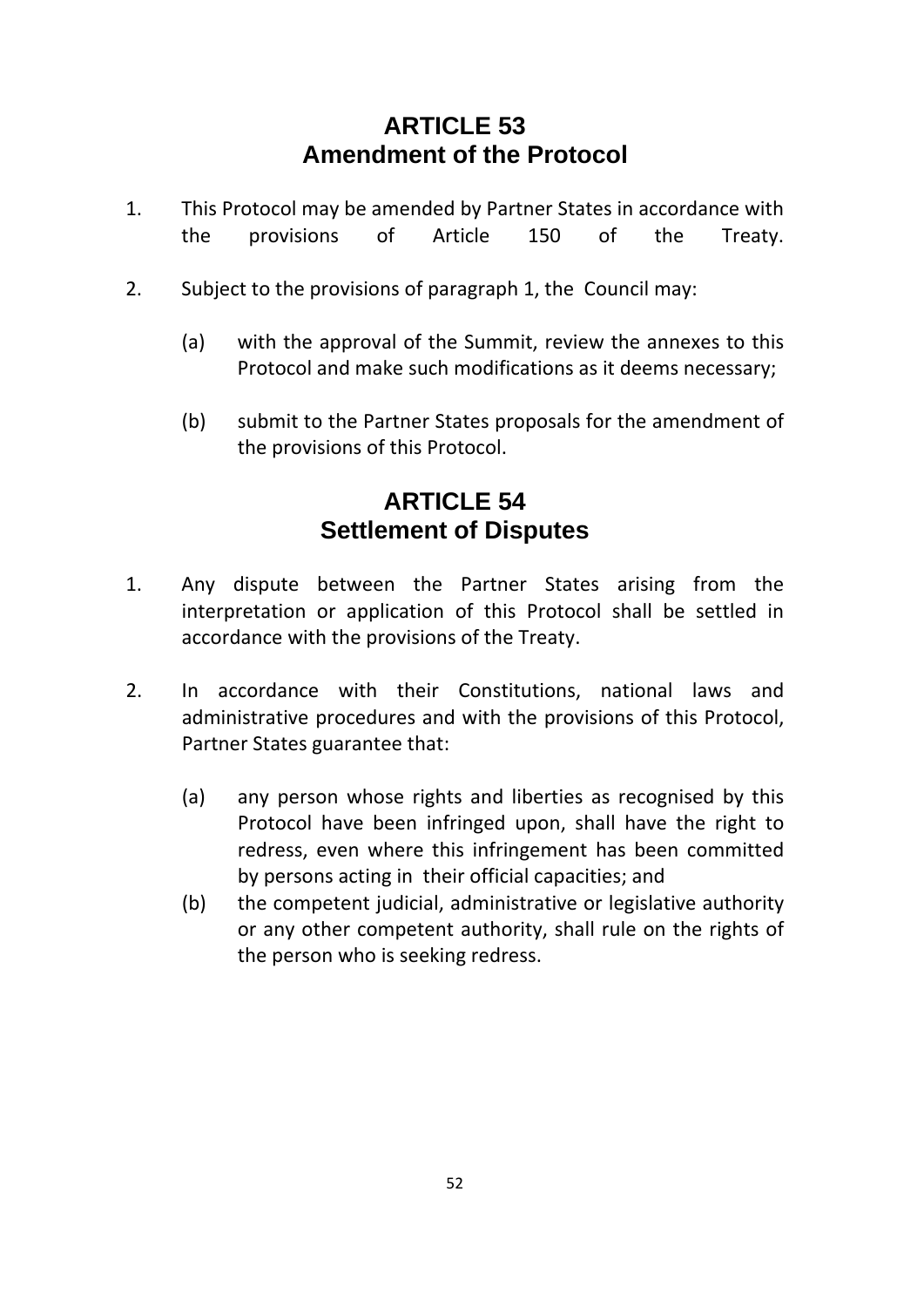## **ARTICLE 53 Amendment of the Protocol**

- 1. This Protocol may be amended by Partner States in accordance with the provisions of Article 150 of the Treaty.
- 2. Subject to the provisions of paragraph 1, the Council may:
	- (a) with the approval of the Summit, review the annexes to this Protocol and make such modifications as it deems necessary;
	- (b) submit to the Partner States proposals for the amendment of the provisions of this Protocol.

## **ARTICLE 54 Settlement of Disputes**

- 1. Any dispute between the Partner States arising from the interpretation or application of this Protocol shall be settled in accordance with the provisions of the Treaty.
- 2. In accordance with their Constitutions, national laws and administrative procedures and with the provisions of this Protocol, Partner States guarantee that:
	- (a) any person whose rights and liberties as recognised by this Protocol have been infringed upon, shall have the right to redress, even where this infringement has been committed by persons acting in their official capacities; and
	- (b) the competent judicial, administrative or legislative authority or any other competent authority, shall rule on the rights of the person who is seeking redress.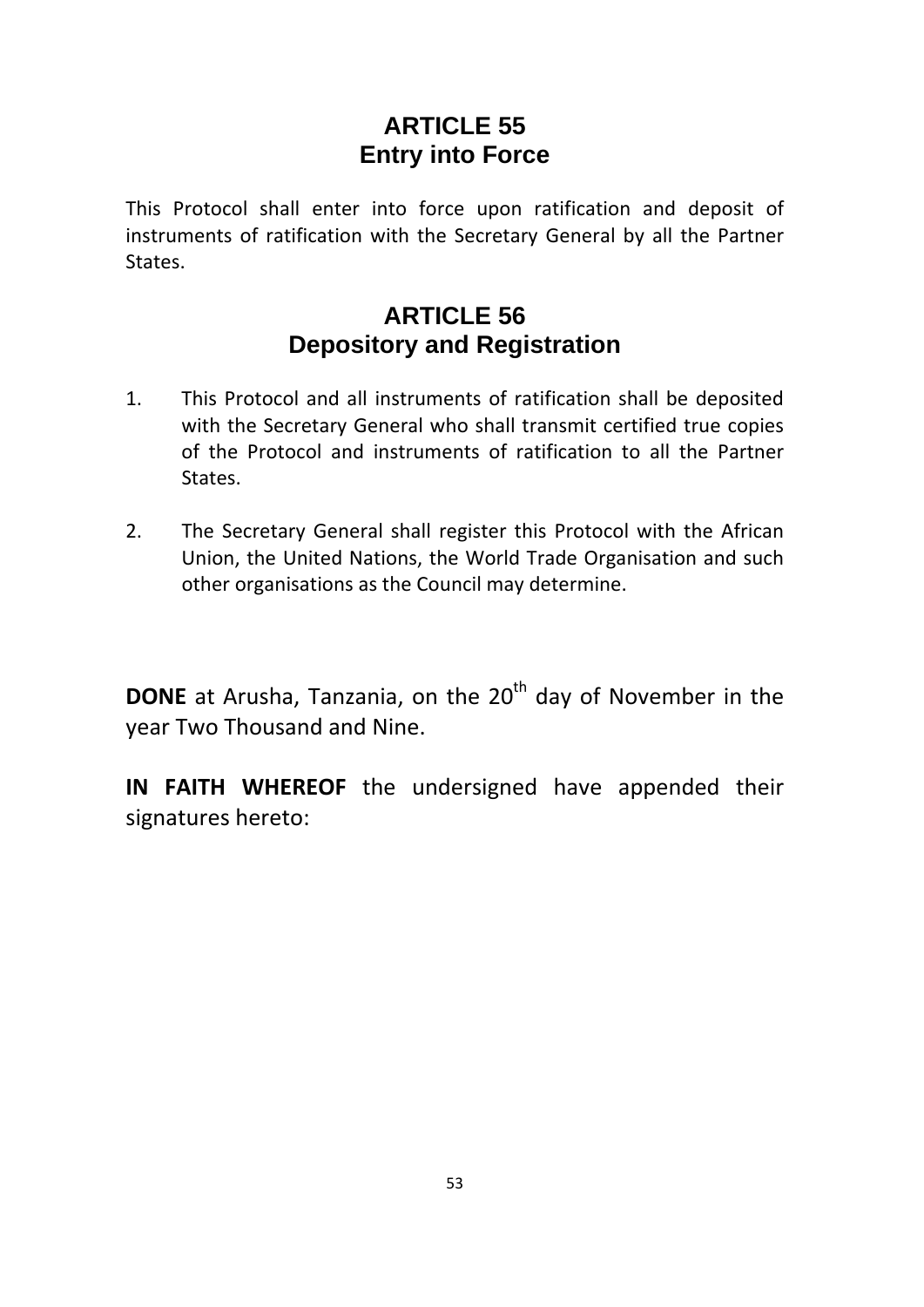## **ARTICLE 55 Entry into Force**

This Protocol shall enter into force upon ratification and deposit of instruments of ratification with the Secretary General by all the Partner States.

## **ARTICLE 56 Depository and Registration**

- 1. This Protocol and all instruments of ratification shall be deposited with the Secretary General who shall transmit certified true copies of the Protocol and instruments of ratification to all the Partner States.
- 2. The Secretary General shall register this Protocol with the African Union, the United Nations, the World Trade Organisation and such other organisations as the Council may determine.

**DONE** at Arusha, Tanzania, on the 20<sup>th</sup> day of November in the year Two Thousand and Nine.

**IN FAITH WHEREOF** the undersigned have appended their signatures hereto: